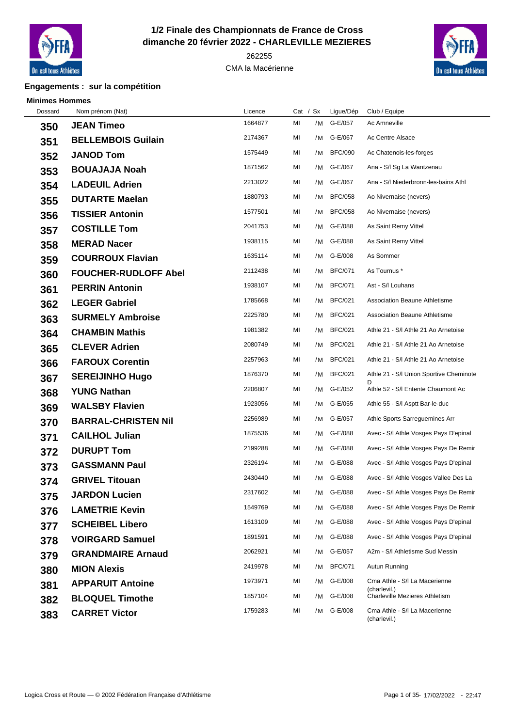

## **1/2 Finale des Championnats de France de Cross dimanche 20 février 2022 - CHARLEVILLE MEZIERES**

CMA la Macérienne



## **Engagements : sur la compétition**

 **Minimes Hommes**

 $\overline{\phantom{a}}$ 

| Dossard | Nom prénom (Nat)            | Licence | Cat / $Sx$ |    | Ligue/Dép      | Club / Equipe                                 |
|---------|-----------------------------|---------|------------|----|----------------|-----------------------------------------------|
| 350     | <b>JEAN Timeo</b>           | 1664877 | MI         | /M | G-E/057        | Ac Amneville                                  |
| 351     | <b>BELLEMBOIS Guilain</b>   | 2174367 | MI         | /M | G-E/067        | Ac Centre Alsace                              |
| 352     | <b>JANOD Tom</b>            | 1575449 | MI         | /M | <b>BFC/090</b> | Ac Chatenois-les-forges                       |
| 353     | <b>BOUAJAJA Noah</b>        | 1871562 | MI         | /M | G-E/067        | Ana - S/I Sg La Wantzenau                     |
| 354     | <b>LADEUIL Adrien</b>       | 2213022 | ΜI         | /M | G-E/067        | Ana - S/I Niederbronn-les-bains Athl          |
| 355     | <b>DUTARTE Maelan</b>       | 1880793 | MI         | /M | <b>BFC/058</b> | Ao Nivernaise (nevers)                        |
| 356     | <b>TISSIER Antonin</b>      | 1577501 | MI         | /M | <b>BFC/058</b> | Ao Nivernaise (nevers)                        |
| 357     | <b>COSTILLE Tom</b>         | 2041753 | MI         | /M | G-E/088        | As Saint Remy Vittel                          |
| 358     | <b>MERAD Nacer</b>          | 1938115 | MI         | /M | G-E/088        | As Saint Remy Vittel                          |
| 359     | <b>COURROUX Flavian</b>     | 1635114 | ΜI         | /M | G-E/008        | As Sommer                                     |
| 360     | <b>FOUCHER-RUDLOFF Abel</b> | 2112438 | MI         | /M | <b>BFC/071</b> | As Tournus *                                  |
| 361     | <b>PERRIN Antonin</b>       | 1938107 | ΜI         | /M | <b>BFC/071</b> | Ast - S/I Louhans                             |
| 362     | <b>LEGER Gabriel</b>        | 1785668 | MI         | /M | <b>BFC/021</b> | <b>Association Beaune Athletisme</b>          |
| 363     | <b>SURMELY Ambroise</b>     | 2225780 | MI         | /M | <b>BFC/021</b> | Association Beaune Athletisme                 |
| 364     | <b>CHAMBIN Mathis</b>       | 1981382 | MI         | /M | <b>BFC/021</b> | Athle 21 - S/I Athle 21 Ao Arnetoise          |
| 365     | <b>CLEVER Adrien</b>        | 2080749 | MI         | /M | <b>BFC/021</b> | Athle 21 - S/I Athle 21 Ao Arnetoise          |
| 366     | <b>FAROUX Corentin</b>      | 2257963 | ΜI         | /M | <b>BFC/021</b> | Athle 21 - S/I Athle 21 Ao Arnetoise          |
| 367     | <b>SEREIJINHO Hugo</b>      | 1876370 | MI         | /M | <b>BFC/021</b> | Athle 21 - S/I Union Sportive Cheminote       |
| 368     | <b>YUNG Nathan</b>          | 2206807 | ΜI         | /M | G-E/052        | Athle 52 - S/I Entente Chaumont Ac            |
| 369     | <b>WALSBY Flavien</b>       | 1923056 | MI         | /M | G-E/055        | Athle 55 - S/I Asptt Bar-le-duc               |
| 370     | <b>BARRAL-CHRISTEN Nil</b>  | 2256989 | MI         | /M | G-E/057        | Athle Sports Sarreguemines Arr                |
| 371     | <b>CAILHOL Julian</b>       | 1875536 | MI         | /M | G-E/088        | Avec - S/I Athle Vosges Pays D'epinal         |
| 372     | <b>DURUPT Tom</b>           | 2199288 | MI         | /M | G-E/088        | Avec - S/I Athle Vosges Pays De Remir         |
| 373     | <b>GASSMANN Paul</b>        | 2326194 | ΜI         | /M | G-E/088        | Avec - S/I Athle Vosges Pays D'epinal         |
| 374     | <b>GRIVEL Titouan</b>       | 2430440 | ΜI         | /M | G-E/088        | Avec - S/I Athle Vosges Vallee Des La         |
| 375     | <b>JARDON Lucien</b>        | 2317602 | MI         |    | /M G-E/088     | Avec - S/I Athle Vosges Pays De Remir         |
| 376     | <b>LAMETRIE Kevin</b>       | 1549769 | MI         |    | /M G-E/088     | Avec - S/I Athle Vosges Pays De Remir         |
| 377     | <b>SCHEIBEL Libero</b>      | 1613109 | MI         |    | /M G-E/088     | Avec - S/I Athle Vosges Pays D'epinal         |
| 378     | <b>VOIRGARD Samuel</b>      | 1891591 | MI         | /M | G-E/088        | Avec - S/I Athle Vosges Pays D'epinal         |
| 379     | <b>GRANDMAIRE Arnaud</b>    | 2062921 | ΜI         | /M | G-E/057        | A2m - S/I Athletisme Sud Messin               |
| 380     | <b>MION Alexis</b>          | 2419978 | MI         | /M | <b>BFC/071</b> | Autun Running                                 |
| 381     | <b>APPARUIT Antoine</b>     | 1973971 | ΜI         | /M | G-E/008        | Cma Athle - S/I La Macerienne<br>(charlevil.) |
| 382     | <b>BLOQUEL Timothe</b>      | 1857104 | MI         | /M | G-E/008        | <b>Charleville Mezieres Athletism</b>         |
| 383     | <b>CARRET Victor</b>        | 1759283 | MI         | /M | G-E/008        | Cma Athle - S/I La Macerienne<br>(charlevil.) |
|         |                             |         |            |    |                |                                               |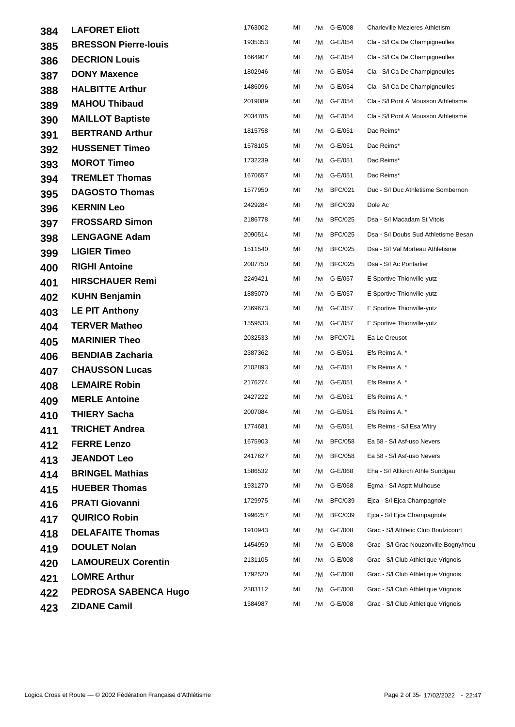| 384 | <b>LAFORET Eliott</b>       | 1763002 | MI | /M | G-E/008        | <b>Charleville Mezieres Athletism</b> |
|-----|-----------------------------|---------|----|----|----------------|---------------------------------------|
| 385 | <b>BRESSON Pierre-louis</b> | 1935353 | MI | /M | G-E/054        | Cla - S/I Ca De Champigneulles        |
| 386 | <b>DECRION Louis</b>        | 1664907 | ΜI | /M | G-E/054        | Cla - S/I Ca De Champigneulles        |
| 387 | <b>DONY Maxence</b>         | 1802946 | ΜI |    | /M G-E/054     | Cla - S/I Ca De Champigneulles        |
| 388 | <b>HALBITTE Arthur</b>      | 1486096 | MI | /M | G-E/054        | Cla - S/I Ca De Champigneulles        |
| 389 | <b>MAHOU Thibaud</b>        | 2019089 | MI | /M | G-E/054        | Cla - S/I Pont A Mousson Athletisme   |
| 390 | <b>MAILLOT Baptiste</b>     | 2034785 | MI | /M | G-E/054        | Cla - S/I Pont A Mousson Athletisme   |
| 391 | <b>BERTRAND Arthur</b>      | 1815758 | ΜI | /M | G-E/051        | Dac Reims*                            |
| 392 | <b>HUSSENET Timeo</b>       | 1578105 | ΜI | /M | G-E/051        | Dac Reims*                            |
| 393 | <b>MOROT Timeo</b>          | 1732239 | ΜI | /M | G-E/051        | Dac Reims*                            |
| 394 | <b>TREMLET Thomas</b>       | 1670657 | ΜI |    | /M G-E/051     | Dac Reims*                            |
| 395 | <b>DAGOSTO Thomas</b>       | 1577950 | MI | /M | <b>BFC/021</b> | Duc - S/I Duc Athletisme Sombernon    |
| 396 | <b>KERNIN Leo</b>           | 2429284 | MI | /M | <b>BFC/039</b> | Dole Ac                               |
| 397 | <b>FROSSARD Simon</b>       | 2186778 | MI | /M | <b>BFC/025</b> | Dsa - S/I Macadam St Vitois           |
| 398 | <b>LENGAGNE Adam</b>        | 2090514 | ΜI | /M | <b>BFC/025</b> | Dsa - S/I Doubs Sud Athletisme Besan  |
| 399 | <b>LIGIER Timeo</b>         | 1511540 | ΜI | /M | <b>BFC/025</b> | Dsa - S/I Val Morteau Athletisme      |
| 400 | <b>RIGHI Antoine</b>        | 2007750 | ΜI | /M | <b>BFC/025</b> | Dsa - S/I Ac Pontarlier               |
| 401 | <b>HIRSCHAUER Remi</b>      | 2249421 | ΜI |    | /M G-E/057     | E Sportive Thionville-yutz            |
| 402 | <b>KUHN Benjamin</b>        | 1885070 | MI | /M | G-E/057        | E Sportive Thionville-yutz            |
| 403 | <b>LE PIT Anthony</b>       | 2369673 | MI | /M | G-E/057        | E Sportive Thionville-yutz            |
| 404 | <b>TERVER Matheo</b>        | 1559533 | MI | /M | G-E/057        | E Sportive Thionville-yutz            |
| 405 | <b>MARINIER Theo</b>        | 2032533 | ΜI | /M | <b>BFC/071</b> | Ea Le Creusot                         |
| 406 | <b>BENDIAB Zacharia</b>     | 2387362 | ΜI |    | /M G-E/051     | Efs Reims A. *                        |
| 407 | <b>CHAUSSON Lucas</b>       | 2102893 | MI | /M | G-E/051        | Efs Reims A. *                        |
| 408 | <b>LEMAIRE Robin</b>        | 2176274 | ΜI |    | /M G-E/051     | Efs Reims A. *                        |
| 409 | <b>MERLE Antoine</b>        | 2427222 | MI | /M | G-E/051        | Efs Reims A. *                        |
| 410 | THIERY Sacha                | 2007084 | MI |    | /M G-E/051     | Efs Reims A. *                        |
| 411 | <b>TRICHET Andrea</b>       | 1774681 | MI | /M | G-E/051        | Efs Reims - S/I Esa Witry             |
| 412 | <b>FERRE Lenzo</b>          | 1675903 | MI | /M | <b>BFC/058</b> | Ea 58 - S/I Asf-uso Nevers            |
| 413 | <b>JEANDOT Leo</b>          | 2417627 | ΜI | /M | <b>BFC/058</b> | Ea 58 - S/I Asf-uso Nevers            |
| 414 | <b>BRINGEL Mathias</b>      | 1586532 | ΜI | /M | G-E/068        | Eha - S/I Altkirch Athle Sundgau      |
| 415 | <b>HUEBER Thomas</b>        | 1931270 | ΜI | /M | G-E/068        | Egma - S/I Asptt Mulhouse             |
| 416 | <b>PRATI Giovanni</b>       | 1729975 | MI | /M | <b>BFC/039</b> | Ejca - S/I Ejca Champagnole           |
| 417 | <b>QUIRICO Robin</b>        | 1996257 | MI | /M | <b>BFC/039</b> | Ejca - S/I Ejca Champagnole           |
| 418 | <b>DELAFAITE Thomas</b>     | 1910943 | MI | /M | G-E/008        | Grac - S/I Athletic Club Boulzicourt  |
| 419 | <b>DOULET Nolan</b>         | 1454950 | MI | /M | G-E/008        | Grac - S/I Grac Nouzonville Bogny/meu |
| 420 | <b>LAMOUREUX Corentin</b>   | 2131105 | ΜI | /M | G-E/008        | Grac - S/I Club Athletique Vrignois   |
| 421 | <b>LOMRE Arthur</b>         | 1792520 | MI | /M | G-E/008        | Grac - S/I Club Athletique Vrignois   |
| 422 | PEDROSA SABENCA Hugo        | 2383112 | ΜI | /M | G-E/008        | Grac - S/I Club Athletique Vrignois   |
| 423 | <b>ZIDANE Camil</b>         | 1584987 | MI |    | /M G-E/008     | Grac - S/I Club Athletique Vrignois   |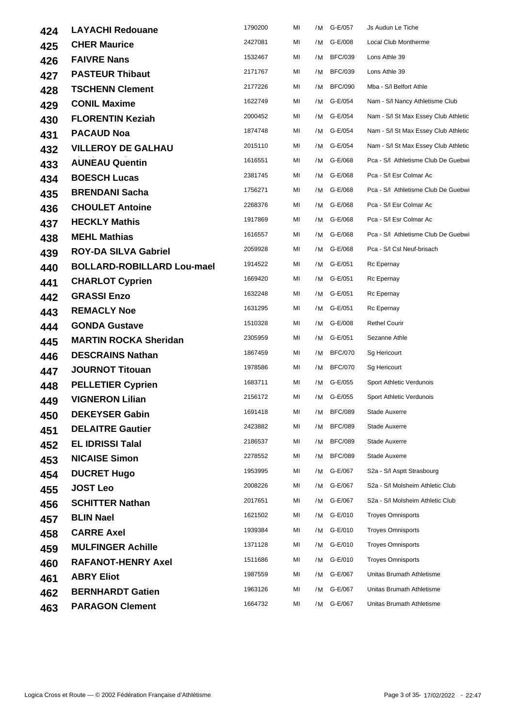| 424 | <b>LAYACHI Redouane</b>           | 1790200 | MI | /M | G-E/057        | Js Audun Le Tiche                    |
|-----|-----------------------------------|---------|----|----|----------------|--------------------------------------|
| 425 | <b>CHER Maurice</b>               | 2427081 | MI | /M | G-E/008        | Local Club Montherme                 |
| 426 | <b>FAIVRE Nans</b>                | 1532467 | MI | /M | <b>BFC/039</b> | Lons Athle 39                        |
| 427 | <b>PASTEUR Thibaut</b>            | 2171767 | MI | /M | <b>BFC/039</b> | Lons Athle 39                        |
| 428 | <b>TSCHENN Clement</b>            | 2177226 | MI | /M | <b>BFC/090</b> | Mba - S/I Belfort Athle              |
| 429 | <b>CONIL Maxime</b>               | 1622749 | MI | /M | G-E/054        | Nam - S/I Nancy Athletisme Club      |
| 430 | <b>FLORENTIN Keziah</b>           | 2000452 | MI | /M | G-E/054        | Nam - S/I St Max Essey Club Athletic |
| 431 | <b>PACAUD Noa</b>                 | 1874748 | MI | /M | G-E/054        | Nam - S/I St Max Essey Club Athletic |
| 432 | <b>VILLEROY DE GALHAU</b>         | 2015110 | MI |    | /M G-E/054     | Nam - S/I St Max Essey Club Athletic |
| 433 | <b>AUNEAU Quentin</b>             | 1616551 | MI | /M | G-E/068        | Pca - S/I Athletisme Club De Guebwi  |
| 434 | <b>BOESCH Lucas</b>               | 2381745 | МI |    | /M G-E/068     | Pca - S/I Esr Colmar Ac              |
| 435 | <b>BRENDANI Sacha</b>             | 1756271 | MI | /M | G-E/068        | Pca - S/I Athletisme Club De Guebwi  |
| 436 | <b>CHOULET Antoine</b>            | 2268376 | MI | /M | G-E/068        | Pca - S/I Esr Colmar Ac              |
| 437 | <b>HECKLY Mathis</b>              | 1917869 | MI | /M | G-E/068        | Pca - S/I Esr Colmar Ac              |
| 438 | <b>MEHL Mathias</b>               | 1616557 | МI | /M | G-E/068        | Pca - S/I Athletisme Club De Guebwi  |
| 439 | <b>ROY-DA SILVA Gabriel</b>       | 2059928 | МI |    | /M G-E/068     | Pca - S/I CsI Neuf-brisach           |
| 440 | <b>BOLLARD-ROBILLARD Lou-mael</b> | 1914522 | MI | /M | G-E/051        | Rc Epernay                           |
| 441 | <b>CHARLOT Cyprien</b>            | 1669420 | MI | /M | G-E/051        | Rc Epernay                           |
| 442 | <b>GRASSI Enzo</b>                | 1632248 | MI | /M | G-E/051        | Rc Epernay                           |
| 443 | <b>REMACLY Noe</b>                | 1631295 | МI | /M | G-E/051        | Rc Epernay                           |
| 444 | <b>GONDA Gustave</b>              | 1510328 | MI | /M | G-E/008        | <b>Rethel Courir</b>                 |
| 445 | <b>MARTIN ROCKA Sheridan</b>      | 2305959 | МI | /M | G-E/051        | Sezanne Athle                        |
| 446 | <b>DESCRAINS Nathan</b>           | 1867459 | MI | /M | <b>BFC/070</b> | Sg Hericourt                         |
| 447 | <b>JOURNOT Titouan</b>            | 1978586 | MI | /M | <b>BFC/070</b> | Sg Hericourt                         |
| 448 | <b>PELLETIER Cyprien</b>          | 1683711 | МI | /M | G-E/055        | Sport Athletic Verdunois             |
| 449 | <b>VIGNERON Lilian</b>            | 2156172 | MI | /M | G-E/055        | Sport Athletic Verdunois             |
| 450 | <b>DEKEYSER Gabin</b>             | 1691418 | MI |    | /M BFC/089     | Stade Auxerre                        |
| 451 | <b>DELAITRE Gautier</b>           | 2423882 | MI | /M | <b>BFC/089</b> | Stade Auxerre                        |
| 452 | <b>EL IDRISSI Talal</b>           | 2186537 | MI | /M | <b>BFC/089</b> | Stade Auxerre                        |
| 453 | <b>NICAISE Simon</b>              | 2278552 | MI | /M | <b>BFC/089</b> | Stade Auxerre                        |
| 454 | <b>DUCRET Hugo</b>                | 1953995 | MI | /M | G-E/067        | S2a - S/I Asptt Strasbourg           |
| 455 | <b>JOST Leo</b>                   | 2008226 | MI | /M | G-E/067        | S2a - S/I Molsheim Athletic Club     |
| 456 | <b>SCHITTER Nathan</b>            | 2017651 | MI | /M | G-E/067        | S2a - S/I Molsheim Athletic Club     |
| 457 | <b>BLIN Nael</b>                  | 1621502 | MI | /M | G-E/010        | <b>Troyes Omnisports</b>             |
| 458 | <b>CARRE Axel</b>                 | 1939384 | МI | /M | G-E/010        | <b>Troyes Omnisports</b>             |
| 459 | <b>MULFINGER Achille</b>          | 1371128 | МI |    | /M G-E/010     | <b>Troyes Omnisports</b>             |
| 460 | <b>RAFANOT-HENRY Axel</b>         | 1511686 | MI | /M | G-E/010        | <b>Troyes Omnisports</b>             |
| 461 | <b>ABRY Eliot</b>                 | 1987559 | MI | /M | G-E/067        | Unitas Brumath Athletisme            |
| 462 | <b>BERNHARDT Gatien</b>           | 1963126 | MI | /M | G-E/067        | Unitas Brumath Athletisme            |
| 463 | <b>PARAGON Clement</b>            | 1664732 | MI | /M | G-E/067        | Unitas Brumath Athletisme            |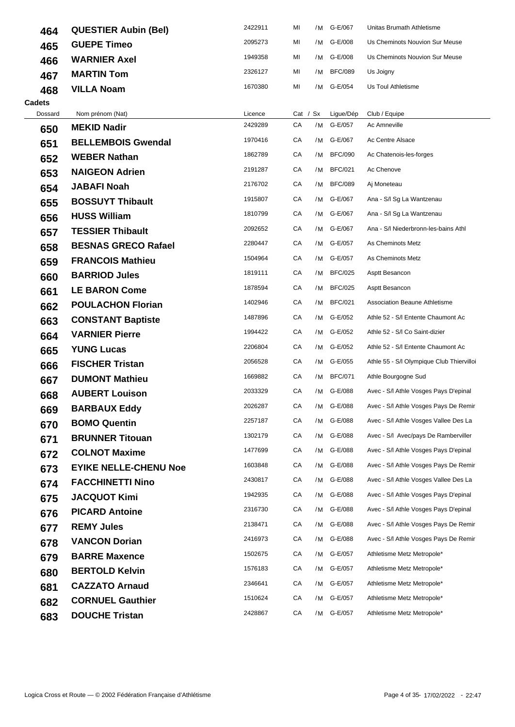| 464           | <b>QUESTIER Aubin (Bel)</b>  | 2422911 | MI |            | /M G-E/067     | Unitas Brumath Athletisme                 |
|---------------|------------------------------|---------|----|------------|----------------|-------------------------------------------|
| 465           | <b>GUEPE Timeo</b>           | 2095273 | ΜI |            | /M G-E/008     | Us Cheminots Nouvion Sur Meuse            |
| 466           | <b>WARNIER Axel</b>          | 1949358 | ΜI | /M         | G-E/008        | Us Cheminots Nouvion Sur Meuse            |
| 467           | <b>MARTIN Tom</b>            | 2326127 | МI |            | /M BFC/089     | Us Joigny                                 |
| 468           | <b>VILLA Noam</b>            | 1670380 | MI | /M         | G-E/054        | Us Toul Athletisme                        |
| <b>Cadets</b> |                              |         |    |            |                |                                           |
| Dossard       | Nom prénom (Nat)             | Licence |    | Cat / $Sx$ | Ligue/Dép      | Club / Equipe                             |
| 650           | <b>MEKID Nadir</b>           | 2429289 | СA |            | /M G-E/057     | Ac Amneville                              |
| 651           | <b>BELLEMBOIS Gwendal</b>    | 1970416 | СA | /M         | G-E/067        | Ac Centre Alsace                          |
| 652           | <b>WEBER Nathan</b>          | 1862789 | СA |            | /M BFC/090     | Ac Chatenois-les-forges                   |
| 653           | <b>NAIGEON Adrien</b>        | 2191287 | СA | /M         | <b>BFC/021</b> | Ac Chenove                                |
| 654           | <b>JABAFI Noah</b>           | 2176702 | СA | /M         | <b>BFC/089</b> | Aj Moneteau                               |
| 655           | <b>BOSSUYT Thibault</b>      | 1915807 | СA |            | /M G-E/067     | Ana - S/I Sg La Wantzenau                 |
| 656           | <b>HUSS William</b>          | 1810799 | CA |            | /M G-E/067     | Ana - S/I Sg La Wantzenau                 |
| 657           | <b>TESSIER Thibault</b>      | 2092652 | СA |            | /M G-E/067     | Ana - S/I Niederbronn-les-bains Athl      |
| 658           | <b>BESNAS GRECO Rafael</b>   | 2280447 | CA |            | /M G-E/057     | As Cheminots Metz                         |
| 659           | <b>FRANCOIS Mathieu</b>      | 1504964 | СA |            | /M G-E/057     | As Cheminots Metz                         |
| 660           | <b>BARRIOD Jules</b>         | 1819111 | СA | /M         | <b>BFC/025</b> | Asptt Besancon                            |
| 661           | <b>LE BARON Come</b>         | 1878594 | СA | /M         | <b>BFC/025</b> | Asptt Besancon                            |
| 662           | <b>POULACHON Florian</b>     | 1402946 | СA |            | /M BFC/021     | <b>Association Beaune Athletisme</b>      |
| 663           | <b>CONSTANT Baptiste</b>     | 1487896 | CA |            | /M G-E/052     | Athle 52 - S/I Entente Chaumont Ac        |
| 664           | <b>VARNIER Pierre</b>        | 1994422 | СA |            | /M G-E/052     | Athle 52 - S/I Co Saint-dizier            |
| 665           | <b>YUNG Lucas</b>            | 2206804 | СA | /M         | G-E/052        | Athle 52 - S/I Entente Chaumont Ac        |
| 666           | <b>FISCHER Tristan</b>       | 2056528 | СA |            | /M G-E/055     | Athle 55 - S/l Olympique Club Thiervilloi |
| 667           | <b>DUMONT Mathieu</b>        | 1669882 | СA | /M         | <b>BFC/071</b> | Athle Bourgogne Sud                       |
| 668           | <b>AUBERT Louison</b>        | 2033329 | СA |            | /M G-E/088     | Avec - S/I Athle Vosges Pays D'epinal     |
| 669           | <b>BARBAUX Eddy</b>          | 2026287 | СA |            | /M G-E/088     | Avec - S/I Athle Vosges Pays De Remir     |
| 670           | <b>BOMO Quentin</b>          | 2257187 | СA |            | /M G-E/088     | Avec - S/I Athle Vosges Vallee Des La     |
| 671           | <b>BRUNNER Titouan</b>       | 1302179 | СA | /M         | G-E/088        | Avec - S/I Avec/pays De Ramberviller      |
| 672           | <b>COLNOT Maxime</b>         | 1477699 | СA |            | /M G-E/088     | Avec - S/I Athle Vosges Pays D'epinal     |
| 673           | <b>EYIKE NELLE-CHENU Noe</b> | 1603848 | СA | /M         | G-E/088        | Avec - S/I Athle Vosges Pays De Remir     |
| 674           | <b>FACCHINETTI Nino</b>      | 2430817 | СA | /M         | G-E/088        | Avec - S/I Athle Vosges Vallee Des La     |
| 675           | <b>JACQUOT Kimi</b>          | 1942935 | СA |            | /M G-E/088     | Avec - S/I Athle Vosges Pays D'epinal     |
| 676           | <b>PICARD Antoine</b>        | 2316730 | СA |            | /M G-E/088     | Avec - S/I Athle Vosges Pays D'epinal     |
| 677           | <b>REMY Jules</b>            | 2138471 | СA |            | /M G-E/088     | Avec - S/I Athle Vosges Pays De Remir     |
| 678           | <b>VANCON Dorian</b>         | 2416973 | СA | /M         | G-E/088        | Avec - S/I Athle Vosges Pays De Remir     |
| 679           | <b>BARRE Maxence</b>         | 1502675 | СA |            | /M G-E/057     | Athletisme Metz Metropole*                |
| 680           | <b>BERTOLD Kelvin</b>        | 1576183 | СA | /M         | G-E/057        | Athletisme Metz Metropole*                |
| 681           | <b>CAZZATO Arnaud</b>        | 2346641 | СA | /M         | G-E/057        | Athletisme Metz Metropole*                |
| 682           | <b>CORNUEL Gauthier</b>      | 1510624 | СA |            | /M G-E/057     | Athletisme Metz Metropole*                |
| 683           | <b>DOUCHE Tristan</b>        | 2428867 | СA |            | /M G-E/057     | Athletisme Metz Metropole*                |
|               |                              |         |    |            |                |                                           |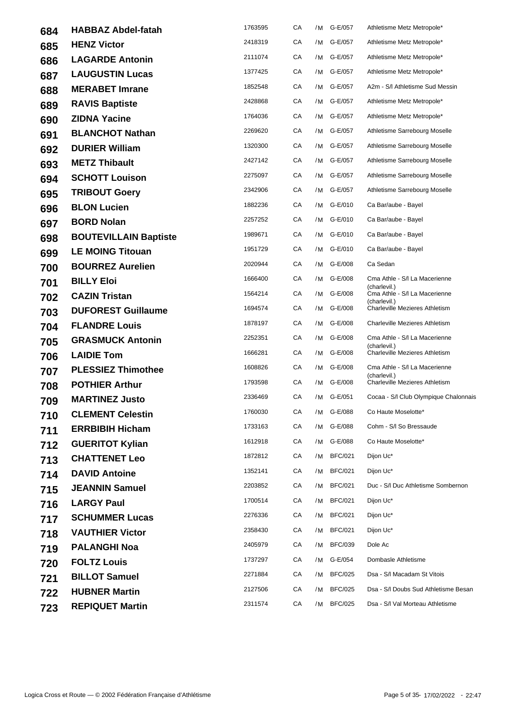| 684 | <b>HABBAZ Abdel-fatah</b>    | 1763595 | СA | /M | G-E/057        | Athletisme Metz Metropole*                    |
|-----|------------------------------|---------|----|----|----------------|-----------------------------------------------|
| 685 | <b>HENZ Victor</b>           | 2418319 | СA | /M | G-E/057        | Athletisme Metz Metropole*                    |
| 686 | <b>LAGARDE Antonin</b>       | 2111074 | CA | /M | G-E/057        | Athletisme Metz Metropole*                    |
| 687 | <b>LAUGUSTIN Lucas</b>       | 1377425 | СA |    | /M G-E/057     | Athletisme Metz Metropole*                    |
| 688 | <b>MERABET Imrane</b>        | 1852548 | СA | /M | G-E/057        | A2m - S/I Athletisme Sud Messin               |
| 689 | <b>RAVIS Baptiste</b>        | 2428868 | СA |    | /M G-E/057     | Athletisme Metz Metropole*                    |
| 690 | <b>ZIDNA Yacine</b>          | 1764036 | СA | /M | G-E/057        | Athletisme Metz Metropole*                    |
| 691 | <b>BLANCHOT Nathan</b>       | 2269620 | СA | /M | G-E/057        | Athletisme Sarrebourg Moselle                 |
| 692 | <b>DURIER William</b>        | 1320300 | СA | /M | G-E/057        | Athletisme Sarrebourg Moselle                 |
| 693 | <b>METZ Thibault</b>         | 2427142 | СA | /M | G-E/057        | Athletisme Sarrebourg Moselle                 |
| 694 | <b>SCHOTT Louison</b>        | 2275097 | CA |    | /M G-E/057     | Athletisme Sarrebourg Moselle                 |
| 695 | <b>TRIBOUT Goery</b>         | 2342906 | СA | /M | G-E/057        | Athletisme Sarrebourg Moselle                 |
| 696 | <b>BLON Lucien</b>           | 1882236 | СA | /M | G-E/010        | Ca Bar/aube - Bayel                           |
| 697 | <b>BORD Nolan</b>            | 2257252 | СA | /M | G-E/010        | Ca Bar/aube - Bayel                           |
| 698 | <b>BOUTEVILLAIN Baptiste</b> | 1989671 | СA |    | /M G-E/010     | Ca Bar/aube - Bayel                           |
| 699 | <b>LE MOING Titouan</b>      | 1951729 | СA | /M | G-E/010        | Ca Bar/aube - Bayel                           |
| 700 | <b>BOURREZ Aurelien</b>      | 2020944 | СA | /M | G-E/008        | Ca Sedan                                      |
| 701 | <b>BILLY Eloi</b>            | 1666400 | CA |    | /M G-E/008     | Cma Athle - S/I La Macerienne<br>(charlevil.) |
| 702 | <b>CAZIN Tristan</b>         | 1564214 | CA | /M | G-E/008        | Cma Athle - S/I La Macerienne<br>(charlevil.) |
| 703 | <b>DUFOREST Guillaume</b>    | 1694574 | СA | /M | G-E/008        | Charleville Mezieres Athletism                |
| 704 | <b>FLANDRE Louis</b>         | 1878197 | СA | /M | G-E/008        | <b>Charleville Mezieres Athletism</b>         |
| 705 | <b>GRASMUCK Antonin</b>      | 2252351 | СA | /M | G-E/008        | Cma Athle - S/I La Macerienne<br>(charlevil.) |
| 706 | <b>LAIDIE Tom</b>            | 1666281 | СA | /M | G-E/008        | Charleville Mezieres Athletism                |
| 707 | <b>PLESSIEZ Thimothee</b>    | 1608826 | СA | /M | G-E/008        | Cma Athle - S/I La Macerienne<br>(charlevil.) |
| 708 | <b>POTHIER Arthur</b>        | 1793598 | СA |    | /M G-E/008     | <b>Charleville Mezieres Athletism</b>         |
| 709 | <b>MARTINEZ Justo</b>        | 2336469 | CA |    | /M G-E/051     | Cocaa - S/I Club Olympique Chalonnais         |
| 710 | <b>CLEMENT Celestin</b>      | 1760030 | CA |    | /M G-E/088     | Co Haute Moselotte*                           |
| 711 | <b>ERRBIBIH Hicham</b>       | 1733163 | СA | /M | G-E/088        | Cohm - S/I So Bressaude                       |
| 712 | <b>GUERITOT Kylian</b>       | 1612918 | СA | /M | G-E/088        | Co Haute Moselotte*                           |
| 713 | <b>CHATTENET Leo</b>         | 1872812 | СA | /M | <b>BFC/021</b> | Dijon Uc*                                     |
| 714 | <b>DAVID Antoine</b>         | 1352141 | CA | /M | <b>BFC/021</b> | Dijon Uc*                                     |
| 715 | <b>JEANNIN Samuel</b>        | 2203852 | СA | /M | <b>BFC/021</b> | Duc - S/I Duc Athletisme Sombernon            |
| 716 | <b>LARGY Paul</b>            | 1700514 | СA | /M | <b>BFC/021</b> | Dijon Uc*                                     |
| 717 | <b>SCHUMMER Lucas</b>        | 2276336 | СA | /M | <b>BFC/021</b> | Dijon Uc*                                     |
| 718 | <b>VAUTHIER Victor</b>       | 2358430 | СA | /M | <b>BFC/021</b> | Dijon Uc*                                     |
| 719 | <b>PALANGHI Noa</b>          | 2405979 | СA | /M | <b>BFC/039</b> | Dole Ac                                       |
| 720 | <b>FOLTZ Louis</b>           | 1737297 | СA | /M | G-E/054        | Dombasle Athletisme                           |
| 721 | <b>BILLOT Samuel</b>         | 2271884 | СA | /M | <b>BFC/025</b> | Dsa - S/I Macadam St Vitois                   |
| 722 | <b>HUBNER Martin</b>         | 2127506 | СA | /M | <b>BFC/025</b> | Dsa - S/I Doubs Sud Athletisme Besan          |
| 723 | <b>REPIQUET Martin</b>       | 2311574 | СA | /M | <b>BFC/025</b> | Dsa - S/I Val Morteau Athletisme              |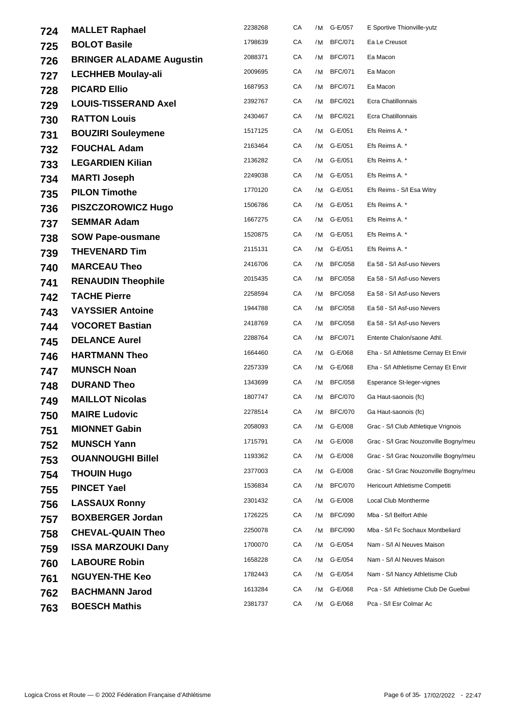| 724 | <b>MALLET Raphael</b>           | 2238268 | СA | /M | G-E/057        | E Sportive Thionville-yutz            |
|-----|---------------------------------|---------|----|----|----------------|---------------------------------------|
| 725 | <b>BOLOT Basile</b>             | 1798639 | СA | /M | <b>BFC/071</b> | Ea Le Creusot                         |
| 726 | <b>BRINGER ALADAME Augustin</b> | 2088371 | СA | /M | <b>BFC/071</b> | Ea Macon                              |
| 727 | <b>LECHHEB Moulay-ali</b>       | 2009695 | CA | /M | <b>BFC/071</b> | Ea Macon                              |
| 728 | <b>PICARD Ellio</b>             | 1687953 | CA | /M | <b>BFC/071</b> | Ea Macon                              |
| 729 | <b>LOUIS-TISSERAND Axel</b>     | 2392767 | СA | /M | <b>BFC/021</b> | Ecra Chatillonnais                    |
| 730 | <b>RATTON Louis</b>             | 2430467 | СA | /M | <b>BFC/021</b> | Ecra Chatillonnais                    |
| 731 | <b>BOUZIRI Souleymene</b>       | 1517125 | СA | /M | G-E/051        | Efs Reims A. *                        |
| 732 | <b>FOUCHAL Adam</b>             | 2163464 | СA | /M | G-E/051        | Efs Reims A. *                        |
| 733 | <b>LEGARDIEN Kilian</b>         | 2136282 | СA | /M | G-E/051        | Efs Reims A. *                        |
| 734 | <b>MARTI Joseph</b>             | 2249038 | СA |    | /M G-E/051     | Efs Reims A. *                        |
| 735 | <b>PILON Timothe</b>            | 1770120 | СA |    | /M G-E/051     | Efs Reims - S/I Esa Witry             |
| 736 | <b>PISZCZOROWICZ Hugo</b>       | 1506786 | СA | /M | G-E/051        | Efs Reims A. *                        |
| 737 | <b>SEMMAR Adam</b>              | 1667275 | СA | /M | G-E/051        | Efs Reims A. *                        |
| 738 | <b>SOW Pape-ousmane</b>         | 1520875 | СA | /M | G-E/051        | Efs Reims A. *                        |
| 739 | <b>THEVENARD Tim</b>            | 2115131 | СA | /M | G-E/051        | Efs Reims A. *                        |
| 740 | <b>MARCEAU Theo</b>             | 2416706 | CA | /M | <b>BFC/058</b> | Ea 58 - S/I Asf-uso Nevers            |
| 741 | <b>RENAUDIN Theophile</b>       | 2015435 | СA | /M | <b>BFC/058</b> | Ea 58 - S/I Asf-uso Nevers            |
| 742 | <b>TACHE Pierre</b>             | 2258594 | CA | /M | <b>BFC/058</b> | Ea 58 - S/I Asf-uso Nevers            |
| 743 | <b>VAYSSIER Antoine</b>         | 1944788 | CA | /M | <b>BFC/058</b> | Ea 58 - S/I Asf-uso Nevers            |
| 744 | <b>VOCORET Bastian</b>          | 2418769 | СA | /M | <b>BFC/058</b> | Ea 58 - S/I Asf-uso Nevers            |
| 745 | <b>DELANCE Aurel</b>            | 2288764 | СA | /M | <b>BFC/071</b> | Entente Chalon/saone Athl.            |
| 746 | <b>HARTMANN Theo</b>            | 1664460 | СA | /M | G-E/068        | Eha - S/I Athletisme Cernay Et Envir  |
| 747 | <b>MUNSCH Noan</b>              | 2257339 | CA | /M | G-E/068        | Eha - S/I Athletisme Cernay Et Envir  |
| 748 | <b>DURAND Theo</b>              | 1343699 | CA | /M | <b>BFC/058</b> | Esperance St-leger-vignes             |
| 749 | <b>MAILLOT Nicolas</b>          | 1807747 | СA | /M | <b>BFC/070</b> | Ga Haut-saonois (fc)                  |
| 750 | <b>MAIRE Ludovic</b>            | 2278514 | CA | /M | <b>BFC/070</b> | Ga Haut-saonois (fc)                  |
| 751 | <b>MIONNET Gabin</b>            | 2058093 | СA | /M | G-E/008        | Grac - S/I Club Athletique Vrignois   |
| 752 | <b>MUNSCH Yann</b>              | 1715791 | СA | /M | G-E/008        | Grac - S/I Grac Nouzonville Bogny/meu |
| 753 | <b>OUANNOUGHI Billel</b>        | 1193362 | СA | /M | G-E/008        | Grac - S/I Grac Nouzonville Bogny/meu |
| 754 | <b>THOUIN Hugo</b>              | 2377003 | СA | /M | G-E/008        | Grac - S/I Grac Nouzonville Bogny/meu |
| 755 | <b>PINCET Yael</b>              | 1536834 | CA | /M | <b>BFC/070</b> | <b>Hericourt Athletisme Competiti</b> |
| 756 | <b>LASSAUX Ronny</b>            | 2301432 | СA | /M | G-E/008        | Local Club Montherme                  |
| 757 | <b>BOXBERGER Jordan</b>         | 1726225 | СA | /M | <b>BFC/090</b> | Mba - S/I Belfort Athle               |
| 758 | <b>CHEVAL-QUAIN Theo</b>        | 2250078 | СA | /M | <b>BFC/090</b> | Mba - S/I Fc Sochaux Montbeliard      |
| 759 | <b>ISSA MARZOUKI Dany</b>       | 1700070 | СA | /M | G-E/054        | Nam - S/I AI Neuves Maison            |
| 760 | <b>LABOURE Robin</b>            | 1658228 | CA | /M | G-E/054        | Nam - S/I AI Neuves Maison            |
| 761 | <b>NGUYEN-THE Keo</b>           | 1782443 | СA | /M | G-E/054        | Nam - S/I Nancy Athletisme Club       |
| 762 | <b>BACHMANN Jarod</b>           | 1613284 | СA | /M | G-E/068        | Pca - S/I Athletisme Club De Guebwi   |
| 763 | <b>BOESCH Mathis</b>            | 2381737 | СA | /M | G-E/068        | Pca - S/I Esr Colmar Ac               |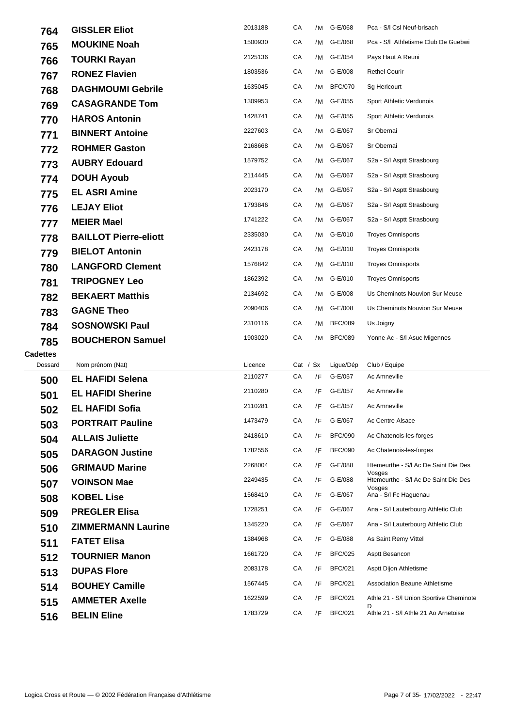| 764             | <b>GISSLER Eliot</b>         | 2013188            | СA         | /M | G-E/068        | Pca - S/I CsI Neuf-brisach                     |
|-----------------|------------------------------|--------------------|------------|----|----------------|------------------------------------------------|
| 765             | <b>MOUKINE Noah</b>          | 1500930            | СA         | /M | G-E/068        | Pca - S/I Athletisme Club De Guebwi            |
| 766             | <b>TOURKI Rayan</b>          | 2125136            | СA         | /M | G-E/054        | Pays Haut A Reuni                              |
| 767             | <b>RONEZ Flavien</b>         | 1803536            | СA         | /M | G-E/008        | <b>Rethel Courir</b>                           |
| 768             | <b>DAGHMOUMI Gebrile</b>     | 1635045            | СA         | /M | <b>BFC/070</b> | Sg Hericourt                                   |
| 769             | <b>CASAGRANDE Tom</b>        | 1309953            | СA         | /M | G-E/055        | Sport Athletic Verdunois                       |
| 770             | <b>HAROS Antonin</b>         | 1428741            | СA         | /M | G-E/055        | Sport Athletic Verdunois                       |
| 771             | <b>BINNERT Antoine</b>       | 2227603            | CA         | /M | G-E/067        | Sr Obernai                                     |
| 772             | <b>ROHMER Gaston</b>         | 2168668            | СA         | /M | G-E/067        | Sr Obernai                                     |
| 773             | <b>AUBRY Edouard</b>         | 1579752            | СA         | /M | G-E/067        | S2a - S/I Asptt Strasbourg                     |
| 774             | <b>DOUH Ayoub</b>            | 2114445            | СA         | /M | G-E/067        | S2a - S/I Asptt Strasbourg                     |
| 775             | <b>EL ASRI Amine</b>         | 2023170            | СA         | /M | G-E/067        | S2a - S/I Asptt Strasbourg                     |
| 776             | <b>LEJAY Eliot</b>           | 1793846            | СA         | /M | G-E/067        | S2a - S/I Asptt Strasbourg                     |
| 777             | <b>MEIER Mael</b>            | 1741222            | СA         | /M | G-E/067        | S2a - S/I Asptt Strasbourg                     |
| 778             | <b>BAILLOT Pierre-eliott</b> | 2335030            | CA         | /M | G-E/010        | <b>Troyes Omnisports</b>                       |
| 779             | <b>BIELOT Antonin</b>        | 2423178            | CA         | /M | G-E/010        | <b>Troyes Omnisports</b>                       |
| 780             | <b>LANGFORD Clement</b>      | 1576842            | CA         | /M | G-E/010        | <b>Troyes Omnisports</b>                       |
| 781             | <b>TRIPOGNEY Leo</b>         | 1862392            | СA         | /M | G-E/010        | <b>Troyes Omnisports</b>                       |
| 782             | <b>BEKAERT Matthis</b>       | 2134692            | СA         | /M | G-E/008        | Us Cheminots Nouvion Sur Meuse                 |
| 783             | <b>GAGNE Theo</b>            | 2090406            | СA         | /M | G-E/008        | Us Cheminots Nouvion Sur Meuse                 |
| 784             | <b>SOSNOWSKI Paul</b>        | 2310116            | СA         | /M | <b>BFC/089</b> | Us Joigny                                      |
| 785             | <b>BOUCHERON Samuel</b>      | 1903020            | CA         | /M | <b>BFC/089</b> | Yonne Ac - S/I Asuc Migennes                   |
| <b>Cadettes</b> |                              |                    |            |    |                |                                                |
| Dossard         | Nom prénom (Nat)             | Licence            | Cat / $Sx$ |    | Ligue/Dép      | Club / Equipe                                  |
| 500             | <b>EL HAFIDI Selena</b>      | 2110277            | СA         | /F | G-E/057        | Ac Amneville                                   |
| 501             | <b>EL HAFIDI Sherine</b>     | 2110280            | СA         | /F | G-E/057        | Ac Amneville                                   |
| 502             | <b>EL HAFIDI Sofia</b>       | 2110281            | СA         | /F | G-E/057        | Ac Amneville                                   |
| 503             | <b>PORTRAIT Pauline</b>      | 1473479            | СA         | /F | G-E/067        | Ac Centre Alsace                               |
| 504             | <b>ALLAIS Juliette</b>       | 2418610            | СA         | /F | <b>BFC/090</b> | Ac Chatenois-les-forges                        |
| 505             | <b>DARAGON Justine</b>       | 1782556            | СA         | /F | <b>BFC/090</b> | Ac Chatenois-les-forges                        |
| 506             | <b>GRIMAUD Marine</b>        | 2268004<br>2249435 | СA         | /F | G-E/088        | Htemeurthe - S/I Ac De Saint Die Des<br>Vosges |
| 507             | <b>VOINSON Mae</b>           |                    | СA         | /F | G-E/088        | Htemeurthe - S/I Ac De Saint Die Des<br>Vosges |
| 508             | <b>KOBEL Lise</b>            | 1568410<br>1728251 | СA         | /F | G-E/067        | Ana - S/I Fc Haguenau                          |
| 509             | <b>PREGLER Elisa</b>         |                    | СA         | /F | G-E/067        | Ana - S/I Lauterbourg Athletic Club            |
| 510             | <b>ZIMMERMANN Laurine</b>    | 1345220            | СA         | /F | G-E/067        | Ana - S/I Lauterbourg Athletic Club            |
| 511             | <b>FATET Elisa</b>           | 1384968            | СA         | /F | G-E/088        | As Saint Remy Vittel                           |
| 512             | <b>TOURNIER Manon</b>        | 1661720            | CA         | /F | <b>BFC/025</b> | Asptt Besancon                                 |
| 513             | <b>DUPAS Flore</b>           | 2083178            | СA         | /F | <b>BFC/021</b> | Asptt Dijon Athletisme                         |
| 514             | <b>BOUHEY Camille</b>        | 1567445            | СA         | /F | <b>BFC/021</b> | <b>Association Beaune Athletisme</b>           |
| 515             | <b>AMMETER Axelle</b>        | 1622599            | CA         | /F | <b>BFC/021</b> | Athle 21 - S/I Union Sportive Cheminote<br>D   |
| 516             | <b>BELIN Eline</b>           | 1783729            | CA         | /F | <b>BFC/021</b> | Athle 21 - S/I Athle 21 Ao Arnetoise           |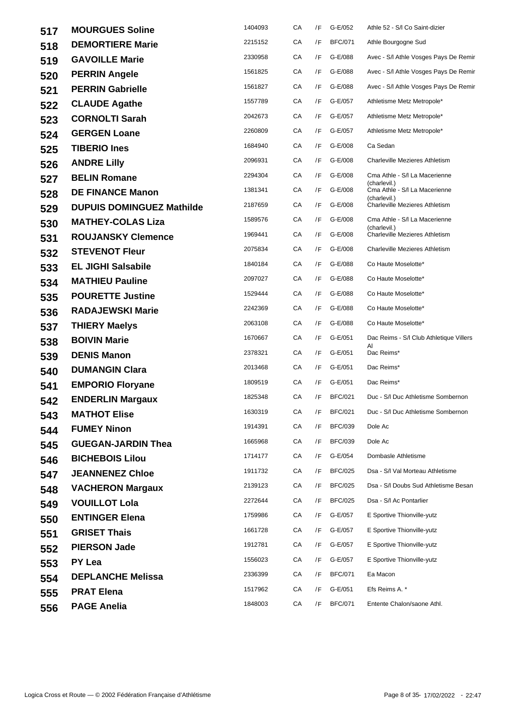| 517 | <b>MOURGUES Soline</b>           | 1404093 | СA | /F | G-E/052        | Athle 52 - S/I Co Saint-dizier                |
|-----|----------------------------------|---------|----|----|----------------|-----------------------------------------------|
| 518 | <b>DEMORTIERE Marie</b>          | 2215152 | СA | /F | <b>BFC/071</b> | Athle Bourgogne Sud                           |
| 519 | <b>GAVOILLE Marie</b>            | 2330958 | CA | /F | G-E/088        | Avec - S/I Athle Vosges Pays De Remir         |
| 520 | <b>PERRIN Angele</b>             | 1561825 | СA | /F | G-E/088        | Avec - S/I Athle Vosges Pays De Remir         |
| 521 | <b>PERRIN Gabrielle</b>          | 1561827 | СA | /F | G-E/088        | Avec - S/I Athle Vosges Pays De Remir         |
| 522 | <b>CLAUDE Agathe</b>             | 1557789 | СA | /F | G-E/057        | Athletisme Metz Metropole*                    |
| 523 | <b>CORNOLTI Sarah</b>            | 2042673 | СA | /F | G-E/057        | Athletisme Metz Metropole*                    |
| 524 | <b>GERGEN Loane</b>              | 2260809 | CA | /F | G-E/057        | Athletisme Metz Metropole*                    |
| 525 | <b>TIBERIO Ines</b>              | 1684940 | СA | /F | G-E/008        | Ca Sedan                                      |
| 526 | <b>ANDRE Lilly</b>               | 2096931 | СA | /F | G-E/008        | <b>Charleville Mezieres Athletism</b>         |
| 527 | <b>BELIN Romane</b>              | 2294304 | CA | /F | G-E/008        | Cma Athle - S/I La Macerienne<br>(charlevil.) |
| 528 | <b>DE FINANCE Manon</b>          | 1381341 | СA | /F | G-E/008        | Cma Athle - S/I La Macerienne<br>(charlevil.) |
| 529 | <b>DUPUIS DOMINGUEZ Mathilde</b> | 2187659 | СA | /F | G-E/008        | Charleville Mezieres Athletism                |
| 530 | <b>MATHEY-COLAS Liza</b>         | 1589576 | СA | /F | G-E/008        | Cma Athle - S/I La Macerienne<br>(charlevil.) |
| 531 | <b>ROUJANSKY Clemence</b>        | 1969441 | СA | /F | G-E/008        | <b>Charleville Mezieres Athletism</b>         |
| 532 | <b>STEVENOT Fleur</b>            | 2075834 | СA | /F | G-E/008        | <b>Charleville Mezieres Athletism</b>         |
| 533 | <b>EL JIGHI Salsabile</b>        | 1840184 | СA | /F | G-E/088        | Co Haute Moselotte*                           |
| 534 | <b>MATHIEU Pauline</b>           | 2097027 | СA | /F | G-E/088        | Co Haute Moselotte*                           |
| 535 | <b>POURETTE Justine</b>          | 1529444 | СA | /F | G-E/088        | Co Haute Moselotte*                           |
| 536 | <b>RADAJEWSKI Marie</b>          | 2242369 | СA | /F | G-E/088        | Co Haute Moselotte*                           |
| 537 | <b>THIERY Maelys</b>             | 2063108 | CA | /F | G-E/088        | Co Haute Moselotte*                           |
| 538 | <b>BOIVIN Marie</b>              | 1670667 | СA | /F | G-E/051        | Dac Reims - S/I Club Athletique Villers<br>Al |
| 539 | <b>DENIS Manon</b>               | 2378321 | СA | /F | G-E/051        | Dac Reims*                                    |
| 540 | <b>DUMANGIN Clara</b>            | 2013468 | СA | /F | G-E/051        | Dac Reims*                                    |
| 541 | <b>EMPORIO Floryane</b>          | 1809519 | СA | /F | G-E/051        | Dac Reims*                                    |
| 542 | <b>ENDERLIN Margaux</b>          | 1825348 | СA | /F | <b>BFC/021</b> | Duc - S/I Duc Athletisme Sombernon            |
| 543 | <b>MATHOT Elise</b>              | 1630319 | CA |    | /F BFC/021     | Duc - S/I Duc Athletisme Sombernon            |
| 544 | <b>FUMEY Ninon</b>               | 1914391 | СA | /F | <b>BFC/039</b> | Dole Ac                                       |
| 545 | <b>GUEGAN-JARDIN Thea</b>        | 1665968 | СA | /F | <b>BFC/039</b> | Dole Ac                                       |
| 546 | <b>BICHEBOIS Lilou</b>           | 1714177 | СA | /F | G-E/054        | Dombasle Athletisme                           |
| 547 | <b>JEANNENEZ Chloe</b>           | 1911732 | СA | /F | <b>BFC/025</b> | Dsa - S/I Val Morteau Athletisme              |
| 548 | <b>VACHERON Margaux</b>          | 2139123 | СA | /F | <b>BFC/025</b> | Dsa - S/I Doubs Sud Athletisme Besan          |
| 549 | <b>VOUILLOT Lola</b>             | 2272644 | СA | /F | <b>BFC/025</b> | Dsa - S/I Ac Pontarlier                       |
| 550 | <b>ENTINGER Elena</b>            | 1759986 | СA | /F | G-E/057        | E Sportive Thionville-yutz                    |
| 551 | <b>GRISET Thais</b>              | 1661728 | СA | /F | G-E/057        | E Sportive Thionville-yutz                    |
| 552 | <b>PIERSON Jade</b>              | 1912781 | СA | /F | G-E/057        | E Sportive Thionville-yutz                    |
| 553 | PY Lea                           | 1556023 | СA | /F | G-E/057        | E Sportive Thionville-yutz                    |
| 554 | <b>DEPLANCHE Melissa</b>         | 2336399 | СA | /F | <b>BFC/071</b> | Ea Macon                                      |
| 555 | <b>PRAT Elena</b>                | 1517962 | СA | /F | G-E/051        | Efs Reims A. *                                |
| 556 | <b>PAGE Anelia</b>               | 1848003 | СA | /F | <b>BFC/071</b> | Entente Chalon/saone Athl.                    |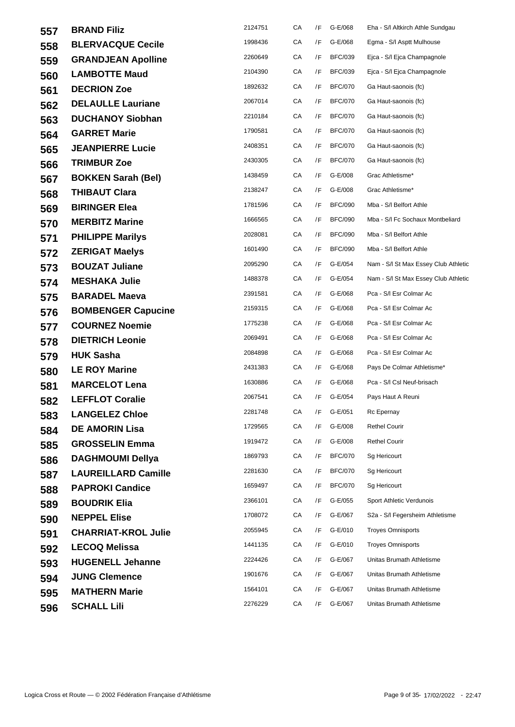| 557 | <b>BRAND Filiz</b>         | 2124751 | СA | /F | G-E/068        | Eha - S/I Altkirch Athle Sundgau     |
|-----|----------------------------|---------|----|----|----------------|--------------------------------------|
| 558 | <b>BLERVACQUE Cecile</b>   | 1998436 | СA | /F | G-E/068        | Egma - S/I Asptt Mulhouse            |
| 559 | <b>GRANDJEAN Apolline</b>  | 2260649 | CA | /F | <b>BFC/039</b> | Ejca - S/I Ejca Champagnole          |
| 560 | <b>LAMBOTTE Maud</b>       | 2104390 | CA | /F | <b>BFC/039</b> | Ejca - S/I Ejca Champagnole          |
| 561 | <b>DECRION Zoe</b>         | 1892632 | СA | /F | <b>BFC/070</b> | Ga Haut-saonois (fc)                 |
| 562 | <b>DELAULLE Lauriane</b>   | 2067014 | СA | /F | <b>BFC/070</b> | Ga Haut-saonois (fc)                 |
| 563 | <b>DUCHANOY Siobhan</b>    | 2210184 | СA | /F | <b>BFC/070</b> | Ga Haut-saonois (fc)                 |
| 564 | <b>GARRET Marie</b>        | 1790581 | СA | /F | <b>BFC/070</b> | Ga Haut-saonois (fc)                 |
| 565 | <b>JEANPIERRE Lucie</b>    | 2408351 | СA | /F | <b>BFC/070</b> | Ga Haut-saonois (fc)                 |
| 566 | <b>TRIMBUR Zoe</b>         | 2430305 | CA | /F | <b>BFC/070</b> | Ga Haut-saonois (fc)                 |
| 567 | <b>BOKKEN Sarah (Bel)</b>  | 1438459 | СA | /F | G-E/008        | Grac Athletisme*                     |
| 568 | <b>THIBAUT Clara</b>       | 2138247 | СA | /F | G-E/008        | Grac Athletisme*                     |
| 569 | <b>BIRINGER Elea</b>       | 1781596 | СA | /F | <b>BFC/090</b> | Mba - S/I Belfort Athle              |
| 570 | <b>MERBITZ Marine</b>      | 1666565 | CA | /F | <b>BFC/090</b> | Mba - S/I Fc Sochaux Montbeliard     |
| 571 | <b>PHILIPPE Marilys</b>    | 2028081 | CA | /F | <b>BFC/090</b> | Mba - S/I Belfort Athle              |
| 572 | <b>ZERIGAT Maelys</b>      | 1601490 | СA | /F | <b>BFC/090</b> | Mba - S/I Belfort Athle              |
| 573 | <b>BOUZAT Juliane</b>      | 2095290 | СA | /F | G-E/054        | Nam - S/I St Max Essey Club Athletic |
| 574 | <b>MESHAKA Julie</b>       | 1488378 | СA | /F | G-E/054        | Nam - S/I St Max Essey Club Athletic |
| 575 | <b>BARADEL Maeva</b>       | 2391581 | СA | /F | G-E/068        | Pca - S/I Esr Colmar Ac              |
| 576 | <b>BOMBENGER Capucine</b>  | 2159315 | СA | /F | G-E/068        | Pca - S/I Esr Colmar Ac              |
| 577 | <b>COURNEZ Noemie</b>      | 1775238 | СA | /F | G-E/068        | Pca - S/I Esr Colmar Ac              |
| 578 | <b>DIETRICH Leonie</b>     | 2069491 | CA | /F | G-E/068        | Pca - S/I Esr Colmar Ac              |
| 579 | <b>HUK Sasha</b>           | 2084898 | СA | /F | G-E/068        | Pca - S/I Esr Colmar Ac              |
| 580 | <b>LE ROY Marine</b>       | 2431383 | СA | /F | G-E/068        | Pays De Colmar Athletisme*           |
| 581 | <b>MARCELOT Lena</b>       | 1630886 | СA | /F | G-E/068        | Pca - S/I CsI Neuf-brisach           |
| 582 | <b>LEFFLOT Coralie</b>     | 2067541 | СA | /F | G-E/054        | Pays Haut A Reuni                    |
| 583 | <b>LANGELEZ Chloe</b>      | 2281748 | CA |    | /F G-E/051     | Rc Epernay                           |
| 584 | <b>DE AMORIN Lisa</b>      | 1729565 | СA | /F | G-E/008        | <b>Rethel Courir</b>                 |
| 585 | <b>GROSSELIN Emma</b>      | 1919472 | CA | /F | G-E/008        | <b>Rethel Courir</b>                 |
| 586 | <b>DAGHMOUMI Dellya</b>    | 1869793 | СA | /F | <b>BFC/070</b> | Sg Hericourt                         |
| 587 | <b>LAUREILLARD Camille</b> | 2281630 | СA | /F | <b>BFC/070</b> | Sg Hericourt                         |
| 588 | <b>PAPROKI Candice</b>     | 1659497 | СA | /F | <b>BFC/070</b> | Sg Hericourt                         |
| 589 | <b>BOUDRIK Elia</b>        | 2366101 | СA | /F | G-E/055        | Sport Athletic Verdunois             |
| 590 | <b>NEPPEL Elise</b>        | 1708072 | СA | /F | G-E/067        | S2a - S/I Fegersheim Athletisme      |
| 591 | <b>CHARRIAT-KROL Julie</b> | 2055945 | CA | /F | G-E/010        | <b>Troyes Omnisports</b>             |
| 592 | <b>LECOQ Melissa</b>       | 1441135 | СA | /F | G-E/010        | <b>Troyes Omnisports</b>             |
| 593 | <b>HUGENELL Jehanne</b>    | 2224426 | CA | /F | G-E/067        | Unitas Brumath Athletisme            |
| 594 | <b>JUNG Clemence</b>       | 1901676 | СA | /F | G-E/067        | Unitas Brumath Athletisme            |
| 595 | <b>MATHERN Marie</b>       | 1564101 | СA | /F | G-E/067        | Unitas Brumath Athletisme            |
| 596 | <b>SCHALL Lili</b>         | 2276229 | СA | /F | G-E/067        | Unitas Brumath Athletisme            |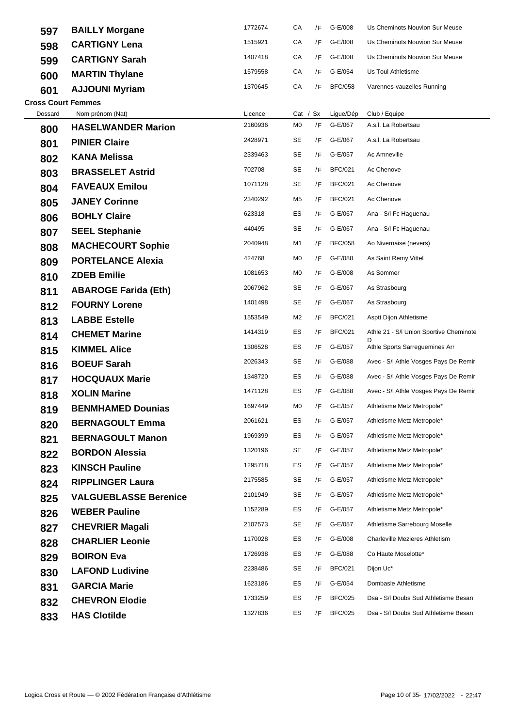| 597                       | <b>BAILLY Morgane</b>        | 1772674 | СA | /F       | G-E/008        | Us Cheminots Nouvion Sur Meuse          |
|---------------------------|------------------------------|---------|----|----------|----------------|-----------------------------------------|
| 598                       | <b>CARTIGNY Lena</b>         | 1515921 | СA | /F       | G-E/008        | Us Cheminots Nouvion Sur Meuse          |
| 599                       | <b>CARTIGNY Sarah</b>        | 1407418 | СA | /F       | G-E/008        | Us Cheminots Nouvion Sur Meuse          |
| 600                       | <b>MARTIN Thylane</b>        | 1579558 | СA | /F       | G-E/054        | Us Toul Athletisme                      |
| 601                       | <b>AJJOUNI Myriam</b>        | 1370645 | СA | /F       | <b>BFC/058</b> | Varennes-vauzelles Running              |
| <b>Cross Court Femmes</b> |                              |         |    |          |                |                                         |
| Dossard                   | Nom prénom (Nat)             | Licence |    | Cat / Sx | Ligue/Dép      | Club / Equipe                           |
| 800                       | <b>HASELWANDER Marion</b>    | 2160936 | M0 | /F       | G-E/067        | A.s.l. La Robertsau                     |
| 801                       | <b>PINIER Claire</b>         | 2428971 | SE | /F       | G-E/067        | A.s.l. La Robertsau                     |
| 802                       | <b>KANA Melissa</b>          | 2339463 | SE | /F       | G-E/057        | Ac Amneville                            |
| 803                       | <b>BRASSELET Astrid</b>      | 702708  | SE | /F       | <b>BFC/021</b> | Ac Chenove                              |
| 804                       | <b>FAVEAUX Emilou</b>        | 1071128 | SE | /F       | <b>BFC/021</b> | Ac Chenove                              |
| 805                       | <b>JANEY Corinne</b>         | 2340292 | M5 | /F       | <b>BFC/021</b> | Ac Chenove                              |
| 806                       | <b>BOHLY Claire</b>          | 623318  | ES | /F       | G-E/067        | Ana - S/I Fc Haguenau                   |
| 807                       | <b>SEEL Stephanie</b>        | 440495  | SE | /F       | G-E/067        | Ana - S/I Fc Haguenau                   |
| 808                       | <b>MACHECOURT Sophie</b>     | 2040948 | M1 | /F       | <b>BFC/058</b> | Ao Nivernaise (nevers)                  |
| 809                       | <b>PORTELANCE Alexia</b>     | 424768  | M0 | /F       | G-E/088        | As Saint Remy Vittel                    |
| 810                       | <b>ZDEB Emilie</b>           | 1081653 | M0 | /F       | G-E/008        | As Sommer                               |
| 811                       | <b>ABAROGE Farida (Eth)</b>  | 2067962 | SE | /F       | G-E/067        | As Strasbourg                           |
| 812                       | <b>FOURNY Lorene</b>         | 1401498 | SE | /F       | G-E/067        | As Strasbourg                           |
| 813                       | <b>LABBE Estelle</b>         | 1553549 | M2 | /F       | <b>BFC/021</b> | Asptt Dijon Athletisme                  |
| 814                       | <b>CHEMET Marine</b>         | 1414319 | ES | /F       | <b>BFC/021</b> | Athle 21 - S/I Union Sportive Cheminote |
| 815                       | <b>KIMMEL Alice</b>          | 1306528 | ES | /F       | G-E/057        | Athle Sports Sarreguemines Arr          |
| 816                       | <b>BOEUF Sarah</b>           | 2026343 | SE | /F       | G-E/088        | Avec - S/I Athle Vosges Pays De Remir   |
| 817                       | <b>HOCQUAUX Marie</b>        | 1348720 | ES | /F       | G-E/088        | Avec - S/I Athle Vosges Pays De Remir   |
| 818                       | <b>XOLIN Marine</b>          | 1471128 | ES | /F       | G-E/088        | Avec - S/I Athle Vosges Pays De Remir   |
| 819                       | <b>BENMHAMED Dounias</b>     | 1697449 | MO | /F       | G-E/057        | Athletisme Metz Metropole*              |
| 820                       | <b>BERNAGOULT Emma</b>       | 2061621 | ES | /F       | G-E/057        | Athletisme Metz Metropole*              |
| 821                       | <b>BERNAGOULT Manon</b>      | 1969399 | ES | /F       | G-E/057        | Athletisme Metz Metropole*              |
| 822                       | <b>BORDON Alessia</b>        | 1320196 | SE | /F       | G-E/057        | Athletisme Metz Metropole*              |
| 823                       | <b>KINSCH Pauline</b>        | 1295718 | ES | /F       | G-E/057        | Athletisme Metz Metropole*              |
| 824                       | <b>RIPPLINGER Laura</b>      | 2175585 | SE | /F       | G-E/057        | Athletisme Metz Metropole*              |
| 825                       | <b>VALGUEBLASSE Berenice</b> | 2101949 | SE | /F       | G-E/057        | Athletisme Metz Metropole*              |
| 826                       | <b>WEBER Pauline</b>         | 1152289 | ES | /F       | G-E/057        | Athletisme Metz Metropole*              |
| 827                       | <b>CHEVRIER Magali</b>       | 2107573 | SE | /F       | G-E/057        | Athletisme Sarrebourg Moselle           |
| 828                       | <b>CHARLIER Leonie</b>       | 1170028 | ES | /F       | G-E/008        | <b>Charleville Mezieres Athletism</b>   |
| 829                       | <b>BOIRON Eva</b>            | 1726938 | ES | /F       | G-E/088        | Co Haute Moselotte*                     |
| 830                       | <b>LAFOND Ludivine</b>       | 2238486 | SE | /F       | <b>BFC/021</b> | Dijon Uc*                               |
| 831                       | <b>GARCIA Marie</b>          | 1623186 | ES | /F       | G-E/054        | Dombasle Athletisme                     |
| 832                       | <b>CHEVRON Elodie</b>        | 1733259 | ES | /F       | <b>BFC/025</b> | Dsa - S/I Doubs Sud Athletisme Besan    |
| 833                       | <b>HAS Clotilde</b>          | 1327836 | ES | /F       | <b>BFC/025</b> | Dsa - S/I Doubs Sud Athletisme Besan    |
|                           |                              |         |    |          |                |                                         |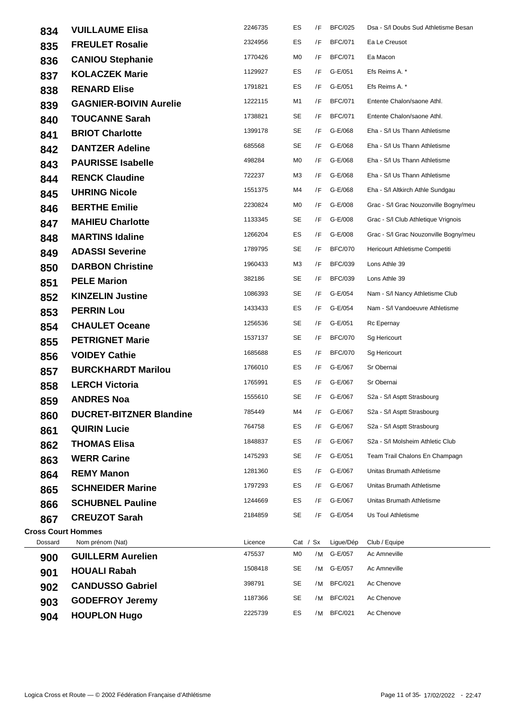| 834                       | <b>VUILLAUME Elisa</b>         | 2246735           | ES               | /F | <b>BFC/025</b>       | Dsa - S/I Doubs Sud Athletisme Besan  |
|---------------------------|--------------------------------|-------------------|------------------|----|----------------------|---------------------------------------|
| 835                       | <b>FREULET Rosalie</b>         | 2324956           | ES               | /F | <b>BFC/071</b>       | Ea Le Creusot                         |
| 836                       | <b>CANIOU Stephanie</b>        | 1770426           | M0               | /F | <b>BFC/071</b>       | Ea Macon                              |
| 837                       | <b>KOLACZEK Marie</b>          | 1129927           | ES               | /F | G-E/051              | Efs Reims A. *                        |
| 838                       | <b>RENARD Elise</b>            | 1791821           | ES               | /F | G-E/051              | Efs Reims A. *                        |
| 839                       | <b>GAGNIER-BOIVIN Aurelie</b>  | 1222115           | M1               | /F | <b>BFC/071</b>       | Entente Chalon/saone Athl.            |
| 840                       | <b>TOUCANNE Sarah</b>          | 1738821           | SE               | /F | <b>BFC/071</b>       | Entente Chalon/saone Athl.            |
| 841                       | <b>BRIOT Charlotte</b>         | 1399178           | SE               | /F | G-E/068              | Eha - S/I Us Thann Athletisme         |
| 842                       | <b>DANTZER Adeline</b>         | 685568            | SE               | /F | G-E/068              | Eha - S/I Us Thann Athletisme         |
| 843                       | <b>PAURISSE Isabelle</b>       | 498284            | M0               | /F | G-E/068              | Eha - S/I Us Thann Athletisme         |
| 844                       | <b>RENCK Claudine</b>          | 722237            | ΜЗ               | /F | G-E/068              | Eha - S/I Us Thann Athletisme         |
| 845                       | <b>UHRING Nicole</b>           | 1551375           | M4               | /F | G-E/068              | Eha - S/I Altkirch Athle Sundgau      |
| 846                       | <b>BERTHE Emilie</b>           | 2230824           | M0               | /F | G-E/008              | Grac - S/I Grac Nouzonville Bogny/meu |
| 847                       | <b>MAHIEU Charlotte</b>        | 1133345           | SE               | /F | G-E/008              | Grac - S/I Club Athletique Vrignois   |
| 848                       | <b>MARTINS Idaline</b>         | 1266204           | ES               | /F | G-E/008              | Grac - S/I Grac Nouzonville Bogny/meu |
| 849                       | <b>ADASSI Severine</b>         | 1789795           | SE               | /F | <b>BFC/070</b>       | Hericourt Athletisme Competiti        |
| 850                       | <b>DARBON Christine</b>        | 1960433           | ΜЗ               | /F | <b>BFC/039</b>       | Lons Athle 39                         |
| 851                       | <b>PELE Marion</b>             | 382186            | SE               | /F | <b>BFC/039</b>       | Lons Athle 39                         |
| 852                       | <b>KINZELIN Justine</b>        | 1086393           | SE               | /F | G-E/054              | Nam - S/I Nancy Athletisme Club       |
| 853                       | <b>PERRIN Lou</b>              | 1433433           | ES               | /F | G-E/054              | Nam - S/I Vandoeuvre Athletisme       |
| 854                       | <b>CHAULET Oceane</b>          | 1256536           | SE               | /F | G-E/051              | Rc Epernay                            |
| 855                       | <b>PETRIGNET Marie</b>         | 1537137           | SE               | /F | <b>BFC/070</b>       | Sg Hericourt                          |
| 856                       | <b>VOIDEY Cathie</b>           | 1685688           | ES               | /F | <b>BFC/070</b>       | Sg Hericourt                          |
| 857                       | <b>BURCKHARDT Marilou</b>      | 1766010           | ES               | /F | G-E/067              | Sr Obernai                            |
| 858                       | <b>LERCH Victoria</b>          | 1765991           | ES               | /F | G-E/067              | Sr Obernai                            |
| 859                       | <b>ANDRES Noa</b>              | 1555610           | SE               | /F | G-E/067              | S2a - S/I Asptt Strasbourg            |
| 860                       | <b>DUCRET-BITZNER Blandine</b> | 785449            | M4               |    | /F G-E/067           | S2a - S/I Asptt Strasbourg            |
| 861                       | <b>QUIRIN Lucie</b>            | 764758            | ES               | /F | G-E/067              | S2a - S/l Asptt Strasbourg            |
| 862                       | <b>THOMAS Elisa</b>            | 1848837           | ES               | /F | G-E/067              | S2a - S/I Molsheim Athletic Club      |
| 863                       | <b>WERR Carine</b>             | 1475293           | SE               | /F | G-E/051              | Team Trail Chalons En Champagn        |
| 864                       | <b>REMY Manon</b>              | 1281360           | ES               | /F | G-E/067              | Unitas Brumath Athletisme             |
| 865                       | <b>SCHNEIDER Marine</b>        | 1797293           | ES               | /F | G-E/067              | Unitas Brumath Athletisme             |
| 866                       | <b>SCHUBNEL Pauline</b>        | 1244669           | ES               | /F | G-E/067              | Unitas Brumath Athletisme             |
| 867                       | <b>CREUZOT Sarah</b>           | 2184859           | SE               | /F | G-E/054              | Us Toul Athletisme                    |
| <b>Cross Court Hommes</b> |                                |                   |                  |    |                      |                                       |
| Dossard                   | Nom prénom (Nat)               | Licence<br>475537 | Cat / $Sx$<br>M0 | /M | Ligue/Dép<br>G-E/057 | Club / Equipe<br>Ac Amneville         |
| 900                       | <b>GUILLERM Aurelien</b>       | 1508418           | SE               | /M | G-E/057              | Ac Amneville                          |
| 901                       | <b>HOUALI Rabah</b>            | 398791            | SE               | /M | <b>BFC/021</b>       | Ac Chenove                            |
| 902                       | <b>CANDUSSO Gabriel</b>        | 1187366           | SE               | /M | <b>BFC/021</b>       | Ac Chenove                            |
| 903                       | <b>GODEFROY Jeremy</b>         | 2225739           | ES               | /M | <b>BFC/021</b>       | Ac Chenove                            |
| 904                       | <b>HOUPLON Hugo</b>            |                   |                  |    |                      |                                       |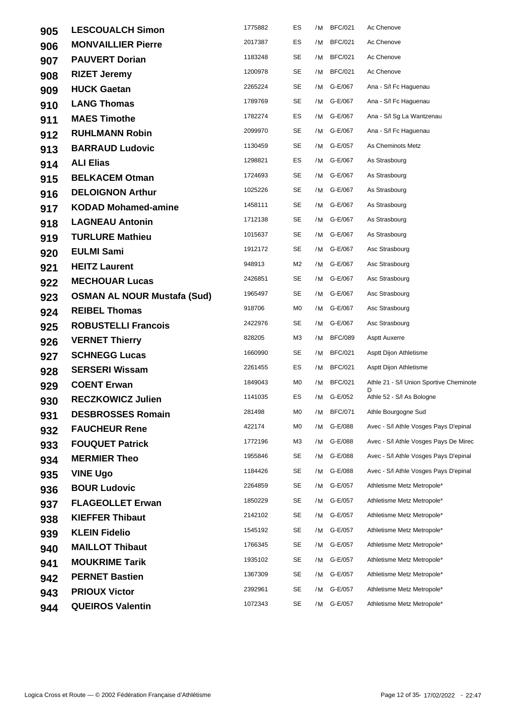| 905 | <b>LESCOUALCH Simon</b>            | 1775882 | ES | /M | <b>BFC/021</b> | Ac Chenove                                   |
|-----|------------------------------------|---------|----|----|----------------|----------------------------------------------|
| 906 | <b>MONVAILLIER Pierre</b>          | 2017387 | ES |    | /M BFC/021     | Ac Chenove                                   |
| 907 | <b>PAUVERT Dorian</b>              | 1183248 | SE |    | /M BFC/021     | Ac Chenove                                   |
| 908 | <b>RIZET Jeremy</b>                | 1200978 | SE |    | /M BFC/021     | Ac Chenove                                   |
| 909 | <b>HUCK Gaetan</b>                 | 2265224 | SE |    | /M G-E/067     | Ana - S/I Fc Haguenau                        |
| 910 | <b>LANG Thomas</b>                 | 1789769 | SE |    | /M G-E/067     | Ana - S/I Fc Haguenau                        |
| 911 | <b>MAES Timothe</b>                | 1782274 | ES | /M | G-E/067        | Ana - S/I Sg La Wantzenau                    |
| 912 | <b>RUHLMANN Robin</b>              | 2099970 | SE |    | /M G-E/067     | Ana - S/I Fc Haguenau                        |
| 913 | <b>BARRAUD Ludovic</b>             | 1130459 | SE |    | /M G-E/057     | As Cheminots Metz                            |
| 914 | <b>ALI Elias</b>                   | 1298821 | ES |    | /M G-E/067     | As Strasbourg                                |
| 915 | <b>BELKACEM Otman</b>              | 1724693 | SE |    | /M G-E/067     | As Strasbourg                                |
| 916 | <b>DELOIGNON Arthur</b>            | 1025226 | SE |    | /M G-E/067     | As Strasbourg                                |
| 917 | <b>KODAD Mohamed-amine</b>         | 1458111 | SE |    | /M G-E/067     | As Strasbourg                                |
| 918 | <b>LAGNEAU Antonin</b>             | 1712138 | SE |    | /M G-E/067     | As Strasbourg                                |
| 919 | <b>TURLURE Mathieu</b>             | 1015637 | SE |    | /M G-E/067     | As Strasbourg                                |
| 920 | <b>EULMI Sami</b>                  | 1912172 | SE |    | /M G-E/067     | Asc Strasbourg                               |
| 921 | <b>HEITZ Laurent</b>               | 948913  | M2 |    | /M G-E/067     | Asc Strasbourg                               |
| 922 | <b>MECHOUAR Lucas</b>              | 2426851 | SE |    | /M G-E/067     | Asc Strasbourg                               |
| 923 | <b>OSMAN AL NOUR Mustafa (Sud)</b> | 1965497 | SE |    | /M G-E/067     | Asc Strasbourg                               |
| 924 | <b>REIBEL Thomas</b>               | 918706  | M0 |    | /M G-E/067     | Asc Strasbourg                               |
| 925 | <b>ROBUSTELLI Francois</b>         | 2422976 | SE | /M | G-E/067        | Asc Strasbourg                               |
| 926 | <b>VERNET Thierry</b>              | 828205  | ΜЗ |    | /M BFC/089     | <b>Asptt Auxerre</b>                         |
| 927 | <b>SCHNEGG Lucas</b>               | 1660990 | SE |    | /M BFC/021     | Asptt Dijon Athletisme                       |
| 928 | <b>SERSERI Wissam</b>              | 2261455 | ES |    | /M BFC/021     | Asptt Dijon Athletisme                       |
| 929 | <b>COENT Erwan</b>                 | 1849043 | MO |    | /M BFC/021     | Athle 21 - S/I Union Sportive Cheminote<br>D |
| 930 | <b>RECZKOWICZ Julien</b>           | 1141035 | ES |    | /M G-E/052     | Athle 52 - S/I As Bologne                    |
| 931 | <b>DESBROSSES Romain</b>           | 281498  | MO |    | /M BFC/071     | Athle Bourgogne Sud                          |
| 932 | <b>FAUCHEUR Rene</b>               | 422174  | M0 | /M | G-E/088        | Avec - S/I Athle Vosges Pays D'epinal        |
| 933 | <b>FOUQUET Patrick</b>             | 1772196 | ΜЗ | /M | G-E/088        | Avec - S/I Athle Vosges Pays De Mirec        |
| 934 | <b>MERMIER Theo</b>                | 1955846 | SE | /M | G-E/088        | Avec - S/I Athle Vosges Pays D'epinal        |
| 935 | <b>VINE Ugo</b>                    | 1184426 | SE |    | /M G-E/088     | Avec - S/I Athle Vosges Pays D'epinal        |
| 936 | <b>BOUR Ludovic</b>                | 2264859 | SE | /M | G-E/057        | Athletisme Metz Metropole*                   |
| 937 | <b>FLAGEOLLET Erwan</b>            | 1850229 | SE | /M | G-E/057        | Athletisme Metz Metropole*                   |
| 938 | <b>KIEFFER Thibaut</b>             | 2142102 | SE | /M | G-E/057        | Athletisme Metz Metropole*                   |
| 939 | <b>KLEIN Fidelio</b>               | 1545192 | SE |    | /M G-E/057     | Athletisme Metz Metropole*                   |
| 940 | <b>MAILLOT Thibaut</b>             | 1766345 | SE | /M | G-E/057        | Athletisme Metz Metropole*                   |
| 941 | <b>MOUKRIME Tarik</b>              | 1935102 | SE | /M | G-E/057        | Athletisme Metz Metropole*                   |
| 942 | <b>PERNET Bastien</b>              | 1367309 | SE | /M | G-E/057        | Athletisme Metz Metropole*                   |
| 943 | <b>PRIOUX Victor</b>               | 2392961 | SE | /M | G-E/057        | Athletisme Metz Metropole*                   |
| 944 | <b>QUEIROS Valentin</b>            | 1072343 | SE |    | /M G-E/057     | Athletisme Metz Metropole*                   |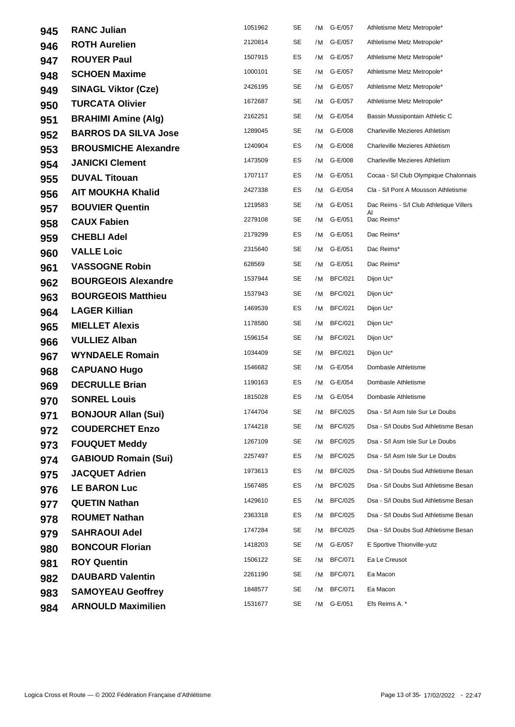| 945 | <b>RANC Julian</b>          | 1051962 | SE        | /M | G-E/057        | Athletisme Metz Metropole*                    |
|-----|-----------------------------|---------|-----------|----|----------------|-----------------------------------------------|
| 946 | <b>ROTH Aurelien</b>        | 2120814 | <b>SE</b> | /M | G-E/057        | Athletisme Metz Metropole*                    |
| 947 | <b>ROUYER Paul</b>          | 1507915 | ES        |    | /M G-E/057     | Athletisme Metz Metropole*                    |
| 948 | <b>SCHOEN Maxime</b>        | 1000101 | <b>SE</b> |    | /M G-E/057     | Athletisme Metz Metropole*                    |
| 949 | <b>SINAGL Viktor (Cze)</b>  | 2426195 | <b>SE</b> | /M | G-E/057        | Athletisme Metz Metropole*                    |
| 950 | <b>TURCATA Olivier</b>      | 1672687 | SE        |    | /M G-E/057     | Athletisme Metz Metropole*                    |
| 951 | <b>BRAHIMI Amine (Alg)</b>  | 2162251 | SE        | /M | G-E/054        | Bassin Mussipontain Athletic C                |
| 952 | <b>BARROS DA SILVA Jose</b> | 1289045 | <b>SE</b> | /M | G-E/008        | <b>Charleville Mezieres Athletism</b>         |
| 953 | <b>BROUSMICHE Alexandre</b> | 1240904 | ES        |    | /M G-E/008     | <b>Charleville Mezieres Athletism</b>         |
| 954 | <b>JANICKI Clement</b>      | 1473509 | ES        | /M | G-E/008        | Charleville Mezieres Athletism                |
| 955 | <b>DUVAL Titouan</b>        | 1707117 | ES        |    | /M G-E/051     | Cocaa - S/I Club Olympique Chalonnais         |
| 956 | <b>AIT MOUKHA Khalid</b>    | 2427338 | ES        | /M | G-E/054        | Cla - S/I Pont A Mousson Athletisme           |
| 957 | <b>BOUVIER Quentin</b>      | 1219583 | <b>SE</b> |    | /M G-E/051     | Dac Reims - S/I Club Athletique Villers<br>Al |
| 958 | <b>CAUX Fabien</b>          | 2279108 | <b>SE</b> | /M | G-E/051        | Dac Reims*                                    |
| 959 | <b>CHEBLI Adel</b>          | 2179299 | ES        | /M | G-E/051        | Dac Reims*                                    |
| 960 | <b>VALLE Loic</b>           | 2315640 | SE        |    | /M G-E/051     | Dac Reims*                                    |
| 961 | <b>VASSOGNE Robin</b>       | 628569  | <b>SE</b> | /M | G-E/051        | Dac Reims*                                    |
| 962 | <b>BOURGEOIS Alexandre</b>  | 1537944 | SE        | /M | <b>BFC/021</b> | Dijon Uc*                                     |
| 963 | <b>BOURGEOIS Matthieu</b>   | 1537943 | SE        | /M | <b>BFC/021</b> | Dijon Uc*                                     |
| 964 | <b>LAGER Killian</b>        | 1469539 | ES        | /M | <b>BFC/021</b> | Dijon Uc*                                     |
| 965 | <b>MIELLET Alexis</b>       | 1178580 | SE        | /M | <b>BFC/021</b> | Dijon Uc*                                     |
| 966 | <b>VULLIEZ Alban</b>        | 1596154 | <b>SE</b> | /M | <b>BFC/021</b> | Dijon Uc*                                     |
| 967 | <b>WYNDAELE Romain</b>      | 1034409 | <b>SE</b> | /M | <b>BFC/021</b> | Dijon Uc*                                     |
| 968 | <b>CAPUANO Hugo</b>         | 1546682 | <b>SE</b> | /M | G-E/054        | Dombasle Athletisme                           |
| 969 | <b>DECRULLE Brian</b>       | 1190163 | ES        | /M | G-E/054        | Dombasle Athletisme                           |
| 970 | <b>SONREL Louis</b>         | 1815028 | ES        | /M | G-E/054        | Dombasle Athletisme                           |
| 971 | <b>BONJOUR Allan (Sui)</b>  | 1744704 | SE        |    | /M BFC/025     | Dsa - S/I Asm Isle Sur Le Doubs               |
| 972 | <b>COUDERCHET Enzo</b>      | 1744218 | SE        | /M | <b>BFC/025</b> | Dsa - S/I Doubs Sud Athletisme Besan          |
| 973 | <b>FOUQUET Meddy</b>        | 1267109 | SE        | /M | <b>BFC/025</b> | Dsa - S/I Asm Isle Sur Le Doubs               |
| 974 | <b>GABIOUD Romain (Sui)</b> | 2257497 | ES        | /M | <b>BFC/025</b> | Dsa - S/I Asm Isle Sur Le Doubs               |
| 975 | <b>JACQUET Adrien</b>       | 1973613 | ES        | /M | <b>BFC/025</b> | Dsa - S/I Doubs Sud Athletisme Besan          |
| 976 | <b>LE BARON Luc</b>         | 1567485 | ES        | /M | <b>BFC/025</b> | Dsa - S/I Doubs Sud Athletisme Besan          |
| 977 | <b>QUETIN Nathan</b>        | 1429610 | ES        | /M | <b>BFC/025</b> | Dsa - S/I Doubs Sud Athletisme Besan          |
| 978 | <b>ROUMET Nathan</b>        | 2363318 | ES        | /M | <b>BFC/025</b> | Dsa - S/I Doubs Sud Athletisme Besan          |
| 979 | <b>SAHRAOUI Adel</b>        | 1747284 | <b>SE</b> | /M | <b>BFC/025</b> | Dsa - S/I Doubs Sud Athletisme Besan          |
| 980 | <b>BONCOUR Florian</b>      | 1418203 | SE        |    | /M G-E/057     | E Sportive Thionville-yutz                    |
| 981 | <b>ROY Quentin</b>          | 1506122 | <b>SE</b> | /M | <b>BFC/071</b> | Ea Le Creusot                                 |
| 982 | <b>DAUBARD Valentin</b>     | 2261190 | SE        | /M | <b>BFC/071</b> | Ea Macon                                      |
| 983 | <b>SAMOYEAU Geoffrey</b>    | 1848577 | SE        | /M | <b>BFC/071</b> | Ea Macon                                      |
| 984 | <b>ARNOULD Maximilien</b>   | 1531677 | SE        | /M | G-E/051        | Efs Reims A. *                                |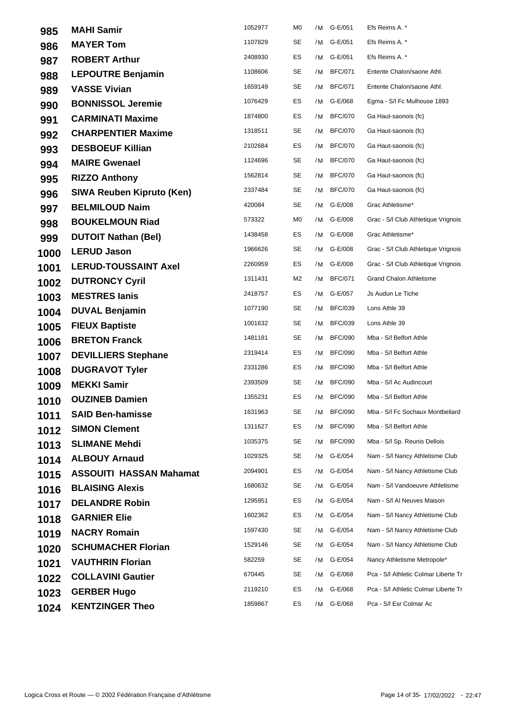| 985  | <b>MAHI Samir</b>                | 1052977 | M0        | /M | G-E/051        | Efs Reims A. *                       |
|------|----------------------------------|---------|-----------|----|----------------|--------------------------------------|
| 986  | <b>MAYER Tom</b>                 | 1107829 | SE        | /M | G-E/051        | Efs Reims A. *                       |
| 987  | <b>ROBERT Arthur</b>             | 2408930 | ES        | /M | G-E/051        | Efs Reims A. *                       |
| 988  | <b>LEPOUTRE Benjamin</b>         | 1108606 | <b>SE</b> |    | /M BFC/071     | Entente Chalon/saone Athl.           |
| 989  | <b>VASSE Vivian</b>              | 1659149 | <b>SE</b> | /M | <b>BFC/071</b> | Entente Chalon/saone Athl.           |
| 990  | <b>BONNISSOL Jeremie</b>         | 1076429 | ES        | /M | G-E/068        | Egma - S/I Fc Mulhouse 1893          |
| 991  | <b>CARMINATI Maxime</b>          | 1874800 | ES        | /M | <b>BFC/070</b> | Ga Haut-saonois (fc)                 |
| 992  | <b>CHARPENTIER Maxime</b>        | 1318511 | <b>SE</b> | /M | <b>BFC/070</b> | Ga Haut-saonois (fc)                 |
| 993  | <b>DESBOEUF Killian</b>          | 2102684 | ES        | /M | <b>BFC/070</b> | Ga Haut-saonois (fc)                 |
| 994  | <b>MAIRE Gwenael</b>             | 1124696 | <b>SE</b> | /M | <b>BFC/070</b> | Ga Haut-saonois (fc)                 |
| 995  | <b>RIZZO Anthony</b>             | 1562814 | SE        | /M | <b>BFC/070</b> | Ga Haut-saonois (fc)                 |
| 996  | <b>SIWA Reuben Kipruto (Ken)</b> | 2337484 | SE        | /M | <b>BFC/070</b> | Ga Haut-saonois (fc)                 |
| 997  | <b>BELMILOUD Naim</b>            | 420084  | SE        | /M | G-E/008        | Grac Athletisme*                     |
| 998  | <b>BOUKELMOUN Riad</b>           | 573322  | MO        | /M | G-E/008        | Grac - S/I Club Athletique Vrignois  |
| 999  | <b>DUTOIT Nathan (Bel)</b>       | 1438458 | ES        | /M | G-E/008        | Grac Athletisme*                     |
| 1000 | <b>LERUD Jason</b>               | 1966626 | SE        |    | /M G-E/008     | Grac - S/I Club Athletique Vrignois  |
| 1001 | <b>LERUD-TOUSSAINT Axel</b>      | 2260959 | ES        | /M | G-E/008        | Grac - S/I Club Athletique Vrignois  |
| 1002 | <b>DUTRONCY Cyril</b>            | 1311431 | M2        | /M | <b>BFC/071</b> | <b>Grand Chalon Athletisme</b>       |
| 1003 | <b>MESTRES lanis</b>             | 2418757 | ES        | /M | G-E/057        | Js Audun Le Tiche                    |
| 1004 | <b>DUVAL Benjamin</b>            | 1077190 | <b>SE</b> | /M | <b>BFC/039</b> | Lons Athle 39                        |
| 1005 | <b>FIEUX Baptiste</b>            | 1001632 | SE        | /M | <b>BFC/039</b> | Lons Athle 39                        |
| 1006 | <b>BRETON Franck</b>             | 1481181 | <b>SE</b> | /M | <b>BFC/090</b> | Mba - S/I Belfort Athle              |
| 1007 | <b>DEVILLIERS Stephane</b>       | 2319414 | ES        | /M | <b>BFC/090</b> | Mba - S/I Belfort Athle              |
| 1008 | <b>DUGRAVOT Tyler</b>            | 2331286 | ES        | /M | <b>BFC/090</b> | Mba - S/I Belfort Athle              |
| 1009 | <b>MEKKI Samir</b>               | 2393509 | <b>SE</b> | /M | <b>BFC/090</b> | Mba - S/I Ac Audincourt              |
| 1010 | <b>OUZINEB Damien</b>            | 1355231 | ES        | /M | <b>BFC/090</b> | Mba - S/I Belfort Athle              |
| 1011 | <b>SAID Ben-hamisse</b>          | 1631963 | SE        |    | /M BFC/090     | Mba - S/I Fc Sochaux Montbeliard     |
| 1012 | <b>SIMON Clement</b>             | 1311627 | ES        | /M | <b>BFC/090</b> | Mba - S/I Belfort Athle              |
| 1013 | <b>SLIMANE Mehdi</b>             | 1035375 | SE        | /M | <b>BFC/090</b> | Mba - S/I Sp. Reunis Dellois         |
| 1014 | <b>ALBOUY Arnaud</b>             | 1029325 | SE        | /M | G-E/054        | Nam - S/I Nancy Athletisme Club      |
| 1015 | <b>ASSOUITI HASSAN Mahamat</b>   | 2094901 | ES        | /M | G-E/054        | Nam - S/I Nancy Athletisme Club      |
| 1016 | <b>BLAISING Alexis</b>           | 1680632 | SE        | /M | G-E/054        | Nam - S/I Vandoeuvre Athletisme      |
| 1017 | <b>DELANDRE Robin</b>            | 1295951 | ES        | /M | G-E/054        | Nam - S/I AI Neuves Maison           |
| 1018 | <b>GARNIER Elie</b>              | 1602362 | ES        | /M | G-E/054        | Nam - S/I Nancy Athletisme Club      |
| 1019 | <b>NACRY Romain</b>              | 1597430 | SE        | /M | G-E/054        | Nam - S/I Nancy Athletisme Club      |
| 1020 | <b>SCHUMACHER Florian</b>        | 1529146 | SE        | /M | G-E/054        | Nam - S/I Nancy Athletisme Club      |
| 1021 | <b>VAUTHRIN Florian</b>          | 582259  | <b>SE</b> | /M | G-E/054        | Nancy Athletisme Metropole*          |
| 1022 | <b>COLLAVINI Gautier</b>         | 670445  | SE        | /M | G-E/068        | Pca - S/I Athletic Colmar Liberte Tr |
| 1023 | <b>GERBER Hugo</b>               | 2119210 | ES        | /M | G-E/068        | Pca - S/I Athletic Colmar Liberte Tr |
| 1024 | <b>KENTZINGER Theo</b>           | 1859867 | ES        | /M | G-E/068        | Pca - S/I Esr Colmar Ac              |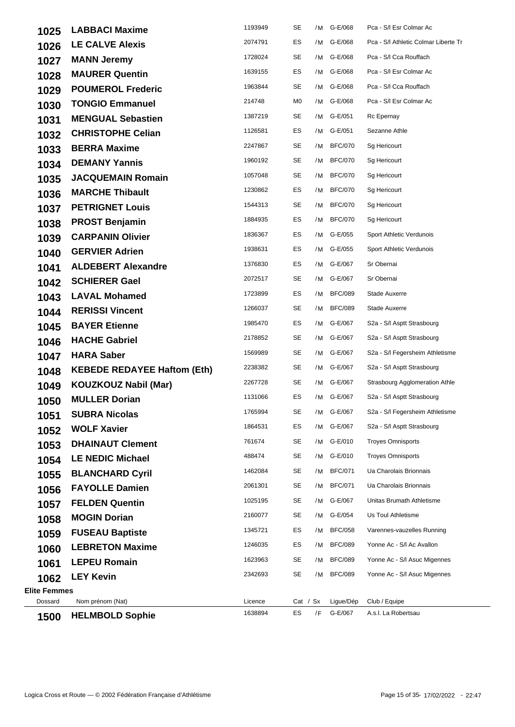| 1025                           | <b>LABBACI Maxime</b>                      | 1193949 | SE         | /M | G-E/068              | Pca - S/I Esr Colmar Ac               |
|--------------------------------|--------------------------------------------|---------|------------|----|----------------------|---------------------------------------|
| 1026                           | <b>LE CALVE Alexis</b>                     | 2074791 | ES         |    | /M G-E/068           | Pca - S/I Athletic Colmar Liberte Tr  |
| 1027                           | <b>MANN Jeremy</b>                         | 1728024 | <b>SE</b>  |    | /M G-E/068           | Pca - S/I Cca Rouffach                |
| 1028                           | <b>MAURER Quentin</b>                      | 1639155 | ES         |    | /M G-E/068           | Pca - S/I Esr Colmar Ac               |
| 1029                           | <b>POUMEROL Frederic</b>                   | 1963844 | SE         | /M | G-E/068              | Pca - S/I Cca Rouffach                |
| 1030                           | <b>TONGIO Emmanuel</b>                     | 214748  | M0         | /M | G-E/068              | Pca - S/I Esr Colmar Ac               |
| 1031                           | <b>MENGUAL Sebastien</b>                   | 1387219 | SE         | /M | G-E/051              | Rc Epernay                            |
| 1032                           | <b>CHRISTOPHE Celian</b>                   | 1126581 | ES         | /M | G-E/051              | Sezanne Athle                         |
| 1033                           | <b>BERRA Maxime</b>                        | 2247867 | SE         |    | /M BFC/070           | Sg Hericourt                          |
| 1034                           | <b>DEMANY Yannis</b>                       | 1960192 | SE         | /M | <b>BFC/070</b>       | Sg Hericourt                          |
| 1035                           | <b>JACQUEMAIN Romain</b>                   | 1057048 | SE         | /M | <b>BFC/070</b>       | Sg Hericourt                          |
| 1036                           | <b>MARCHE Thibault</b>                     | 1230862 | ES         | /M | <b>BFC/070</b>       | Sg Hericourt                          |
| 1037                           | <b>PETRIGNET Louis</b>                     | 1544313 | SE         | /M | <b>BFC/070</b>       | Sq Hericourt                          |
| 1038                           | <b>PROST Benjamin</b>                      | 1884935 | ES         | /M | <b>BFC/070</b>       | Sg Hericourt                          |
| 1039                           | <b>CARPANIN Olivier</b>                    | 1836367 | ES         | /M | G-E/055              | Sport Athletic Verdunois              |
| 1040                           | <b>GERVIER Adrien</b>                      | 1938631 | ES         |    | /M G-E/055           | Sport Athletic Verdunois              |
| 1041                           | <b>ALDEBERT Alexandre</b>                  | 1376830 | ES         | /M | G-E/067              | Sr Obernai                            |
| 1042                           | <b>SCHIERER Gael</b>                       | 2072517 | SE         | /M | G-E/067              | Sr Obernai                            |
| 1043                           | <b>LAVAL Mohamed</b>                       | 1723899 | ES         | /M | <b>BFC/089</b>       | Stade Auxerre                         |
| 1044                           | <b>RERISSI Vincent</b>                     | 1266037 | SE         | /M | <b>BFC/089</b>       | Stade Auxerre                         |
| 1045                           | <b>BAYER Etienne</b>                       | 1985470 | ES         | /M | G-E/067              | S2a - S/I Asptt Strasbourg            |
| 1046                           | <b>HACHE Gabriel</b>                       | 2178852 | SE         |    | /M G-E/067           | S2a - S/I Asptt Strasbourg            |
| 1047                           | <b>HARA Saber</b>                          | 1569989 | <b>SE</b>  |    | /M G-E/067           | S2a - S/I Fegersheim Athletisme       |
| 1048                           | <b>KEBEDE REDAYEE Haftom (Eth)</b>         | 2238382 | SE         |    | /M G-E/067           | S2a - S/I Asptt Strasbourg            |
| 1049                           | <b>KOUZKOUZ Nabil (Mar)</b>                | 2267728 | SE         | /M | G-E/067              | <b>Strasbourg Agglomeration Athle</b> |
| 1050                           | <b>MULLER Dorian</b>                       | 1131066 | ES         |    | /M G-E/067           | S2a - S/I Asptt Strasbourg            |
| 1051                           | <b>SUBRA Nicolas</b>                       | 1765994 | SE         |    | /M G-E/067           | S2a - S/I Fegersheim Athletisme       |
| 1052                           | <b>WOLF Xavier</b>                         | 1864531 | ES         | /M | G-E/067              | S2a - S/l Asptt Strasbourg            |
| 1053                           | <b>DHAINAUT Clement</b>                    | 761674  | SE         | /M | G-E/010              | <b>Troyes Omnisports</b>              |
| 1054                           | <b>LE NEDIC Michael</b>                    | 488474  | SE         | /M | G-E/010              | <b>Troyes Omnisports</b>              |
| 1055                           | <b>BLANCHARD Cyril</b>                     | 1462084 | SE         | /M | <b>BFC/071</b>       | Ua Charolais Brionnais                |
| 1056                           | <b>FAYOLLE Damien</b>                      | 2061301 | SE         | /M | <b>BFC/071</b>       | Ua Charolais Brionnais                |
| 1057                           | <b>FELDEN Quentin</b>                      | 1025195 | SE         | /M | G-E/067              | Unitas Brumath Athletisme             |
| 1058                           | <b>MOGIN Dorian</b>                        | 2160077 | SE         | /M | G-E/054              | Us Toul Athletisme                    |
| 1059                           | <b>FUSEAU Baptiste</b>                     | 1345721 | ES         | /M | <b>BFC/058</b>       | Varennes-vauzelles Running            |
| 1060                           | <b>LEBRETON Maxime</b>                     | 1246035 | ES         | /M | <b>BFC/089</b>       | Yonne Ac - S/I Ac Avallon             |
| 1061                           | <b>LEPEU Romain</b>                        | 1623963 | SE         | /M | <b>BFC/089</b>       | Yonne Ac - S/I Asuc Migennes          |
| 1062                           | <b>LEY Kevin</b>                           | 2342693 | <b>SE</b>  | /M | <b>BFC/089</b>       | Yonne Ac - S/I Asuc Migennes          |
| <b>Elite Femmes</b><br>Dossard |                                            | Licence | Cat / $Sx$ |    |                      |                                       |
|                                | Nom prénom (Nat)<br><b>HELMBOLD Sophie</b> | 1638894 | ES         | /F | Ligue/Dép<br>G-E/067 | Club / Equipe<br>A.s.l. La Robertsau  |
| 1500                           |                                            |         |            |    |                      |                                       |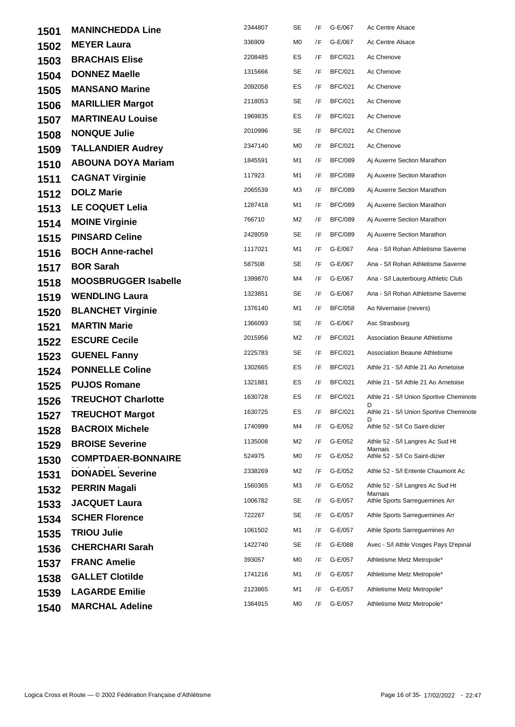| 1501 | <b>MANINCHEDDA Line</b>     | 2344807 | SE        | /F | G-E/067        | Ac Centre Alsace                             |
|------|-----------------------------|---------|-----------|----|----------------|----------------------------------------------|
| 1502 | <b>MEYER Laura</b>          | 336909  | M0        | /F | G-E/067        | Ac Centre Alsace                             |
| 1503 | <b>BRACHAIS Elise</b>       | 2208485 | ES        | /F | <b>BFC/021</b> | Ac Chenove                                   |
| 1504 | <b>DONNEZ Maelle</b>        | 1315666 | SE        | /F | <b>BFC/021</b> | Ac Chenove                                   |
| 1505 | <b>MANSANO Marine</b>       | 2092058 | ES        | /F | <b>BFC/021</b> | Ac Chenove                                   |
| 1506 | <b>MARILLIER Margot</b>     | 2118053 | <b>SE</b> | /F | <b>BFC/021</b> | Ac Chenove                                   |
| 1507 | <b>MARTINEAU Louise</b>     | 1969835 | ES        | /F | <b>BFC/021</b> | Ac Chenove                                   |
| 1508 | <b>NONQUE Julie</b>         | 2010996 | SE        | /F | <b>BFC/021</b> | Ac Chenove                                   |
| 1509 | <b>TALLANDIER Audrey</b>    | 2347140 | M0        | /F | <b>BFC/021</b> | Ac Chenove                                   |
| 1510 | <b>ABOUNA DOYA Mariam</b>   | 1845591 | M1        | /F | <b>BFC/089</b> | Aj Auxerre Section Marathon                  |
| 1511 | <b>CAGNAT Virginie</b>      | 117923  | M1        | /F | <b>BFC/089</b> | Aj Auxerre Section Marathon                  |
| 1512 | <b>DOLZ Marie</b>           | 2065539 | ΜЗ        | /F | <b>BFC/089</b> | Aj Auxerre Section Marathon                  |
| 1513 | <b>LE COQUET Lelia</b>      | 1287418 | M1        | /F | <b>BFC/089</b> | Aj Auxerre Section Marathon                  |
| 1514 | <b>MOINE Virginie</b>       | 766710  | M2        | /F | <b>BFC/089</b> | Aj Auxerre Section Marathon                  |
| 1515 | <b>PINSARD Celine</b>       | 2428059 | SE        | /F | <b>BFC/089</b> | Aj Auxerre Section Marathon                  |
| 1516 | <b>BOCH Anne-rachel</b>     | 1117021 | M1        | /F | G-E/067        | Ana - S/I Rohan Athletisme Saverne           |
| 1517 | <b>BOR Sarah</b>            | 587508  | SE        | /F | G-E/067        | Ana - S/I Rohan Athletisme Saverne           |
| 1518 | <b>MOOSBRUGGER Isabelle</b> | 1399870 | M4        | /F | G-E/067        | Ana - S/I Lauterbourg Athletic Club          |
| 1519 | <b>WENDLING Laura</b>       | 1323851 | <b>SE</b> | /F | G-E/067        | Ana - S/I Rohan Athletisme Saverne           |
| 1520 | <b>BLANCHET Virginie</b>    | 1376140 | M1        | /F | <b>BFC/058</b> | Ao Nivernaise (nevers)                       |
| 1521 | <b>MARTIN Marie</b>         | 1366093 | SE        | /F | G-E/067        | Asc Strasbourg                               |
| 1522 | <b>ESCURE Cecile</b>        | 2015956 | M2        | /F | <b>BFC/021</b> | <b>Association Beaune Athletisme</b>         |
| 1523 | <b>GUENEL Fanny</b>         | 2225783 | SE        | /F | <b>BFC/021</b> | <b>Association Beaune Athletisme</b>         |
| 1524 | <b>PONNELLE Coline</b>      | 1302665 | ES        | /F | <b>BFC/021</b> | Athle 21 - S/I Athle 21 Ao Arnetoise         |
| 1525 | <b>PUJOS Romane</b>         | 1321881 | ES        | /F | <b>BFC/021</b> | Athle 21 - S/I Athle 21 Ao Arnetoise         |
| 1526 | <b>TREUCHOT Charlotte</b>   | 1630728 | ES        | /F | <b>BFC/021</b> | Athle 21 - S/I Union Sportive Cheminote<br>D |
| 1527 | <b>TREUCHOT Margot</b>      | 1630725 | ES        |    | /F BFC/021     | Athle 21 - S/I Union Sportive Cheminote      |
| 1528 | <b>BACROIX Michele</b>      | 1740999 | M4        | /F | G-E/052        | Athle 52 - S/I Co Saint-dizier               |
| 1529 | <b>BROISE Severine</b>      | 1135008 | M2        | /F | G-E/052        | Athle 52 - S/I Langres Ac Sud Ht<br>Marnais  |
| 1530 | <b>COMPTDAER-BONNAIRE</b>   | 524975  | M0        | /F | G-E/052        | Athle 52 - S/I Co Saint-dizier               |
| 1531 | <b>DONADEL Severine</b>     | 2338269 | M2        | /F | G-E/052        | Athle 52 - S/I Entente Chaumont Ac           |
| 1532 | <b>PERRIN Magali</b>        | 1560365 | ΜЗ        | /F | G-E/052        | Athle 52 - S/I Langres Ac Sud Ht<br>Marnais  |
| 1533 | <b>JACQUET Laura</b>        | 1006782 | SE        | /F | G-E/057        | Athle Sports Sarreguemines Arr               |
| 1534 | <b>SCHER Florence</b>       | 722267  | SE        | /F | G-E/057        | Athle Sports Sarrequemines Arr               |
| 1535 | <b>TRIOU Julie</b>          | 1061502 | M1        | /F | G-E/057        | Athle Sports Sarreguemines Arr               |
| 1536 | <b>CHERCHARI Sarah</b>      | 1422740 | SE        | /F | G-E/088        | Avec - S/I Athle Vosges Pays D'epinal        |
| 1537 | <b>FRANC Amelie</b>         | 393057  | M0        | /F | G-E/057        | Athletisme Metz Metropole*                   |
| 1538 | <b>GALLET Clotilde</b>      | 1741216 | M1        | /F | G-E/057        | Athletisme Metz Metropole*                   |
| 1539 | <b>LAGARDE Emilie</b>       | 2123865 | M1        | /F | G-E/057        | Athletisme Metz Metropole*                   |
| 1540 | <b>MARCHAL Adeline</b>      | 1364915 | M0        | /F | G-E/057        | Athletisme Metz Metropole*                   |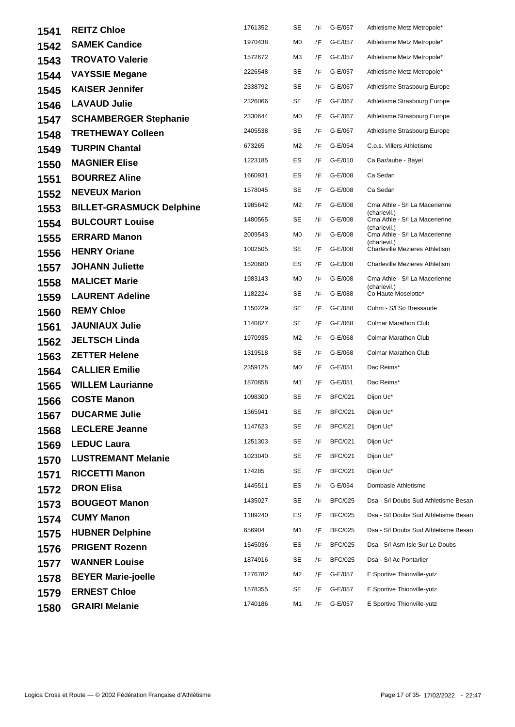| 1541 | <b>REITZ Chloe</b>              | 1761352 | <b>SE</b>      | /F | G-E/057        | Athletisme Metz Metropole*                    |
|------|---------------------------------|---------|----------------|----|----------------|-----------------------------------------------|
| 1542 | <b>SAMEK Candice</b>            | 1970438 | M <sub>0</sub> | /F | G-E/057        | Athletisme Metz Metropole*                    |
| 1543 | <b>TROVATO Valerie</b>          | 1572672 | M3             | /F | G-E/057        | Athletisme Metz Metropole*                    |
| 1544 | <b>VAYSSIE Megane</b>           | 2226548 | <b>SE</b>      | /F | G-E/057        | Athletisme Metz Metropole*                    |
| 1545 | <b>KAISER Jennifer</b>          | 2338792 | SE             | /F | G-E/067        | Athletisme Strasbourg Europe                  |
| 1546 | <b>LAVAUD Julie</b>             | 2326066 | SE             | /F | G-E/067        | Athletisme Strasbourg Europe                  |
| 1547 | <b>SCHAMBERGER Stephanie</b>    | 2330644 | M0             | /F | G-E/067        | Athletisme Strasbourg Europe                  |
| 1548 | <b>TRETHEWAY Colleen</b>        | 2405538 | SE             | /F | G-E/067        | Athletisme Strasbourg Europe                  |
| 1549 | <b>TURPIN Chantal</b>           | 673265  | M2             | /F | G-E/054        | C.o.s. Villers Athletisme                     |
| 1550 | <b>MAGNIER Elise</b>            | 1223185 | ES             | /F | G-E/010        | Ca Bar/aube - Bayel                           |
| 1551 | <b>BOURREZ Aline</b>            | 1660931 | ES             | /F | G-E/008        | Ca Sedan                                      |
| 1552 | <b>NEVEUX Marion</b>            | 1578045 | SE             | /F | G-E/008        | Ca Sedan                                      |
| 1553 | <b>BILLET-GRASMUCK Delphine</b> | 1985642 | M2             | /F | G-E/008        | Cma Athle - S/I La Macerienne<br>(charlevil.) |
| 1554 | <b>BULCOURT Louise</b>          | 1480565 | <b>SE</b>      | /F | G-E/008        | Cma Athle - S/I La Macerienne<br>(charlevil.) |
| 1555 | <b>ERRARD Manon</b>             | 2009543 | M <sub>0</sub> | /F | G-E/008        | Cma Athle - S/I La Macerienne<br>(charlevil.) |
| 1556 | <b>HENRY Oriane</b>             | 1002505 | <b>SE</b>      | /F | G-E/008        | <b>Charleville Mezieres Athletism</b>         |
| 1557 | <b>JOHANN Juliette</b>          | 1520680 | ES             | /F | G-E/008        | <b>Charleville Mezieres Athletism</b>         |
| 1558 | <b>MALICET Marie</b>            | 1983143 | M <sub>0</sub> | /F | G-E/008        | Cma Athle - S/I La Macerienne<br>(charlevil.) |
| 1559 | <b>LAURENT Adeline</b>          | 1182224 | SE             | /F | G-E/088        | Co Haute Moselotte*                           |
| 1560 | <b>REMY Chloe</b>               | 1150229 | SE             | /F | G-E/088        | Cohm - S/I So Bressaude                       |
| 1561 | <b>JAUNIAUX Julie</b>           | 1140827 | SE             | /F | G-E/068        | <b>Colmar Marathon Club</b>                   |
| 1562 | <b>JELTSCH Linda</b>            | 1970935 | M2             | /F | G-E/068        | Colmar Marathon Club                          |
| 1563 | <b>ZETTER Helene</b>            | 1319518 | SE             | /F | G-E/068        | Colmar Marathon Club                          |
| 1564 | <b>CALLIER Emilie</b>           | 2359125 | M0             | /F | G-E/051        | Dac Reims*                                    |
| 1565 | <b>WILLEM Laurianne</b>         | 1870858 | M1             | /F | G-E/051        | Dac Reims*                                    |
| 1566 | <b>COSTE Manon</b>              | 1098300 | SE             | /F | <b>BFC/021</b> | Dijon Uc*                                     |
| 1567 | <b>DUCARME Julie</b>            | 1365941 | SE             | /F | <b>BFC/021</b> | Dijon Uc*                                     |
| 1568 | <b>LECLERE Jeanne</b>           | 1147623 | SE             | /F | <b>BFC/021</b> | Dijon Uc*                                     |
| 1569 | <b>LEDUC Laura</b>              | 1251303 | <b>SE</b>      | /F | <b>BFC/021</b> | Dijon Uc*                                     |
| 1570 | <b>LUSTREMANT Melanie</b>       | 1023040 | SE             | /F | <b>BFC/021</b> | Dijon Uc*                                     |
| 1571 | <b>RICCETTI Manon</b>           | 174285  | <b>SE</b>      | /F | <b>BFC/021</b> | Dijon Uc*                                     |
| 1572 | <b>DRON Elisa</b>               | 1445511 | ES             | /F | G-E/054        | Dombasle Athletisme                           |
| 1573 | <b>BOUGEOT Manon</b>            | 1435027 | SE             | /F | <b>BFC/025</b> | Dsa - S/I Doubs Sud Athletisme Besan          |
| 1574 | <b>CUMY Manon</b>               | 1189240 | ES             | /F | <b>BFC/025</b> | Dsa - S/I Doubs Sud Athletisme Besan          |
| 1575 | <b>HUBNER Delphine</b>          | 656904  | M1             | /F | <b>BFC/025</b> | Dsa - S/I Doubs Sud Athletisme Besan          |
| 1576 | <b>PRIGENT Rozenn</b>           | 1545036 | ES             | /F | <b>BFC/025</b> | Dsa - S/I Asm Isle Sur Le Doubs               |
| 1577 | <b>WANNER Louise</b>            | 1874916 | SE             | /F | <b>BFC/025</b> | Dsa - S/I Ac Pontarlier                       |
| 1578 | <b>BEYER Marie-joelle</b>       | 1276782 | M2             | /F | G-E/057        | E Sportive Thionville-yutz                    |
| 1579 | <b>ERNEST Chloe</b>             | 1578355 | SE             | /F | G-E/057        | E Sportive Thionville-yutz                    |
| 1580 | <b>GRAIRI Melanie</b>           | 1740186 | M1             | /F | G-E/057        | E Sportive Thionville-yutz                    |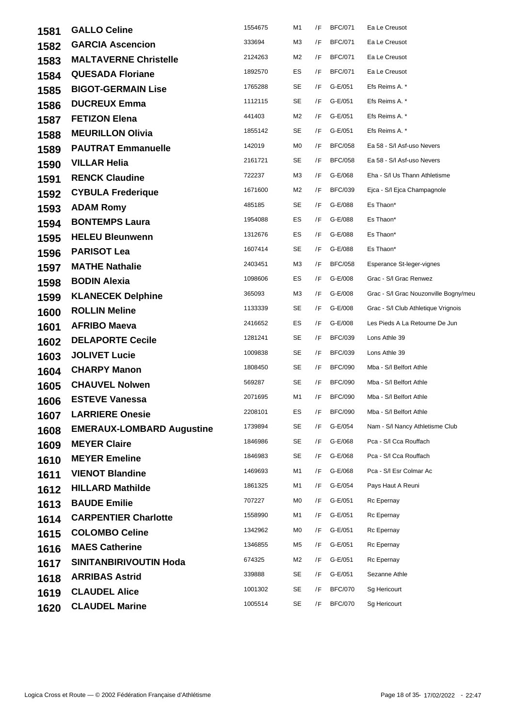| 1581 | <b>GALLO Celine</b>              | 1554675 | M1 | /F | <b>BFC/071</b> | Ea Le Creusot                         |
|------|----------------------------------|---------|----|----|----------------|---------------------------------------|
| 1582 | <b>GARCIA Ascencion</b>          | 333694  | M3 | /F | <b>BFC/071</b> | Ea Le Creusot                         |
| 1583 | <b>MALTAVERNE Christelle</b>     | 2124263 | M2 | /F | <b>BFC/071</b> | Ea Le Creusot                         |
| 1584 | <b>QUESADA Floriane</b>          | 1892570 | ES | /F | <b>BFC/071</b> | Ea Le Creusot                         |
| 1585 | <b>BIGOT-GERMAIN Lise</b>        | 1765288 | SE | /F | G-E/051        | Efs Reims A. *                        |
| 1586 | <b>DUCREUX Emma</b>              | 1112115 | SE | /F | G-E/051        | Efs Reims A. *                        |
| 1587 | <b>FETIZON Elena</b>             | 441403  | M2 | /F | G-E/051        | Efs Reims A. *                        |
| 1588 | <b>MEURILLON Olivia</b>          | 1855142 | SE | /F | G-E/051        | Efs Reims A. *                        |
| 1589 | <b>PAUTRAT Emmanuelle</b>        | 142019  | M0 | /F | <b>BFC/058</b> | Ea 58 - S/I Asf-uso Nevers            |
| 1590 | <b>VILLAR Helia</b>              | 2161721 | SE | /F | <b>BFC/058</b> | Ea 58 - S/I Asf-uso Nevers            |
| 1591 | <b>RENCK Claudine</b>            | 722237  | MЗ | /F | G-E/068        | Eha - S/I Us Thann Athletisme         |
| 1592 | <b>CYBULA Frederique</b>         | 1671600 | M2 | /F | <b>BFC/039</b> | Ejca - S/I Ejca Champagnole           |
| 1593 | <b>ADAM Romy</b>                 | 485185  | SE | /F | G-E/088        | Es Thaon*                             |
| 1594 | <b>BONTEMPS Laura</b>            | 1954088 | ES | /F | G-E/088        | Es Thaon*                             |
| 1595 | <b>HELEU Bleunwenn</b>           | 1312676 | ES | /F | G-E/088        | Es Thaon*                             |
| 1596 | <b>PARISOT Lea</b>               | 1607414 | SE | /F | G-E/088        | Es Thaon*                             |
| 1597 | <b>MATHE Nathalie</b>            | 2403451 | MЗ | /F | <b>BFC/058</b> | Esperance St-leger-vignes             |
| 1598 | <b>BODIN Alexia</b>              | 1098606 | ES | /F | G-E/008        | Grac - S/I Grac Renwez                |
| 1599 | <b>KLANECEK Delphine</b>         | 365093  | MЗ | /F | G-E/008        | Grac - S/I Grac Nouzonville Bogny/meu |
| 1600 | <b>ROLLIN Meline</b>             | 1133339 | SE | /F | G-E/008        | Grac - S/I Club Athletique Vrignois   |
| 1601 | <b>AFRIBO Maeva</b>              | 2416652 | ES | /F | G-E/008        | Les Pieds A La Retourne De Jun        |
| 1602 | <b>DELAPORTE Cecile</b>          | 1281241 | SE | /F | <b>BFC/039</b> | Lons Athle 39                         |
| 1603 | <b>JOLIVET Lucie</b>             | 1009838 | SE | /F | <b>BFC/039</b> | Lons Athle 39                         |
| 1604 | <b>CHARPY Manon</b>              | 1808450 | SE | /F | <b>BFC/090</b> | Mba - S/I Belfort Athle               |
| 1605 | <b>CHAUVEL Nolwen</b>            | 569287  | SE | /F | <b>BFC/090</b> | Mba - S/I Belfort Athle               |
| 1606 | <b>ESTEVE Vanessa</b>            | 2071695 | M1 | /F | <b>BFC/090</b> | Mba - S/I Belfort Athle               |
| 1607 | <b>LARRIERE Onesie</b>           | 2208101 | ES |    | /F BFC/090     | Mba - S/I Belfort Athle               |
| 1608 | <b>EMERAUX-LOMBARD Augustine</b> | 1739894 | SE | /F | G-E/054        | Nam - S/I Nancy Athletisme Club       |
| 1609 | <b>MEYER Claire</b>              | 1846986 | SE | /F | G-E/068        | Pca - S/I Cca Rouffach                |
| 1610 | <b>MEYER Emeline</b>             | 1846983 | SE | /F | G-E/068        | Pca - S/I Cca Rouffach                |
| 1611 | <b>VIENOT Blandine</b>           | 1469693 | M1 | /F | G-E/068        | Pca - S/I Esr Colmar Ac               |
| 1612 | <b>HILLARD Mathilde</b>          | 1861325 | M1 | /F | G-E/054        | Pays Haut A Reuni                     |
| 1613 | <b>BAUDE Emilie</b>              | 707227  | M0 | /F | G-E/051        | Rc Epernay                            |
| 1614 | <b>CARPENTIER Charlotte</b>      | 1558990 | M1 | /F | G-E/051        | Rc Epernay                            |
| 1615 | <b>COLOMBO Celine</b>            | 1342962 | M0 | /F | G-E/051        | Rc Epernay                            |
| 1616 | <b>MAES Catherine</b>            | 1346855 | M5 | /F | G-E/051        | Rc Epernay                            |
| 1617 | <b>SINITANBIRIVOUTIN Hoda</b>    | 674325  | M2 | /F | G-E/051        | Rc Epernay                            |
| 1618 | <b>ARRIBAS Astrid</b>            | 339888  | SE | /F | G-E/051        | Sezanne Athle                         |
| 1619 | <b>CLAUDEL Alice</b>             | 1001302 | SE | /F | <b>BFC/070</b> | Sg Hericourt                          |
| 1620 | <b>CLAUDEL Marine</b>            | 1005514 | SE | /F | <b>BFC/070</b> | Sg Hericourt                          |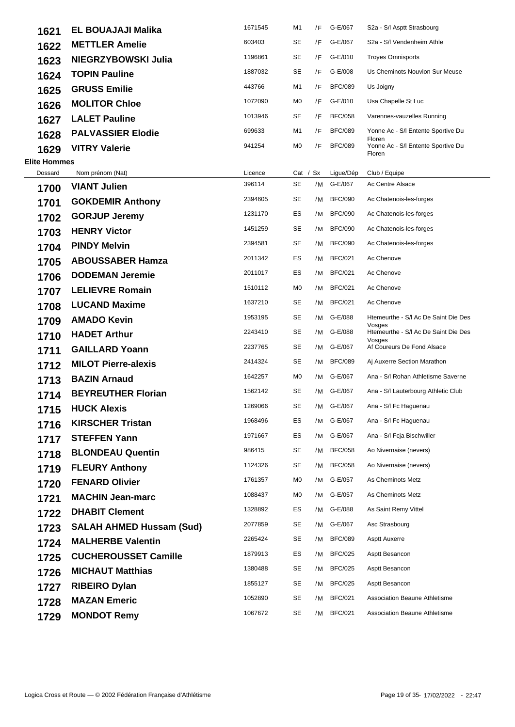| 1621                | <b>EL BOUAJAJI Malika</b>       | 1671545 | M1             | /F | G-E/067        | S2a - S/I Asptt Strasbourg                     |
|---------------------|---------------------------------|---------|----------------|----|----------------|------------------------------------------------|
| 1622                | <b>METTLER Amelie</b>           | 603403  | <b>SE</b>      | /F | G-E/067        | S2a - S/I Vendenheim Athle                     |
| 1623                | NIEGRZYBOWSKI Julia             | 1196861 | SE             | /F | G-E/010        | <b>Troyes Omnisports</b>                       |
| 1624                | <b>TOPIN Pauline</b>            | 1887032 | SE             | /F | G-E/008        | Us Cheminots Nouvion Sur Meuse                 |
| 1625                | <b>GRUSS Emilie</b>             | 443766  | M1             | /F | <b>BFC/089</b> | Us Joigny                                      |
| 1626                | <b>MOLITOR Chloe</b>            | 1072090 | M0             | /F | G-E/010        | Usa Chapelle St Luc                            |
| 1627                | <b>LALET Pauline</b>            | 1013946 | SE             | /F | <b>BFC/058</b> | Varennes-vauzelles Running                     |
| 1628                | <b>PALVASSIER Elodie</b>        | 699633  | M1             | /F | <b>BFC/089</b> | Yonne Ac - S/I Entente Sportive Du<br>Floren   |
| 1629                | <b>VITRY Valerie</b>            | 941254  | M0             | /F | <b>BFC/089</b> | Yonne Ac - S/I Entente Sportive Du<br>Floren   |
| <b>Elite Hommes</b> |                                 |         |                |    |                |                                                |
| Dossard             | Nom prénom (Nat)                | Licence | Cat / Sx       |    | Ligue/Dép      | Club / Equipe                                  |
| 1700                | <b>VIANT Julien</b>             | 396114  | SE             |    | /M G-E/067     | Ac Centre Alsace                               |
| 1701                | <b>GOKDEMIR Anthony</b>         | 2394605 | SE             | /M | <b>BFC/090</b> | Ac Chatenois-les-forges                        |
| 1702                | <b>GORJUP Jeremy</b>            | 1231170 | ES             | /M | <b>BFC/090</b> | Ac Chatenois-les-forges                        |
| 1703                | <b>HENRY Victor</b>             | 1451259 | SE             |    | /M BFC/090     | Ac Chatenois-les-forges                        |
| 1704                | <b>PINDY Melvin</b>             | 2394581 | SE             | /M | <b>BFC/090</b> | Ac Chatenois-les-forges                        |
| 1705                | <b>ABOUSSABER Hamza</b>         | 2011342 | ES             | /M | <b>BFC/021</b> | Ac Chenove                                     |
| 1706                | <b>DODEMAN Jeremie</b>          | 2011017 | ES             | /M | <b>BFC/021</b> | Ac Chenove                                     |
| 1707                | <b>LELIEVRE Romain</b>          | 1510112 | M <sub>0</sub> | /M | <b>BFC/021</b> | Ac Chenove                                     |
| 1708                | <b>LUCAND Maxime</b>            | 1637210 | SE             | /M | <b>BFC/021</b> | Ac Chenove                                     |
| 1709                | <b>AMADO Kevin</b>              | 1953195 | <b>SE</b>      |    | /M G-E/088     | Htemeurthe - S/I Ac De Saint Die Des<br>Vosges |
| 1710                | <b>HADET Arthur</b>             | 2243410 | SE             |    | /M G-E/088     | Htemeurthe - S/I Ac De Saint Die Des<br>Vosges |
| 1711                | <b>GAILLARD Yoann</b>           | 2237765 | SE             | /M | G-E/067        | Af Coureurs De Fond Alsace                     |
| 1712                | <b>MILOT Pierre-alexis</b>      | 2414324 | SE             | /M | <b>BFC/089</b> | Aj Auxerre Section Marathon                    |
| 1713                | <b>BAZIN Arnaud</b>             | 1642257 | M0             | /M | G-E/067        | Ana - S/I Rohan Athletisme Saverne             |
| 1714                | <b>BEYREUTHER Florian</b>       | 1562142 | SE             |    | /M G-E/067     | Ana - S/I Lauterbourg Athletic Club            |
| 1715                | <b>HUCK Alexis</b>              | 1269066 | SE             |    | /M G-E/067     | Ana - S/I Fc Haguenau                          |
| 1716                | <b>KIRSCHER Tristan</b>         | 1968496 | ES             |    | /M G-E/067     | Ana - S/I Fc Haguenau                          |
| 1717                | <b>STEFFEN Yann</b>             | 1971667 | ES             |    | /M G-E/067     | Ana - S/I Fcja Bischwiller                     |
| 1718                | <b>BLONDEAU Quentin</b>         | 986415  | SE             | /M | BFC/058        | Ao Nivernaise (nevers)                         |
| 1719                | <b>FLEURY Anthony</b>           | 1124326 | SE             | /M | <b>BFC/058</b> | Ao Nivernaise (nevers)                         |
| 1720                | <b>FENARD Olivier</b>           | 1761357 | M0             |    | /M G-E/057     | As Cheminots Metz                              |
| 1721                | <b>MACHIN Jean-marc</b>         | 1088437 | M0             | /M | G-E/057        | As Cheminots Metz                              |
| 1722                | <b>DHABIT Clement</b>           | 1328892 | ES             | /M | G-E/088        | As Saint Remy Vittel                           |
| 1723                | <b>SALAH AHMED Hussam (Sud)</b> | 2077859 | SE             |    | /M G-E/067     | Asc Strasbourg                                 |
| 1724                | <b>MALHERBE Valentin</b>        | 2265424 | SE             | /M | <b>BFC/089</b> | <b>Asptt Auxerre</b>                           |
| 1725                | <b>CUCHEROUSSET Camille</b>     | 1879913 | ES             | /M | <b>BFC/025</b> | Asptt Besancon                                 |
| 1726                | <b>MICHAUT Matthias</b>         | 1380488 | SE             | /M | <b>BFC/025</b> | Asptt Besancon                                 |
| 1727                | <b>RIBEIRO Dylan</b>            | 1855127 | SE             | /M | <b>BFC/025</b> | Asptt Besancon                                 |
| 1728                | <b>MAZAN Emeric</b>             | 1052890 | SE             | /M | <b>BFC/021</b> | <b>Association Beaune Athletisme</b>           |
| 1729                | <b>MONDOT Remy</b>              | 1067672 | SE             | /M | <b>BFC/021</b> | <b>Association Beaune Athletisme</b>           |
|                     |                                 |         |                |    |                |                                                |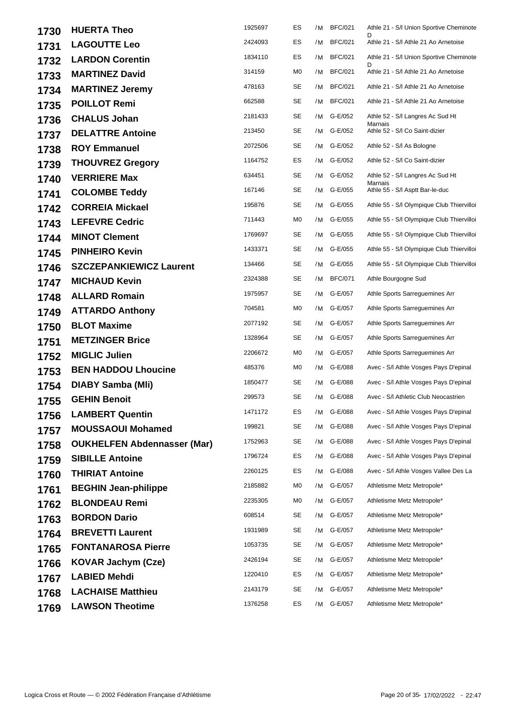| 1730 | <b>HUERTA Theo</b>                 | 1925697 | ES        | /M | <b>BFC/021</b> | Athle 21 - S/I Union Sportive Cheminote     |
|------|------------------------------------|---------|-----------|----|----------------|---------------------------------------------|
| 1731 | <b>LAGOUTTE Leo</b>                | 2424093 | ES        | /M | <b>BFC/021</b> | Athle 21 - S/I Athle 21 Ao Arnetoise        |
| 1732 | <b>LARDON Corentin</b>             | 1834110 | ES        | /M | <b>BFC/021</b> | Athle 21 - S/I Union Sportive Cheminote     |
| 1733 | <b>MARTINEZ David</b>              | 314159  | M0        | /M | <b>BFC/021</b> | Athle 21 - S/I Athle 21 Ao Arnetoise        |
| 1734 | <b>MARTINEZ Jeremy</b>             | 478163  | SE        | /M | <b>BFC/021</b> | Athle 21 - S/I Athle 21 Ao Arnetoise        |
| 1735 | <b>POILLOT Remi</b>                | 662588  | SE        | /M | <b>BFC/021</b> | Athle 21 - S/I Athle 21 Ao Arnetoise        |
| 1736 | <b>CHALUS Johan</b>                | 2181433 | SE        | /M | G-E/052        | Athle 52 - S/I Langres Ac Sud Ht<br>Marnais |
| 1737 | <b>DELATTRE Antoine</b>            | 213450  | <b>SE</b> | /M | G-E/052        | Athle 52 - S/I Co Saint-dizier              |
| 1738 | <b>ROY Emmanuel</b>                | 2072506 | SE        | /M | G-E/052        | Athle 52 - S/I As Bologne                   |
| 1739 | <b>THOUVREZ Gregory</b>            | 1164752 | ES        | /M | G-E/052        | Athle 52 - S/I Co Saint-dizier              |
| 1740 | <b>VERRIERE Max</b>                | 634451  | <b>SE</b> | /M | G-E/052        | Athle 52 - S/I Langres Ac Sud Ht<br>Marnais |
| 1741 | <b>COLOMBE Teddy</b>               | 167146  | SE        | /M | G-E/055        | Athle 55 - S/I Asptt Bar-le-duc             |
| 1742 | <b>CORREIA Mickael</b>             | 195876  | SE        | /M | G-E/055        | Athle 55 - S/I Olympique Club Thiervilloi   |
| 1743 | <b>LEFEVRE Cedric</b>              | 711443  | M0        | /M | G-E/055        | Athle 55 - S/l Olympique Club Thiervilloi   |
| 1744 | <b>MINOT Clement</b>               | 1769697 | SE        | /M | G-E/055        | Athle 55 - S/I Olympique Club Thiervilloi   |
| 1745 | <b>PINHEIRO Kevin</b>              | 1433371 | SE        | /M | G-E/055        | Athle 55 - S/I Olympique Club Thiervilloi   |
| 1746 | <b>SZCZEPANKIEWICZ Laurent</b>     | 134466  | SE        | /M | G-E/055        | Athle 55 - S/I Olympique Club Thiervilloi   |
| 1747 | <b>MICHAUD Kevin</b>               | 2324388 | <b>SE</b> | /M | <b>BFC/071</b> | Athle Bourgogne Sud                         |
| 1748 | <b>ALLARD Romain</b>               | 1975957 | SE        | /M | G-E/057        | Athle Sports Sarreguemines Arr              |
| 1749 | <b>ATTARDO Anthony</b>             | 704581  | MO        | /M | G-E/057        | Athle Sports Sarreguemines Arr              |
| 1750 | <b>BLOT Maxime</b>                 | 2077192 | SE        | /M | G-E/057        | Athle Sports Sarreguemines Arr              |
| 1751 | <b>METZINGER Brice</b>             | 1328964 | SE        | /M | G-E/057        | Athle Sports Sarreguemines Arr              |
| 1752 | <b>MIGLIC Julien</b>               | 2206672 | M0        | /M | G-E/057        | Athle Sports Sarreguemines Arr              |
| 1753 | <b>BEN HADDOU Lhoucine</b>         | 485376  | M0        | /M | G-E/088        | Avec - S/I Athle Vosges Pays D'epinal       |
| 1754 | DIABY Samba (MII)                  | 1850477 | SE        | /M | G-E/088        | Avec - S/I Athle Vosges Pays D'epinal       |
| 1755 | <b>GEHIN Benoit</b>                | 299573  | SE        | /M | G-E/088        | Avec - S/I Athletic Club Neocastrien        |
| 1756 | <b>LAMBERT Quentin</b>             | 1471172 | ES        |    | /M G-E/088     | Avec - S/I Athle Vosges Pays D'epinal       |
| 1757 | <b>MOUSSAOUI Mohamed</b>           | 199821  | SE        | /M | G-E/088        | Avec - S/I Athle Vosges Pays D'epinal       |
| 1758 | <b>OUKHELFEN Abdennasser (Mar)</b> | 1752963 | SE        | /M | G-E/088        | Avec - S/I Athle Vosges Pays D'epinal       |
| 1759 | <b>SIBILLE Antoine</b>             | 1796724 | ES        | /M | G-E/088        | Avec - S/I Athle Vosges Pays D'epinal       |
| 1760 | <b>THIRIAT Antoine</b>             | 2260125 | ES        | /M | G-E/088        | Avec - S/I Athle Vosges Vallee Des La       |
| 1761 | <b>BEGHIN Jean-philippe</b>        | 2185882 | M0        | /M | G-E/057        | Athletisme Metz Metropole*                  |
| 1762 | <b>BLONDEAU Remi</b>               | 2235305 | M0        | /M | G-E/057        | Athletisme Metz Metropole*                  |
| 1763 | <b>BORDON Dario</b>                | 608514  | SE        | /M | G-E/057        | Athletisme Metz Metropole*                  |
| 1764 | <b>BREVETTI Laurent</b>            | 1931989 | SE        | /M | G-E/057        | Athletisme Metz Metropole*                  |
| 1765 | <b>FONTANAROSA Pierre</b>          | 1053735 | SE        | /M | G-E/057        | Athletisme Metz Metropole*                  |
| 1766 | <b>KOVAR Jachym (Cze)</b>          | 2426194 | SE        | /M | G-E/057        | Athletisme Metz Metropole*                  |
| 1767 | <b>LABIED Mehdi</b>                | 1220410 | ES        | /M | G-E/057        | Athletisme Metz Metropole*                  |
| 1768 | <b>LACHAISE Matthieu</b>           | 2143179 | SE        | /M | G-E/057        | Athletisme Metz Metropole*                  |
| 1769 | <b>LAWSON Theotime</b>             | 1376258 | ES        | /M | G-E/057        | Athletisme Metz Metropole*                  |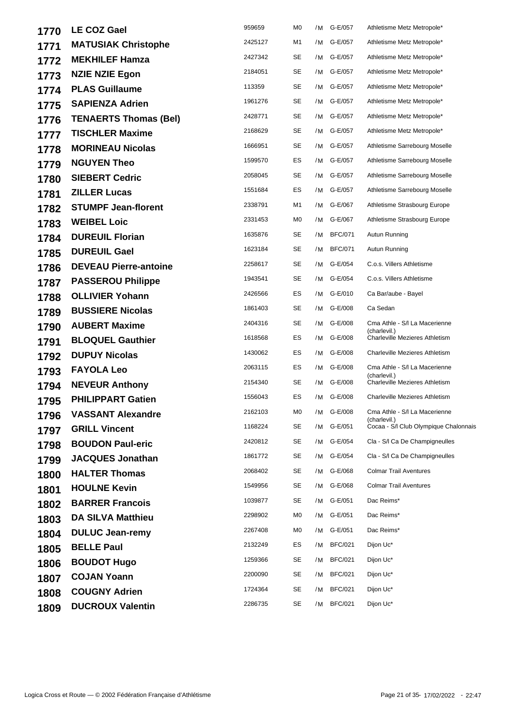| 1770 | <b>LE COZ Gael</b>           | 959659  | M <sub>0</sub> | /M | G-E/057        | Athletisme Metz Metropole*                    |
|------|------------------------------|---------|----------------|----|----------------|-----------------------------------------------|
| 1771 | <b>MATUSIAK Christophe</b>   | 2425127 | M1             | /M | G-E/057        | Athletisme Metz Metropole*                    |
| 1772 | <b>MEKHILEF Hamza</b>        | 2427342 | <b>SE</b>      | /M | G-E/057        | Athletisme Metz Metropole*                    |
| 1773 | <b>NZIE NZIE Egon</b>        | 2184051 | SE             | /M | G-E/057        | Athletisme Metz Metropole*                    |
| 1774 | <b>PLAS Guillaume</b>        | 113359  | <b>SE</b>      | /M | G-E/057        | Athletisme Metz Metropole*                    |
| 1775 | <b>SAPIENZA Adrien</b>       | 1961276 | <b>SE</b>      | /M | G-E/057        | Athletisme Metz Metropole*                    |
| 1776 | <b>TENAERTS Thomas (Bel)</b> | 2428771 | SE             | /M | G-E/057        | Athletisme Metz Metropole*                    |
| 1777 | <b>TISCHLER Maxime</b>       | 2168629 | SE             | /M | G-E/057        | Athletisme Metz Metropole*                    |
| 1778 | <b>MORINEAU Nicolas</b>      | 1666951 | SE             | /M | G-E/057        | Athletisme Sarrebourg Moselle                 |
| 1779 | <b>NGUYEN Theo</b>           | 1599570 | ES             | /M | G-E/057        | Athletisme Sarrebourg Moselle                 |
| 1780 | <b>SIEBERT Cedric</b>        | 2058045 | <b>SE</b>      | /M | G-E/057        | Athletisme Sarrebourg Moselle                 |
| 1781 | <b>ZILLER Lucas</b>          | 1551684 | ES             | /M | G-E/057        | Athletisme Sarrebourg Moselle                 |
| 1782 | <b>STUMPF Jean-florent</b>   | 2338791 | M1             | /M | G-E/067        | Athletisme Strasbourg Europe                  |
| 1783 | <b>WEIBEL Loic</b>           | 2331453 | M <sub>0</sub> | /M | G-E/067        | Athletisme Strasbourg Europe                  |
| 1784 | <b>DUREUIL Florian</b>       | 1635876 | SE             | /M | <b>BFC/071</b> | Autun Running                                 |
| 1785 | <b>DUREUIL Gael</b>          | 1623184 | <b>SE</b>      | /M | <b>BFC/071</b> | Autun Running                                 |
| 1786 | <b>DEVEAU Pierre-antoine</b> | 2258617 | SE             | /M | G-E/054        | C.o.s. Villers Athletisme                     |
| 1787 | <b>PASSEROU Philippe</b>     | 1943541 | SE             | /M | G-E/054        | C.o.s. Villers Athletisme                     |
| 1788 | <b>OLLIVIER Yohann</b>       | 2426566 | ES             | /M | G-E/010        | Ca Bar/aube - Bayel                           |
| 1789 | <b>BUSSIERE Nicolas</b>      | 1861403 | SE             | /M | G-E/008        | Ca Sedan                                      |
| 1790 | <b>AUBERT Maxime</b>         | 2404316 | SE             | /M | G-E/008        | Cma Athle - S/I La Macerienne<br>(charlevil.) |
| 1791 | <b>BLOQUEL Gauthier</b>      | 1618568 | ES             | /M | G-E/008        | <b>Charleville Mezieres Athletism</b>         |
| 1792 | <b>DUPUY Nicolas</b>         | 1430062 | ES             | /M | G-E/008        | <b>Charleville Mezieres Athletism</b>         |
| 1793 | <b>FAYOLA Leo</b>            | 2063115 | ES             | /M | G-E/008        | Cma Athle - S/I La Macerienne<br>(charlevil.) |
| 1794 | <b>NEVEUR Anthony</b>        | 2154340 | <b>SE</b>      | /M | G-E/008        | <b>Charleville Mezieres Athletism</b>         |
| 1795 | <b>PHILIPPART Gatien</b>     | 1556043 | ES             | /M | G-E/008        | <b>Charleville Mezieres Athletism</b>         |
| 1796 | <b>VASSANT Alexandre</b>     | 2162103 | M <sub>0</sub> | /M | G-E/008        | Cma Athle - S/I La Macerienne<br>(charlevil.) |
| 1797 | <b>GRILL Vincent</b>         | 1168224 | <b>SE</b>      | /M | G-E/051        | Cocaa - S/I Club Olympique Chalonnais         |
| 1798 | <b>BOUDON Paul-eric</b>      | 2420812 | SE             | /M | G-E/054        | Cla - S/I Ca De Champigneulles                |
| 1799 | <b>JACQUES Jonathan</b>      | 1861772 | <b>SE</b>      | /M | G-E/054        | Cla - S/I Ca De Champigneulles                |
| 1800 | <b>HALTER Thomas</b>         | 2068402 | SE             | /M | G-E/068        | <b>Colmar Trail Aventures</b>                 |
| 1801 | <b>HOULNE Kevin</b>          | 1549956 | <b>SE</b>      | /M | G-E/068        | <b>Colmar Trail Aventures</b>                 |
| 1802 | <b>BARRER Francois</b>       | 1039877 | SE             |    | /M G-E/051     | Dac Reims*                                    |
| 1803 | <b>DA SILVA Matthieu</b>     | 2298902 | M <sub>0</sub> | /M | G-E/051        | Dac Reims*                                    |
| 1804 | <b>DULUC Jean-remy</b>       | 2267408 | M0             | /M | G-E/051        | Dac Reims*                                    |
| 1805 | <b>BELLE Paul</b>            | 2132249 | ES             | /M | <b>BFC/021</b> | Dijon Uc*                                     |
| 1806 | <b>BOUDOT Hugo</b>           | 1259366 | SE             | /M | <b>BFC/021</b> | Dijon Uc*                                     |
| 1807 | <b>COJAN Yoann</b>           | 2200090 | SE             | /M | <b>BFC/021</b> | Dijon Uc*                                     |
| 1808 | <b>COUGNY Adrien</b>         | 1724364 | SE             | /M | <b>BFC/021</b> | Dijon Uc*                                     |
| 1809 | <b>DUCROUX Valentin</b>      | 2286735 | SE             |    | /M BFC/021     | Dijon Uc*                                     |
|      |                              |         |                |    |                |                                               |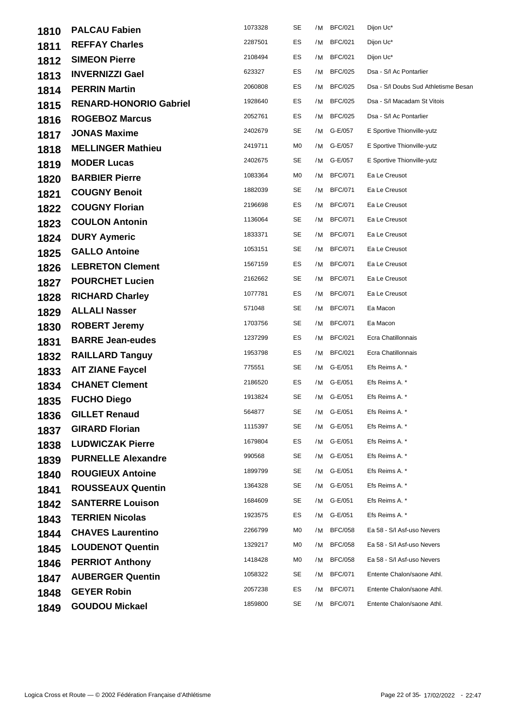| 1810 | <b>PALCAU Fabien</b>          | 1073328 | SE | /M | <b>BFC/021</b> | Dijon Uc*                            |
|------|-------------------------------|---------|----|----|----------------|--------------------------------------|
| 1811 | <b>REFFAY Charles</b>         | 2287501 | ES | /M | <b>BFC/021</b> | Dijon Uc*                            |
| 1812 | <b>SIMEON Pierre</b>          | 2108494 | ES | /M | <b>BFC/021</b> | Dijon Uc*                            |
| 1813 | <b>INVERNIZZI Gael</b>        | 623327  | ES | /M | <b>BFC/025</b> | Dsa - S/I Ac Pontarlier              |
| 1814 | <b>PERRIN Martin</b>          | 2060808 | ES | /M | <b>BFC/025</b> | Dsa - S/I Doubs Sud Athletisme Besan |
| 1815 | <b>RENARD-HONORIO Gabriel</b> | 1928640 | ES | /M | <b>BFC/025</b> | Dsa - S/I Macadam St Vitois          |
| 1816 | <b>ROGEBOZ Marcus</b>         | 2052761 | ES | /M | <b>BFC/025</b> | Dsa - S/I Ac Pontarlier              |
| 1817 | <b>JONAS Maxime</b>           | 2402679 | SE | /M | G-E/057        | E Sportive Thionville-yutz           |
| 1818 | <b>MELLINGER Mathieu</b>      | 2419711 | M0 | /M | G-E/057        | E Sportive Thionville-yutz           |
| 1819 | <b>MODER Lucas</b>            | 2402675 | SE | /M | G-E/057        | E Sportive Thionville-yutz           |
| 1820 | <b>BARBIER Pierre</b>         | 1083364 | M0 | /M | <b>BFC/071</b> | Ea Le Creusot                        |
| 1821 | <b>COUGNY Benoit</b>          | 1882039 | SE | /M | <b>BFC/071</b> | Ea Le Creusot                        |
| 1822 | <b>COUGNY Florian</b>         | 2196698 | ES | /M | <b>BFC/071</b> | Ea Le Creusot                        |
| 1823 | <b>COULON Antonin</b>         | 1136064 | SE | /M | <b>BFC/071</b> | Ea Le Creusot                        |
| 1824 | <b>DURY Aymeric</b>           | 1833371 | SE | /M | <b>BFC/071</b> | Ea Le Creusot                        |
| 1825 | <b>GALLO Antoine</b>          | 1053151 | SE | /M | <b>BFC/071</b> | Ea Le Creusot                        |
| 1826 | <b>LEBRETON Clement</b>       | 1567159 | ES | /M | <b>BFC/071</b> | Ea Le Creusot                        |
| 1827 | <b>POURCHET Lucien</b>        | 2162662 | SE | /M | <b>BFC/071</b> | Ea Le Creusot                        |
| 1828 | <b>RICHARD Charley</b>        | 1077781 | ES | /M | <b>BFC/071</b> | Ea Le Creusot                        |
| 1829 | <b>ALLALI Nasser</b>          | 571048  | SE | /M | <b>BFC/071</b> | Ea Macon                             |
| 1830 | <b>ROBERT Jeremy</b>          | 1703756 | SE | /M | <b>BFC/071</b> | Ea Macon                             |
| 1831 | <b>BARRE Jean-eudes</b>       | 1237299 | ES | /M | <b>BFC/021</b> | Ecra Chatillonnais                   |
| 1832 | <b>RAILLARD Tanguy</b>        | 1953798 | ES | /M | <b>BFC/021</b> | Ecra Chatillonnais                   |
| 1833 | <b>AIT ZIANE Faycel</b>       | 775551  | SE |    | /M G-E/051     | Efs Reims A. *                       |
| 1834 | <b>CHANET Clement</b>         | 2186520 | ES | /M | G-E/051        | Efs Reims A. *                       |
| 1835 | <b>FUCHO Diego</b>            | 1913824 | SE |    | /M G-E/051     | Efs Reims A. *                       |
| 1836 | <b>GILLET Renaud</b>          | 564877  | SE |    | /M G-E/051     | Efs Reims A. *                       |
| 1837 | <b>GIRARD Florian</b>         | 1115397 | SE |    | /M G-E/051     | Efs Reims A. *                       |
| 1838 | <b>LUDWICZAK Pierre</b>       | 1679804 | ES | /M | G-E/051        | Efs Reims A. *                       |
| 1839 | <b>PURNELLE Alexandre</b>     | 990568  | SE | /M | G-E/051        | Efs Reims A. *                       |
| 1840 | <b>ROUGIEUX Antoine</b>       | 1899799 | SE |    | /M G-E/051     | Efs Reims A. *                       |
| 1841 | <b>ROUSSEAUX Quentin</b>      | 1364328 | SE | /M | G-E/051        | Efs Reims A. *                       |
| 1842 | <b>SANTERRE Louison</b>       | 1684609 | SE | /M | G-E/051        | Efs Reims A. *                       |
| 1843 | <b>TERRIEN Nicolas</b>        | 1923575 | ES | /M | G-E/051        | Efs Reims A. *                       |
| 1844 | <b>CHAVES Laurentino</b>      | 2266799 | M0 | /M | <b>BFC/058</b> | Ea 58 - S/I Asf-uso Nevers           |
| 1845 | <b>LOUDENOT Quentin</b>       | 1329217 | M0 | /M | <b>BFC/058</b> | Ea 58 - S/I Asf-uso Nevers           |
| 1846 | <b>PERRIOT Anthony</b>        | 1418428 | M0 | /M | <b>BFC/058</b> | Ea 58 - S/I Asf-uso Nevers           |
| 1847 | <b>AUBERGER Quentin</b>       | 1058322 | SE | /M | <b>BFC/071</b> | Entente Chalon/saone Athl.           |
| 1848 | <b>GEYER Robin</b>            | 2057238 | ES | /M | <b>BFC/071</b> | Entente Chalon/saone Athl.           |
| 1849 | <b>GOUDOU Mickael</b>         | 1859800 | SE | /M | <b>BFC/071</b> | Entente Chalon/saone Athl.           |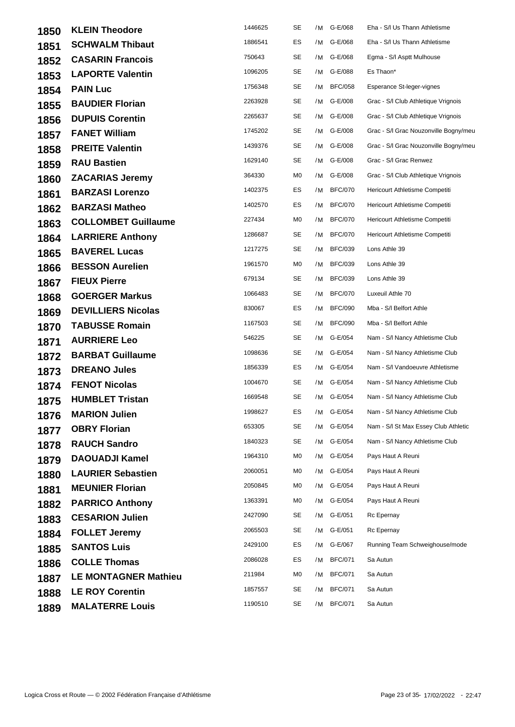| 1850 | <b>KLEIN Theodore</b>       | 1446625 | SE |    | /M G-E/068     | Eha - S/I Us Thann Athletisme         |
|------|-----------------------------|---------|----|----|----------------|---------------------------------------|
| 1851 | <b>SCHWALM Thibaut</b>      | 1886541 | ES |    | /M G-E/068     | Eha - S/I Us Thann Athletisme         |
| 1852 | <b>CASARIN Francois</b>     | 750643  | SE |    | /M G-E/068     | Egma - S/I Asptt Mulhouse             |
| 1853 | <b>LAPORTE Valentin</b>     | 1096205 | SE |    | /M G-E/088     | Es Thaon*                             |
| 1854 | <b>PAIN Luc</b>             | 1756348 | SE | /M | <b>BFC/058</b> | Esperance St-leger-vignes             |
| 1855 | <b>BAUDIER Florian</b>      | 2263928 | SE |    | /M G-E/008     | Grac - S/I Club Athletique Vrignois   |
| 1856 | <b>DUPUIS Corentin</b>      | 2265637 | SE |    | /M G-E/008     | Grac - S/I Club Athletique Vrignois   |
| 1857 | <b>FANET William</b>        | 1745202 | SE |    | /M G-E/008     | Grac - S/I Grac Nouzonville Bogny/meu |
| 1858 | <b>PREITE Valentin</b>      | 1439376 | SE |    | /M G-E/008     | Grac - S/I Grac Nouzonville Bogny/meu |
| 1859 | <b>RAU Bastien</b>          | 1629140 | SE |    | /M G-E/008     | Grac - S/I Grac Renwez                |
| 1860 | <b>ZACARIAS Jeremy</b>      | 364330  | M0 |    | /M G-E/008     | Grac - S/I Club Athletique Vrignois   |
| 1861 | <b>BARZASI Lorenzo</b>      | 1402375 | ES | /M | <b>BFC/070</b> | Hericourt Athletisme Competiti        |
| 1862 | <b>BARZASI Matheo</b>       | 1402570 | ES | /M | <b>BFC/070</b> | Hericourt Athletisme Competiti        |
| 1863 | <b>COLLOMBET Guillaume</b>  | 227434  | M0 | /M | <b>BFC/070</b> | Hericourt Athletisme Competiti        |
| 1864 | <b>LARRIERE Anthony</b>     | 1286687 | SE | /M | <b>BFC/070</b> | Hericourt Athletisme Competiti        |
| 1865 | <b>BAVEREL Lucas</b>        | 1217275 | SE | /M | <b>BFC/039</b> | Lons Athle 39                         |
| 1866 | <b>BESSON Aurelien</b>      | 1961570 | M0 | /M | <b>BFC/039</b> | Lons Athle 39                         |
| 1867 | <b>FIEUX Pierre</b>         | 679134  | SE | /M | <b>BFC/039</b> | Lons Athle 39                         |
| 1868 | <b>GOERGER Markus</b>       | 1066483 | SE | /M | <b>BFC/070</b> | Luxeuil Athle 70                      |
| 1869 | <b>DEVILLIERS Nicolas</b>   | 830067  | ES | /M | <b>BFC/090</b> | Mba - S/I Belfort Athle               |
| 1870 | <b>TABUSSE Romain</b>       | 1167503 | SE | /M | <b>BFC/090</b> | Mba - S/I Belfort Athle               |
| 1871 | <b>AURRIERE Leo</b>         | 546225  | SE |    | /M G-E/054     | Nam - S/I Nancy Athletisme Club       |
| 1872 | <b>BARBAT Guillaume</b>     | 1098636 | SE |    | /M G-E/054     | Nam - S/I Nancy Athletisme Club       |
| 1873 | <b>DREANO Jules</b>         | 1856339 | ES |    | /M G-E/054     | Nam - S/I Vandoeuvre Athletisme       |
| 1874 | <b>FENOT Nicolas</b>        | 1004670 | SE |    | /M G-E/054     | Nam - S/I Nancy Athletisme Club       |
| 1875 | <b>HUMBLET Tristan</b>      | 1669548 | SE |    | /M G-E/054     | Nam - S/I Nancy Athletisme Club       |
| 1876 | <b>MARION Julien</b>        | 1998627 | ES |    | /M G-E/054     | Nam - S/I Nancy Athletisme Club       |
| 1877 | <b>OBRY Florian</b>         | 653305  | SE |    | /M G-E/054     | Nam - S/I St Max Essey Club Athletic  |
| 1878 | <b>RAUCH Sandro</b>         | 1840323 | SE |    | /M G-E/054     | Nam - S/I Nancy Athletisme Club       |
| 1879 | <b>DAOUADJI Kamel</b>       | 1964310 | M0 |    | /M G-E/054     | Pays Haut A Reuni                     |
| 1880 | <b>LAURIER Sebastien</b>    | 2060051 | M0 |    | /M G-E/054     | Pays Haut A Reuni                     |
| 1881 | <b>MEUNIER Florian</b>      | 2050845 | M0 | /M | G-E/054        | Pays Haut A Reuni                     |
| 1882 | <b>PARRICO Anthony</b>      | 1363391 | M0 |    | /M G-E/054     | Pays Haut A Reuni                     |
| 1883 | <b>CESARION Julien</b>      | 2427090 | SE |    | /M G-E/051     | Rc Epernay                            |
| 1884 | <b>FOLLET Jeremy</b>        | 2065503 | SE |    | /M G-E/051     | Rc Epernay                            |
| 1885 | <b>SANTOS Luis</b>          | 2429100 | ES |    | /M G-E/067     | Running Team Schweighouse/mode        |
| 1886 | <b>COLLE Thomas</b>         | 2086028 | ES | /M | <b>BFC/071</b> | Sa Autun                              |
| 1887 | <b>LE MONTAGNER Mathieu</b> | 211984  | M0 | /M | <b>BFC/071</b> | Sa Autun                              |
| 1888 | <b>LE ROY Corentin</b>      | 1857557 | SE | /M | <b>BFC/071</b> | Sa Autun                              |
| 1889 | <b>MALATERRE Louis</b>      | 1190510 | SE | /M | <b>BFC/071</b> | Sa Autun                              |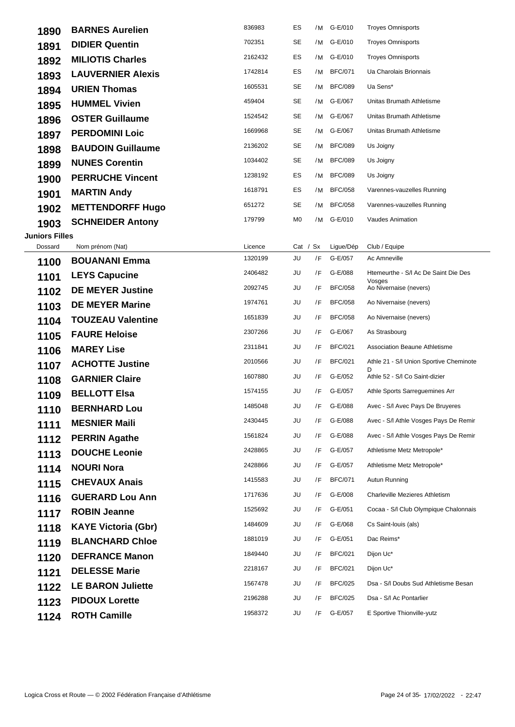| 1890                  | <b>BARNES Aurelien</b>     | 836983  | ES         | /M | G-E/010        | <b>Troyes Omnisports</b>                       |
|-----------------------|----------------------------|---------|------------|----|----------------|------------------------------------------------|
| 1891                  | <b>DIDIER Quentin</b>      | 702351  | SE         |    | /M G-E/010     | <b>Troyes Omnisports</b>                       |
| 1892                  | <b>MILIOTIS Charles</b>    | 2162432 | ES         | /M | G-E/010        | <b>Troyes Omnisports</b>                       |
| 1893                  | <b>LAUVERNIER Alexis</b>   | 1742814 | ES         | /M | <b>BFC/071</b> | Ua Charolais Brionnais                         |
| 1894                  | <b>URIEN Thomas</b>        | 1605531 | SE         | /M | <b>BFC/089</b> | Ua Sens*                                       |
| 1895                  | <b>HUMMEL Vivien</b>       | 459404  | SE         | /M | G-E/067        | Unitas Brumath Athletisme                      |
| 1896                  | <b>OSTER Guillaume</b>     | 1524542 | SE         | /M | G-E/067        | Unitas Brumath Athletisme                      |
| 1897                  | <b>PERDOMINI Loic</b>      | 1669968 | SE         | /M | G-E/067        | Unitas Brumath Athletisme                      |
| 1898                  | <b>BAUDOIN Guillaume</b>   | 2136202 | SE         | /M | <b>BFC/089</b> | Us Joigny                                      |
| 1899                  | <b>NUNES Corentin</b>      | 1034402 | SE         | /M | <b>BFC/089</b> | Us Joigny                                      |
| 1900                  | <b>PERRUCHE Vincent</b>    | 1238192 | ES         | /M | <b>BFC/089</b> | Us Joigny                                      |
| 1901                  | <b>MARTIN Andy</b>         | 1618791 | ES         | /M | <b>BFC/058</b> | Varennes-vauzelles Running                     |
| 1902                  | <b>METTENDORFF Hugo</b>    | 651272  | SE         | /M | <b>BFC/058</b> | Varennes-vauzelles Running                     |
| 1903                  | <b>SCHNEIDER Antony</b>    | 179799  | M0         | /M | G-E/010        | <b>Vaudes Animation</b>                        |
| <b>Juniors Filles</b> |                            |         |            |    |                |                                                |
| Dossard               | Nom prénom (Nat)           | Licence | Cat / $Sx$ |    | Ligue/Dép      | Club / Equipe                                  |
| 1100                  | <b>BOUANANI Emma</b>       | 1320199 | JU         | /F | G-E/057        | Ac Amneville                                   |
| 1101                  | <b>LEYS Capucine</b>       | 2406482 | JU         | /F | G-E/088        | Htemeurthe - S/I Ac De Saint Die Des<br>Vosges |
| 1102                  | <b>DE MEYER Justine</b>    | 2092745 | JU         | /F | <b>BFC/058</b> | Ao Nivernaise (nevers)                         |
| 1103                  | <b>DE MEYER Marine</b>     | 1974761 | JU         | /F | <b>BFC/058</b> | Ao Nivernaise (nevers)                         |
| 1104                  | <b>TOUZEAU Valentine</b>   | 1651839 | JU         | /F | <b>BFC/058</b> | Ao Nivernaise (nevers)                         |
| 1105                  | <b>FAURE Heloise</b>       | 2307266 | JU         | /F | G-E/067        | As Strasbourg                                  |
| 1106                  | <b>MAREY Lise</b>          | 2311841 | JU         | /F | <b>BFC/021</b> | <b>Association Beaune Athletisme</b>           |
| 1107                  | <b>ACHOTTE Justine</b>     | 2010566 | JU         | /F | <b>BFC/021</b> | Athle 21 - S/I Union Sportive Cheminote<br>D   |
| 1108                  | <b>GARNIER Claire</b>      | 1607880 | JU         | /F | G-E/052        | Athle 52 - S/I Co Saint-dizier                 |
| 1109                  | <b>BELLOTT Elsa</b>        | 1574155 | JU         | /F | G-E/057        | Athle Sports Sarreguemines Arr                 |
| 1110                  | <b>BERNHARD Lou</b>        | 1485048 | JU         | /F | G-E/088        | Avec - S/I Avec Pays De Bruyeres               |
| 1111                  | <b>MESNIER Maili</b>       | 2430445 | JU         | /F | G-E/088        | Avec - S/I Athle Vosges Pays De Remir          |
| 1112                  | <b>PERRIN Agathe</b>       | 1561824 | JU         | /F | G-E/088        | Avec - S/I Athle Vosges Pays De Remir          |
| 1113                  | <b>DOUCHE Leonie</b>       | 2428865 | JU         | /F | G-E/057        | Athletisme Metz Metropole*                     |
| 1114                  | <b>NOURI Nora</b>          | 2428866 | JU         | /F | G-E/057        | Athletisme Metz Metropole*                     |
| 1115                  | <b>CHEVAUX Anais</b>       | 1415583 | JU         | /F | <b>BFC/071</b> | Autun Running                                  |
| 1116                  | <b>GUERARD Lou Ann</b>     | 1717636 | JU         | /F | G-E/008        | <b>Charleville Mezieres Athletism</b>          |
| 1117                  | <b>ROBIN Jeanne</b>        | 1525692 | JU         | /F | G-E/051        | Cocaa - S/I Club Olympique Chalonnais          |
| 1118                  | <b>KAYE Victoria (Gbr)</b> | 1484609 | JU         | /F | G-E/068        | Cs Saint-Iouis (als)                           |
| 1119                  | <b>BLANCHARD Chloe</b>     | 1881019 | JU         | /F | G-E/051        | Dac Reims*                                     |
| 1120                  | <b>DEFRANCE Manon</b>      | 1849440 | JU         | /F | <b>BFC/021</b> | Dijon Uc*                                      |
| 1121                  | <b>DELESSE Marie</b>       | 2218167 | JU         | /F | <b>BFC/021</b> | Dijon Uc*                                      |
| 1122                  | <b>LE BARON Juliette</b>   | 1567478 | JU         | /F | <b>BFC/025</b> | Dsa - S/I Doubs Sud Athletisme Besan           |
| 1123                  | <b>PIDOUX Lorette</b>      | 2196288 | JU         | /F | <b>BFC/025</b> | Dsa - S/I Ac Pontarlier                        |
| 1124                  | <b>ROTH Camille</b>        | 1958372 | JU         | /F | G-E/057        | E Sportive Thionville-yutz                     |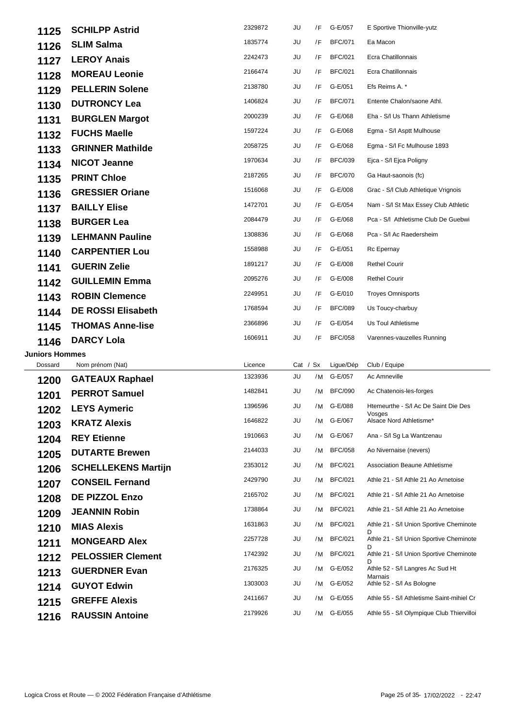| 1125                  | <b>SCHILPP Astrid</b>      | 2329872 | JU         | /F | G-E/057        | E Sportive Thionville-yutz                     |
|-----------------------|----------------------------|---------|------------|----|----------------|------------------------------------------------|
| 1126                  | <b>SLIM Salma</b>          | 1835774 | JU         | /F | <b>BFC/071</b> | Ea Macon                                       |
| 1127                  | <b>LEROY Anais</b>         | 2242473 | JU         | /F | <b>BFC/021</b> | Ecra Chatillonnais                             |
| 1128                  | <b>MOREAU Leonie</b>       | 2166474 | JU         | /F | <b>BFC/021</b> | Ecra Chatillonnais                             |
| 1129                  | <b>PELLERIN Solene</b>     | 2138780 | JU         | /F | G-E/051        | Efs Reims A. *                                 |
| 1130                  | <b>DUTRONCY Lea</b>        | 1406824 | JU         | /F | <b>BFC/071</b> | Entente Chalon/saone Athl.                     |
| 1131                  | <b>BURGLEN Margot</b>      | 2000239 | JU         | /F | G-E/068        | Eha - S/I Us Thann Athletisme                  |
| 1132                  | <b>FUCHS Maelle</b>        | 1597224 | JU         | /F | G-E/068        | Egma - S/I Asptt Mulhouse                      |
| 1133                  | <b>GRINNER Mathilde</b>    | 2058725 | JU         | /F | G-E/068        | Egma - S/I Fc Mulhouse 1893                    |
| 1134                  | <b>NICOT Jeanne</b>        | 1970634 | JU         | /F | <b>BFC/039</b> | Ejca - S/I Ejca Poligny                        |
| 1135                  | <b>PRINT Chloe</b>         | 2187265 | JU         | /F | <b>BFC/070</b> | Ga Haut-saonois (fc)                           |
| 1136                  | <b>GRESSIER Oriane</b>     | 1516068 | JU         | /F | G-E/008        | Grac - S/I Club Athletique Vrignois            |
| 1137                  | <b>BAILLY Elise</b>        | 1472701 | JU         | /F | G-E/054        | Nam - S/I St Max Essey Club Athletic           |
| 1138                  | <b>BURGER Lea</b>          | 2084479 | JU         | /F | G-E/068        | Pca - S/I Athletisme Club De Guebwi            |
| 1139                  | <b>LEHMANN Pauline</b>     | 1308836 | JU         | /F | G-E/068        | Pca - S/I Ac Raedersheim                       |
| 1140                  | <b>CARPENTIER Lou</b>      | 1558988 | JU         | /F | G-E/051        | Rc Epernay                                     |
| 1141                  | <b>GUERIN Zelie</b>        | 1891217 | JU         | /F | G-E/008        | <b>Rethel Courir</b>                           |
| 1142                  | <b>GUILLEMIN Emma</b>      | 2095276 | JU         | /F | G-E/008        | <b>Rethel Courir</b>                           |
| 1143                  | <b>ROBIN Clemence</b>      | 2249951 | JU         | /F | G-E/010        | <b>Troyes Omnisports</b>                       |
| 1144                  | <b>DE ROSSI Elisabeth</b>  | 1768594 | JU         | /F | <b>BFC/089</b> | Us Toucy-charbuy                               |
| 1145                  | <b>THOMAS Anne-lise</b>    | 2366896 | JU         | /F | G-E/054        | Us Toul Athletisme                             |
| 1146                  | <b>DARCY Lola</b>          | 1606911 | JU         | /F | <b>BFC/058</b> | Varennes-vauzelles Running                     |
| <b>Juniors Hommes</b> |                            |         |            |    |                |                                                |
| Dossard               | Nom prénom (Nat)           | Licence | Cat / $Sx$ |    | Ligue/Dép      | Club / Equipe                                  |
| 1200                  | <b>GATEAUX Raphael</b>     | 1323936 | JU         | /M | G-E/057        | Ac Amneville                                   |
| 1201                  | <b>PERROT Samuel</b>       | 1482841 | JU         | /M | <b>BFC/090</b> | Ac Chatenois-les-forges                        |
| 1202                  | <b>LEYS Aymeric</b>        | 1396596 | JU         | /M | G-E/088        | Htemeurthe - S/I Ac De Saint Die Des<br>Vosges |
| 1203                  | <b>KRATZ Alexis</b>        | 1646822 | JU         |    | /M G-E/067     | Alsace Nord Athletisme*                        |
| 1204                  | <b>REY Etienne</b>         | 1910663 | JU         | /M | G-E/067        | Ana - S/I Sg La Wantzenau                      |
| 1205                  | <b>DUTARTE Brewen</b>      | 2144033 | JU         | /M | <b>BFC/058</b> | Ao Nivernaise (nevers)                         |
| 1206                  | <b>SCHELLEKENS Martijn</b> | 2353012 | JU         | /M | <b>BFC/021</b> | Association Beaune Athletisme                  |
| 1207                  | <b>CONSEIL Fernand</b>     | 2429790 | JU         | /M | <b>BFC/021</b> | Athle 21 - S/I Athle 21 Ao Arnetoise           |
| 1208                  | DE PIZZOL Enzo             | 2165702 | JU         | /M | <b>BFC/021</b> | Athle 21 - S/I Athle 21 Ao Arnetoise           |
| 1209                  | <b>JEANNIN Robin</b>       | 1738864 | JU         | /M | <b>BFC/021</b> | Athle 21 - S/I Athle 21 Ao Arnetoise           |
| 1210                  | <b>MIAS Alexis</b>         | 1631863 | JU         | /M | <b>BFC/021</b> | Athle 21 - S/I Union Sportive Cheminote<br>D   |
| 1211                  | <b>MONGEARD Alex</b>       | 2257728 | JU         | /M | <b>BFC/021</b> | Athle 21 - S/I Union Sportive Cheminote<br>D   |
| 1212                  | <b>PELOSSIER Clement</b>   | 1742392 | JU         | /M | <b>BFC/021</b> | Athle 21 - S/I Union Sportive Cheminote<br>D   |
|                       |                            | 2176325 | JU         | /M | G-E/052        | Athle 52 - S/I Langres Ac Sud Ht               |
| 1213                  | <b>GUERDNER Evan</b>       |         |            |    |                | Marnais                                        |
| 1214                  | <b>GUYOT Edwin</b>         | 1303003 | JU         | /M | G-E/052        | Athle 52 - S/I As Bologne                      |
| 1215                  | <b>GREFFE Alexis</b>       | 2411667 | JU         | /M | G-E/055        | Athle 55 - S/I Athletisme Saint-mihiel Cr      |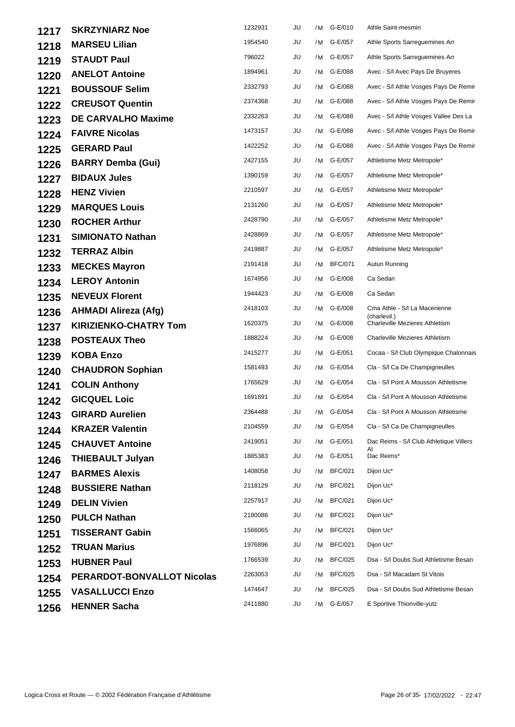| 1217 | <b>SKRZYNIARZ Noe</b>             | 1232931 | JU | /M | G-E/010        | Athle Saint-mesmin                            |
|------|-----------------------------------|---------|----|----|----------------|-----------------------------------------------|
| 1218 | <b>MARSEU Lilian</b>              | 1954540 | JU | /M | G-E/057        | Athle Sports Sarreguemines Arr                |
| 1219 | <b>STAUDT Paul</b>                | 796022  | JU | /M | G-E/057        | Athle Sports Sarreguemines Arr                |
| 1220 | <b>ANELOT Antoine</b>             | 1894961 | JU | /M | G-E/088        | Avec - S/I Avec Pays De Bruyeres              |
| 1221 | <b>BOUSSOUF Selim</b>             | 2332793 | JU | /M | G-E/088        | Avec - S/I Athle Vosges Pays De Remir         |
| 1222 | <b>CREUSOT Quentin</b>            | 2374368 | JU | /M | G-E/088        | Avec - S/I Athle Vosges Pays De Remir         |
| 1223 | <b>DE CARVALHO Maxime</b>         | 2332263 | JU | /M | G-E/088        | Avec - S/I Athle Vosges Vallee Des La         |
| 1224 | <b>FAIVRE Nicolas</b>             | 1473157 | JU | /M | G-E/088        | Avec - S/I Athle Vosges Pays De Remir         |
| 1225 | <b>GERARD Paul</b>                | 1422252 | JU | /M | G-E/088        | Avec - S/I Athle Vosges Pays De Remir         |
| 1226 | <b>BARRY Demba (Gui)</b>          | 2427155 | JU | /M | G-E/057        | Athletisme Metz Metropole*                    |
| 1227 | <b>BIDAUX Jules</b>               | 1390159 | JU | /M | G-E/057        | Athletisme Metz Metropole*                    |
| 1228 | <b>HENZ Vivien</b>                | 2210597 | JU | /M | G-E/057        | Athletisme Metz Metropole*                    |
| 1229 | <b>MARQUES Louis</b>              | 2131260 | JU | /M | G-E/057        | Athletisme Metz Metropole*                    |
| 1230 | <b>ROCHER Arthur</b>              | 2428790 | JU | /M | G-E/057        | Athletisme Metz Metropole*                    |
| 1231 | <b>SIMIONATO Nathan</b>           | 2428869 | JU | /M | G-E/057        | Athletisme Metz Metropole*                    |
| 1232 | <b>TERRAZ Albin</b>               | 2419887 | JU |    | /M G-E/057     | Athletisme Metz Metropole*                    |
| 1233 | <b>MECKES Mayron</b>              | 2191418 | JU | /M | <b>BFC/071</b> | Autun Running                                 |
| 1234 | <b>LEROY Antonin</b>              | 1674956 | JU | /M | G-E/008        | Ca Sedan                                      |
| 1235 | <b>NEVEUX Florent</b>             | 1944423 | JU | /M | G-E/008        | Ca Sedan                                      |
| 1236 | <b>AHMADI Alireza (Afg)</b>       | 2418103 | JU | /M | G-E/008        | Cma Athle - S/I La Macerienne<br>(charlevil.) |
| 1237 | <b>KIRIZIENKO-CHATRY Tom</b>      | 1620375 | JU | /M | G-E/008        | <b>Charleville Mezieres Athletism</b>         |
| 1238 | <b>POSTEAUX Theo</b>              | 1888224 | JU | /M | G-E/008        | <b>Charleville Mezieres Athletism</b>         |
| 1239 | <b>KOBA Enzo</b>                  | 2415277 | JU | /M | G-E/051        | Cocaa - S/I Club Olympique Chalonnais         |
| 1240 | <b>CHAUDRON Sophian</b>           | 1581493 | JU | /M | G-E/054        | Cla - S/I Ca De Champigneulles                |
| 1241 | <b>COLIN Anthony</b>              | 1765629 | JU | /M | G-E/054        | Cla - S/I Pont A Mousson Athletisme           |
| 1242 | <b>GICQUEL Loic</b>               | 1691891 | JU | /M | G-E/054        | Cla - S/I Pont A Mousson Athletisme           |
| 1243 | <b>GIRARD Aurelien</b>            | 2364488 | JU |    | /M G-E/054     | Cla - S/I Pont A Mousson Athletisme           |
| 1244 | <b>KRAZER Valentin</b>            | 2104559 | JU | /M | G-E/054        | Cla - S/I Ca De Champigneulles                |
| 1245 | <b>CHAUVET Antoine</b>            | 2419051 | JU | /M | G-E/051        | Dac Reims - S/I Club Athletique Villers<br>AI |
| 1246 | <b>THIEBAULT Julyan</b>           | 1885383 | JU | /M | G-E/051        | Dac Reims*                                    |
| 1247 | <b>BARMES Alexis</b>              | 1408058 | JU | /M | <b>BFC/021</b> | Dijon Uc*                                     |
| 1248 | <b>BUSSIERE Nathan</b>            | 2118129 | JU | /M | <b>BFC/021</b> | Dijon Uc*                                     |
| 1249 | <b>DELIN Vivien</b>               | 2257917 | JU | /M | <b>BFC/021</b> | Dijon Uc*                                     |
| 1250 | <b>PULCH Nathan</b>               | 2180086 | JU | /M | <b>BFC/021</b> | Dijon Uc*                                     |
| 1251 | <b>TISSERANT Gabin</b>            | 1566065 | JU | /M | <b>BFC/021</b> | Dijon Uc*                                     |
| 1252 | <b>TRUAN Marius</b>               | 1976896 | JU | /M | <b>BFC/021</b> | Dijon Uc*                                     |
| 1253 | <b>HUBNER Paul</b>                | 1766539 | JU | /M | <b>BFC/025</b> | Dsa - S/I Doubs Sud Athletisme Besan          |
| 1254 | <b>PERARDOT-BONVALLOT Nicolas</b> | 2263053 | JU | /M | <b>BFC/025</b> | Dsa - S/I Macadam St Vitois                   |
| 1255 | <b>VASALLUCCI Enzo</b>            | 1474647 | JU | /M | <b>BFC/025</b> | Dsa - S/I Doubs Sud Athletisme Besan          |
| 1256 | <b>HENNER Sacha</b>               | 2411880 | JU | /M | G-E/057        | E Sportive Thionville-yutz                    |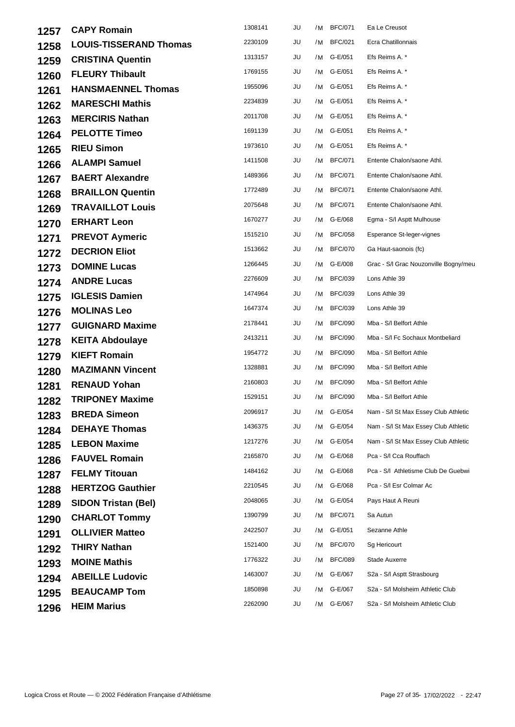| 1257 | <b>CAPY Romain</b>            | 1308141 | JU | /M | <b>BFC/071</b> | Ea Le Creusot                         |
|------|-------------------------------|---------|----|----|----------------|---------------------------------------|
| 1258 | <b>LOUIS-TISSERAND Thomas</b> | 2230109 | JU | /M | <b>BFC/021</b> | Ecra Chatillonnais                    |
| 1259 | <b>CRISTINA Quentin</b>       | 1313157 | JU |    | /M G-E/051     | Efs Reims A. *                        |
| 1260 | <b>FLEURY Thibault</b>        | 1769155 | JU |    | /M G-E/051     | Efs Reims A. *                        |
| 1261 | <b>HANSMAENNEL Thomas</b>     | 1955096 | JU |    | /M G-E/051     | Efs Reims A. *                        |
| 1262 | <b>MARESCHI Mathis</b>        | 2234839 | JU |    | /M G-E/051     | Efs Reims A. *                        |
| 1263 | <b>MERCIRIS Nathan</b>        | 2011708 | JU | /M | G-E/051        | Efs Reims A. *                        |
| 1264 | <b>PELOTTE Timeo</b>          | 1691139 | JU |    | /M G-E/051     | Efs Reims A. *                        |
| 1265 | <b>RIEU Simon</b>             | 1973610 | JU | /M | G-E/051        | Efs Reims A. *                        |
| 1266 | <b>ALAMPI Samuel</b>          | 1411508 | JU | /M | <b>BFC/071</b> | Entente Chalon/saone Athl.            |
| 1267 | <b>BAERT Alexandre</b>        | 1489366 | JU | /M | <b>BFC/071</b> | Entente Chalon/saone Athl.            |
| 1268 | <b>BRAILLON Quentin</b>       | 1772489 | JU | /M | <b>BFC/071</b> | Entente Chalon/saone Athl.            |
| 1269 | <b>TRAVAILLOT Louis</b>       | 2075648 | JU | /M | <b>BFC/071</b> | Entente Chalon/saone Athl.            |
| 1270 | <b>ERHART Leon</b>            | 1670277 | JU | /M | G-E/068        | Egma - S/I Asptt Mulhouse             |
| 1271 | <b>PREVOT Aymeric</b>         | 1515210 | JU | /M | <b>BFC/058</b> | Esperance St-leger-vignes             |
| 1272 | <b>DECRION Eliot</b>          | 1513662 | JU | /M | <b>BFC/070</b> | Ga Haut-saonois (fc)                  |
| 1273 | <b>DOMINE Lucas</b>           | 1266445 | JU |    | /M G-E/008     | Grac - S/I Grac Nouzonville Bogny/meu |
| 1274 | <b>ANDRE Lucas</b>            | 2276609 | JU | /M | <b>BFC/039</b> | Lons Athle 39                         |
| 1275 | <b>IGLESIS Damien</b>         | 1474964 | JU | /M | <b>BFC/039</b> | Lons Athle 39                         |
| 1276 | <b>MOLINAS Leo</b>            | 1647374 | JU | /M | <b>BFC/039</b> | Lons Athle 39                         |
| 1277 | <b>GUIGNARD Maxime</b>        | 2178441 | JU | /M | <b>BFC/090</b> | Mba - S/I Belfort Athle               |
| 1278 | <b>KEITA Abdoulaye</b>        | 2413211 | JU | /M | <b>BFC/090</b> | Mba - S/I Fc Sochaux Montbeliard      |
| 1279 | <b>KIEFT Romain</b>           | 1954772 | JU | /M | <b>BFC/090</b> | Mba - S/I Belfort Athle               |
| 1280 | <b>MAZIMANN Vincent</b>       | 1328881 | JU | /M | <b>BFC/090</b> | Mba - S/I Belfort Athle               |
| 1281 | <b>RENAUD Yohan</b>           | 2160803 | JU | /M | <b>BFC/090</b> | Mba - S/I Belfort Athle               |
| 1282 | <b>TRIPONEY Maxime</b>        | 1529151 | JU | /M | <b>BFC/090</b> | Mba - S/I Belfort Athle               |
| 1283 | <b>BREDA Simeon</b>           | 2096917 | JU |    | /M G-E/054     | Nam - S/I St Max Essey Club Athletic  |
| 1284 | <b>DEHAYE Thomas</b>          | 1436375 | JU |    | /M G-E/054     | Nam - S/I St Max Essey Club Athletic  |
| 1285 | <b>LEBON Maxime</b>           | 1217276 | JU | /M | G-E/054        | Nam - S/I St Max Essey Club Athletic  |
| 1286 | <b>FAUVEL Romain</b>          | 2165870 | JU |    | /M G-E/068     | Pca - S/I Cca Rouffach                |
| 1287 | <b>FELMY Titouan</b>          | 1484162 | JU |    | /M G-E/068     | Pca - S/I Athletisme Club De Guebwi   |
| 1288 | <b>HERTZOG Gauthier</b>       | 2210545 | JU | /M | G-E/068        | Pca - S/I Esr Colmar Ac               |
| 1289 | <b>SIDON Tristan (Bel)</b>    | 2048065 | JU | /M | G-E/054        | Pays Haut A Reuni                     |
| 1290 | <b>CHARLOT Tommy</b>          | 1390799 | JU | /M | <b>BFC/071</b> | Sa Autun                              |
| 1291 | <b>OLLIVIER Matteo</b>        | 2422507 | JU | /M | G-E/051        | Sezanne Athle                         |
| 1292 | <b>THIRY Nathan</b>           | 1521400 | JU | /M | <b>BFC/070</b> | Sg Hericourt                          |
| 1293 | <b>MOINE Mathis</b>           | 1776322 | JU | /M | <b>BFC/089</b> | Stade Auxerre                         |
| 1294 | <b>ABEILLE Ludovic</b>        | 1463007 | JU |    | /M G-E/067     | S2a - S/I Asptt Strasbourg            |
| 1295 | <b>BEAUCAMP Tom</b>           | 1850898 | JU | /M | G-E/067        | S2a - S/I Molsheim Athletic Club      |
| 1296 | <b>HEIM Marius</b>            | 2262090 | JU |    | /M G-E/067     | S2a - S/I Molsheim Athletic Club      |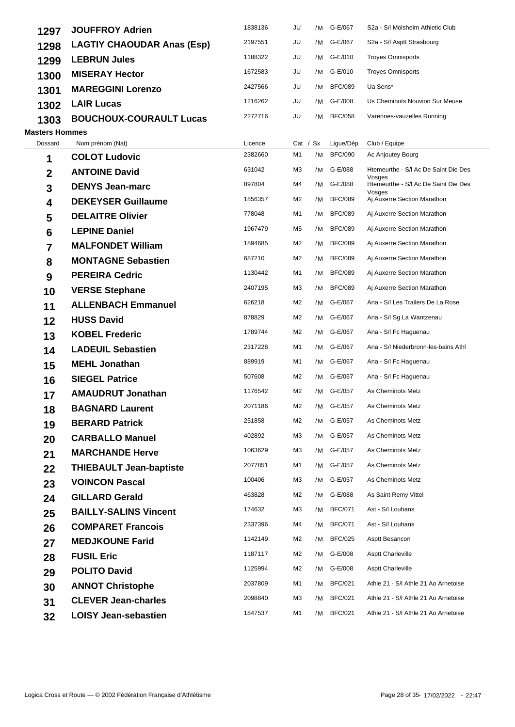| 1297                  | <b>JOUFFROY Adrien</b>            | 1838136 | JU         | /M | G-E/067        | S2a - S/I Molsheim Athletic Club               |
|-----------------------|-----------------------------------|---------|------------|----|----------------|------------------------------------------------|
| 1298                  | <b>LAGTIY CHAOUDAR Anas (Esp)</b> | 2197551 | JU         | /M | G-E/067        | S2a - S/I Asptt Strasbourg                     |
| 1299                  | <b>LEBRUN Jules</b>               | 1188322 | JU         | /M | G-E/010        | <b>Troyes Omnisports</b>                       |
| 1300                  | <b>MISERAY Hector</b>             | 1672583 | JU         | /M | G-E/010        | <b>Troyes Omnisports</b>                       |
| 1301                  | <b>MAREGGINI Lorenzo</b>          | 2427566 | JU         | /M | <b>BFC/089</b> | Ua Sens*                                       |
| 1302                  | <b>LAIR Lucas</b>                 | 1216262 | JU         | /M | G-E/008        | Us Cheminots Nouvion Sur Meuse                 |
| 1303                  | <b>BOUCHOUX-COURAULT Lucas</b>    | 2272716 | JU         | /M | <b>BFC/058</b> | Varennes-vauzelles Running                     |
| <b>Masters Hommes</b> |                                   |         |            |    |                |                                                |
| Dossard               | Nom prénom (Nat)                  | Licence | Cat / $Sx$ |    | Ligue/Dép      | Club / Equipe                                  |
| 1                     | <b>COLOT Ludovic</b>              | 2382660 | M1         | /M | <b>BFC/090</b> | Ac Anjoutey Bourg                              |
| 2                     | <b>ANTOINE David</b>              | 631042  | M3         | /M | G-E/088        | Htemeurthe - S/I Ac De Saint Die Des<br>Vosges |
| 3                     | <b>DENYS Jean-marc</b>            | 897804  | M4         | /M | G-E/088        | Htemeurthe - S/I Ac De Saint Die Des<br>Vosges |
| 4                     | <b>DEKEYSER Guillaume</b>         | 1856357 | M2         | /M | <b>BFC/089</b> | Aj Auxerre Section Marathon                    |
| 5                     | <b>DELAITRE Olivier</b>           | 778048  | M1         | /M | <b>BFC/089</b> | Aj Auxerre Section Marathon                    |
| $6\phantom{1}6$       | <b>LEPINE Daniel</b>              | 1967479 | M5         | /M | <b>BFC/089</b> | Aj Auxerre Section Marathon                    |
| 7                     | <b>MALFONDET William</b>          | 1894685 | M2         | /M | <b>BFC/089</b> | Aj Auxerre Section Marathon                    |
| 8                     | <b>MONTAGNE Sebastien</b>         | 687210  | M2         | /M | <b>BFC/089</b> | Aj Auxerre Section Marathon                    |
| 9                     | <b>PEREIRA Cedric</b>             | 1130442 | M1         | /M | <b>BFC/089</b> | Aj Auxerre Section Marathon                    |
| 10                    | <b>VERSE Stephane</b>             | 2407195 | ΜЗ         | /M | <b>BFC/089</b> | Aj Auxerre Section Marathon                    |
| 11                    | <b>ALLENBACH Emmanuel</b>         | 626218  | M2         | /M | G-E/067        | Ana - S/I Les Trailers De La Rose              |
| 12                    | <b>HUSS David</b>                 | 878829  | M2         | /M | G-E/067        | Ana - S/I Sg La Wantzenau                      |
| 13                    | <b>KOBEL Frederic</b>             | 1789744 | M2         | /M | G-E/067        | Ana - S/I Fc Haguenau                          |
| 14                    | <b>LADEUIL Sebastien</b>          | 2317228 | M1         | /M | G-E/067        | Ana - S/I Niederbronn-les-bains Athl           |
| 15                    | <b>MEHL Jonathan</b>              | 889919  | M1         | /M | G-E/067        | Ana - S/I Fc Haguenau                          |
| 16                    | <b>SIEGEL Patrice</b>             | 507608  | M2         | /M | G-E/067        | Ana - S/I Fc Haguenau                          |
| 17                    | <b>AMAUDRUT Jonathan</b>          | 1176542 | M2         | /M | G-E/057        | As Cheminots Metz                              |
| 18                    | <b>BAGNARD Laurent</b>            | 2071186 | M2         |    | /M G-E/057     | As Cheminots Metz                              |
| 19                    | <b>BERARD Patrick</b>             | 251858  | M2         |    | /M G-E/057     | As Cheminots Metz                              |
| 20                    | <b>CARBALLO Manuel</b>            | 402892  | M3         | /M | G-E/057        | As Cheminots Metz                              |
| 21                    | <b>MARCHANDE Herve</b>            | 1063629 | MЗ         | /M | G-E/057        | As Cheminots Metz                              |
| 22                    | <b>THIEBAULT Jean-baptiste</b>    | 2077851 | M1         | /M | G-E/057        | As Cheminots Metz                              |
| 23                    | <b>VOINCON Pascal</b>             | 100406  | ΜЗ         | /M | G-E/057        | As Cheminots Metz                              |
| 24                    | <b>GILLARD Gerald</b>             | 463828  | M2         | /M | G-E/088        | As Saint Remy Vittel                           |
| 25                    | <b>BAILLY-SALINS Vincent</b>      | 174632  | ΜЗ         | /M | <b>BFC/071</b> | Ast - S/I Louhans                              |
| 26                    | <b>COMPARET Francois</b>          | 2337396 | M4         | /M | <b>BFC/071</b> | Ast - S/I Louhans                              |
| 27                    | <b>MEDJKOUNE Farid</b>            | 1142149 | M2         | /M | <b>BFC/025</b> | Asptt Besancon                                 |
| 28                    | <b>FUSIL Eric</b>                 | 1187117 | M2         | /M | G-E/008        | <b>Asptt Charleville</b>                       |
| 29                    | <b>POLITO David</b>               | 1125994 | M2         | /M | G-E/008        | <b>Asptt Charleville</b>                       |
| 30                    | <b>ANNOT Christophe</b>           | 2037809 | M1         | /M | <b>BFC/021</b> | Athle 21 - S/I Athle 21 Ao Arnetoise           |
| 31                    | <b>CLEVER Jean-charles</b>        | 2098840 | MЗ         | /M | <b>BFC/021</b> | Athle 21 - S/I Athle 21 Ao Arnetoise           |
| 32                    | <b>LOISY Jean-sebastien</b>       | 1847537 | M1         | /M | <b>BFC/021</b> | Athle 21 - S/I Athle 21 Ao Arnetoise           |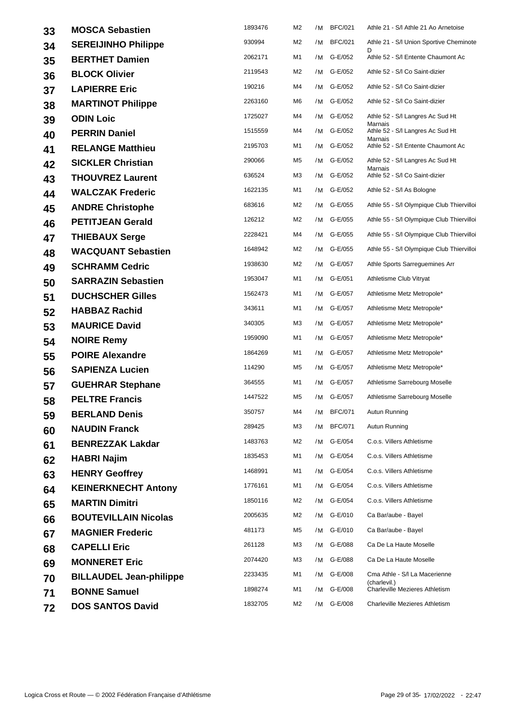| 33 | <b>MOSCA Sebastien</b>         | 1893476 | M2             | /M | <b>BFC/021</b> | Athle 21 - S/I Athle 21 Ao Arnetoise          |
|----|--------------------------------|---------|----------------|----|----------------|-----------------------------------------------|
| 34 | <b>SEREIJINHO Philippe</b>     | 930994  | M <sub>2</sub> |    | /M BFC/021     | Athle 21 - S/I Union Sportive Cheminote       |
| 35 | <b>BERTHET Damien</b>          | 2062171 | M1             | /M | G-E/052        | Athle 52 - S/I Entente Chaumont Ac            |
| 36 | <b>BLOCK Olivier</b>           | 2119543 | M2             | /M | G-E/052        | Athle 52 - S/I Co Saint-dizier                |
| 37 | <b>LAPIERRE Eric</b>           | 190216  | M4             | /M | G-E/052        | Athle 52 - S/I Co Saint-dizier                |
| 38 | <b>MARTINOT Philippe</b>       | 2263160 | M6             | /M | G-E/052        | Athle 52 - S/I Co Saint-dizier                |
| 39 | <b>ODIN Loic</b>               | 1725027 | M4             |    | /M G-E/052     | Athle 52 - S/I Langres Ac Sud Ht<br>Marnais   |
| 40 | <b>PERRIN Daniel</b>           | 1515559 | M4             |    | /M G-E/052     | Athle 52 - S/I Langres Ac Sud Ht<br>Marnais   |
| 41 | <b>RELANGE Matthieu</b>        | 2195703 | M1             |    | /M G-E/052     | Athle 52 - S/I Entente Chaumont Ac            |
| 42 | <b>SICKLER Christian</b>       | 290066  | M5             | /M | G-E/052        | Athle 52 - S/I Langres Ac Sud Ht<br>Marnais   |
| 43 | <b>THOUVREZ Laurent</b>        | 636524  | MЗ             |    | /M G-E/052     | Athle 52 - S/I Co Saint-dizier                |
| 44 | <b>WALCZAK Frederic</b>        | 1622135 | M1             | /M | G-E/052        | Athle 52 - S/I As Bologne                     |
| 45 | <b>ANDRE Christophe</b>        | 683616  | M2             | /M | G-E/055        | Athle 55 - S/I Olympique Club Thiervilloi     |
| 46 | <b>PETITJEAN Gerald</b>        | 126212  | M2             | /M | G-E/055        | Athle 55 - S/I Olympique Club Thiervilloi     |
| 47 | <b>THIEBAUX Serge</b>          | 2228421 | M4             |    | /M G-E/055     | Athle 55 - S/I Olympique Club Thiervilloi     |
| 48 | <b>WACQUANT Sebastien</b>      | 1648942 | M2             |    | /M G-E/055     | Athle 55 - S/I Olympique Club Thiervilloi     |
| 49 | <b>SCHRAMM Cedric</b>          | 1938630 | M2             | /M | G-E/057        | Athle Sports Sarreguemines Arr                |
| 50 | <b>SARRAZIN Sebastien</b>      | 1953047 | M1             |    | /M G-E/051     | Athletisme Club Vitryat                       |
| 51 | <b>DUCHSCHER Gilles</b>        | 1562473 | M1             | /M | G-E/057        | Athletisme Metz Metropole*                    |
| 52 | <b>HABBAZ Rachid</b>           | 343611  | M1             |    | /M G-E/057     | Athletisme Metz Metropole*                    |
| 53 | <b>MAURICE David</b>           | 340305  | MЗ             |    | /M G-E/057     | Athletisme Metz Metropole*                    |
| 54 | <b>NOIRE Remy</b>              | 1959090 | M1             |    | /M G-E/057     | Athletisme Metz Metropole*                    |
| 55 | <b>POIRE Alexandre</b>         | 1864269 | M1             |    | /M G-E/057     | Athletisme Metz Metropole*                    |
| 56 | <b>SAPIENZA Lucien</b>         | 114290  | M5             | /M | G-E/057        | Athletisme Metz Metropole*                    |
| 57 | <b>GUEHRAR Stephane</b>        | 364555  | M1             |    | /M G-E/057     | Athletisme Sarrebourg Moselle                 |
| 58 | <b>PELTRE Francis</b>          | 1447522 | M5             |    | /M G-E/057     | Athletisme Sarrebourg Moselle                 |
| 59 | <b>BERLAND Denis</b>           | 350757  | M4             |    | /M BFC/071     | Autun Running                                 |
| 60 | <b>NAUDIN Franck</b>           | 289425  | ΜЗ             |    | /M BFC/071     | Autun Running                                 |
| 61 | <b>BENREZZAK Lakdar</b>        | 1483763 | M2             |    | /M G-E/054     | C.o.s. Villers Athletisme                     |
| 62 | <b>HABRI Najim</b>             | 1835453 | M1             | /M | G-E/054        | C.o.s. Villers Athletisme                     |
| 63 | <b>HENRY Geoffrey</b>          | 1468991 | M1             |    | /M G-E/054     | C.o.s. Villers Athletisme                     |
| 64 | <b>KEINERKNECHT Antony</b>     | 1776161 | M1             | /M | G-E/054        | C.o.s. Villers Athletisme                     |
| 65 | <b>MARTIN Dimitri</b>          | 1850116 | M2             |    | /M G-E/054     | C.o.s. Villers Athletisme                     |
| 66 | <b>BOUTEVILLAIN Nicolas</b>    | 2005635 | M2             |    | /M G-E/010     | Ca Bar/aube - Bayel                           |
| 67 | <b>MAGNIER Frederic</b>        | 481173  | M5             |    | /M G-E/010     | Ca Bar/aube - Bayel                           |
| 68 | <b>CAPELLI Eric</b>            | 261128  | MЗ             |    | /M G-E/088     | Ca De La Haute Moselle                        |
| 69 | <b>MONNERET Eric</b>           | 2074420 | ΜЗ             | /M | G-E/088        | Ca De La Haute Moselle                        |
| 70 | <b>BILLAUDEL Jean-philippe</b> | 2233435 | M1             |    | /M G-E/008     | Cma Athle - S/I La Macerienne<br>(charlevil.) |
| 71 | <b>BONNE Samuel</b>            | 1898274 | M1             | /M | G-E/008        | Charleville Mezieres Athletism                |
| 72 | <b>DOS SANTOS David</b>        | 1832705 | M2             |    | /M G-E/008     | <b>Charleville Mezieres Athletism</b>         |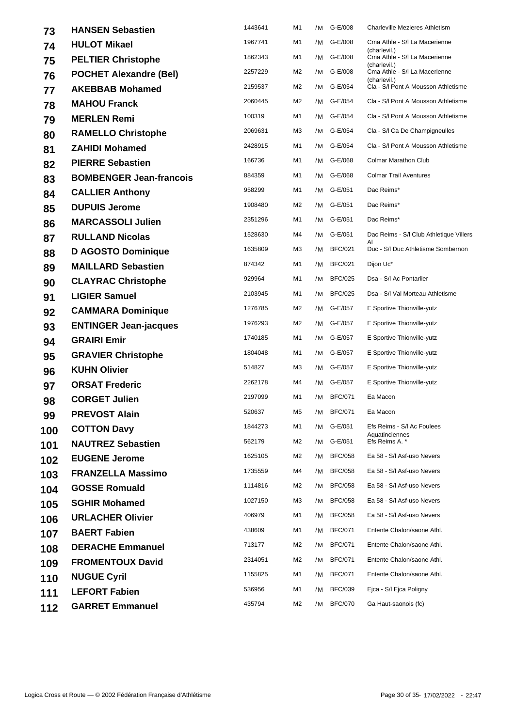| 73  | <b>HANSEN Sebastien</b>        | 1443641 | M1             | /M | G-E/008        | Charleville Mezieres Athletism                                |
|-----|--------------------------------|---------|----------------|----|----------------|---------------------------------------------------------------|
| 74  | <b>HULOT Mikael</b>            | 1967741 | M1             | /M | G-E/008        | Cma Athle - S/I La Macerienne                                 |
| 75  | <b>PELTIER Christophe</b>      | 1862343 | M1             | /M | G-E/008        | (charlevil.)<br>Cma Athle - S/I La Macerienne<br>(charlevil.) |
| 76  | <b>POCHET Alexandre (Bel)</b>  | 2257229 | M2             |    | /M G-E/008     | Cma Athle - S/I La Macerienne<br>(charlevil.)                 |
| 77  | <b>AKEBBAB Mohamed</b>         | 2159537 | M2             | /M | G-E/054        | Cla - S/I Pont A Mousson Athletisme                           |
| 78  | <b>MAHOU Franck</b>            | 2060445 | M2             | /M | G-E/054        | Cla - S/I Pont A Mousson Athletisme                           |
| 79  | <b>MERLEN Remi</b>             | 100319  | M1             | /M | G-E/054        | Cla - S/I Pont A Mousson Athletisme                           |
| 80  | <b>RAMELLO Christophe</b>      | 2069631 | MЗ             | /M | G-E/054        | Cla - S/I Ca De Champigneulles                                |
| 81  | <b>ZAHIDI Mohamed</b>          | 2428915 | M1             | /M | G-E/054        | Cla - S/I Pont A Mousson Athletisme                           |
| 82  | <b>PIERRE Sebastien</b>        | 166736  | M1             | /M | G-E/068        | Colmar Marathon Club                                          |
| 83  | <b>BOMBENGER Jean-francois</b> | 884359  | M1             |    | /M G-E/068     | <b>Colmar Trail Aventures</b>                                 |
| 84  | <b>CALLIER Anthony</b>         | 958299  | M1             | /M | G-E/051        | Dac Reims*                                                    |
| 85  | <b>DUPUIS Jerome</b>           | 1908480 | M2             | /M | G-E/051        | Dac Reims*                                                    |
| 86  | <b>MARCASSOLI Julien</b>       | 2351296 | M1             | /M | G-E/051        | Dac Reims*                                                    |
| 87  | <b>RULLAND Nicolas</b>         | 1528630 | M4             | /M | G-E/051        | Dac Reims - S/I Club Athletique Villers<br>Al                 |
| 88  | <b>D AGOSTO Dominique</b>      | 1635809 | MЗ             | /M | <b>BFC/021</b> | Duc - S/I Duc Athletisme Sombernon                            |
| 89  | <b>MAILLARD Sebastien</b>      | 874342  | M1             | /M | <b>BFC/021</b> | Dijon Uc*                                                     |
| 90  | <b>CLAYRAC Christophe</b>      | 929964  | M1             | /M | <b>BFC/025</b> | Dsa - S/I Ac Pontarlier                                       |
| 91  | <b>LIGIER Samuel</b>           | 2103945 | M1             | /M | <b>BFC/025</b> | Dsa - S/I Val Morteau Athletisme                              |
| 92  | <b>CAMMARA Dominique</b>       | 1276785 | M2             | /M | G-E/057        | E Sportive Thionville-yutz                                    |
| 93  | <b>ENTINGER Jean-jacques</b>   | 1976293 | M2             | /M | G-E/057        | E Sportive Thionville-yutz                                    |
| 94  | <b>GRAIRI Emir</b>             | 1740185 | M1             | /M | G-E/057        | E Sportive Thionville-yutz                                    |
| 95  | <b>GRAVIER Christophe</b>      | 1804048 | M1             |    | /M G-E/057     | E Sportive Thionville-yutz                                    |
| 96  | <b>KUHN Olivier</b>            | 514827  | M3             | /M | G-E/057        | E Sportive Thionville-yutz                                    |
| 97  | <b>ORSAT Frederic</b>          | 2262178 | M4             | /M | G-E/057        | E Sportive Thionville-yutz                                    |
| 98  | <b>CORGET Julien</b>           | 2197099 | M1             | /M | <b>BFC/071</b> | Ea Macon                                                      |
| 99  | <b>PREVOST Alain</b>           | 520637  | M <sub>5</sub> |    | /M BFC/071     | Ea Macon                                                      |
| 100 | <b>COTTON Davy</b>             | 1844273 | M1             | /M | G-E/051        | Efs Reims - S/I Ac Foulees<br>Aquatinciennes                  |
| 101 | <b>NAUTREZ Sebastien</b>       | 562179  | M2             | /M | G-E/051        | Efs Reims A. *                                                |
| 102 | <b>EUGENE Jerome</b>           | 1625105 | M2             | /M | <b>BFC/058</b> | Ea 58 - S/I Asf-uso Nevers                                    |
| 103 | <b>FRANZELLA Massimo</b>       | 1735559 | M4             | /M | <b>BFC/058</b> | Ea 58 - S/I Asf-uso Nevers                                    |
| 104 | <b>GOSSE Romuald</b>           | 1114816 | M2             | /M | <b>BFC/058</b> | Ea 58 - S/I Asf-uso Nevers                                    |
| 105 | <b>SGHIR Mohamed</b>           | 1027150 | MЗ             | /M | <b>BFC/058</b> | Ea 58 - S/I Asf-uso Nevers                                    |
| 106 | <b>URLACHER Olivier</b>        | 406979  | M1             | /M | <b>BFC/058</b> | Ea 58 - S/I Asf-uso Nevers                                    |
| 107 | <b>BAERT Fabien</b>            | 438609  | M1             | /M | <b>BFC/071</b> | Entente Chalon/saone Athl.                                    |
| 108 | <b>DERACHE Emmanuel</b>        | 713177  | M2             | /M | <b>BFC/071</b> | Entente Chalon/saone Athl.                                    |
| 109 | <b>FROMENTOUX David</b>        | 2314051 | M2             | /M | <b>BFC/071</b> | Entente Chalon/saone Athl.                                    |
| 110 | <b>NUGUE Cyril</b>             | 1155825 | M1             | /M | <b>BFC/071</b> | Entente Chalon/saone Athl.                                    |
| 111 | <b>LEFORT Fabien</b>           | 536956  | M1             | /M | <b>BFC/039</b> | Ejca - S/I Ejca Poligny                                       |
| 112 | <b>GARRET Emmanuel</b>         | 435794  | M2             | /M | <b>BFC/070</b> | Ga Haut-saonois (fc)                                          |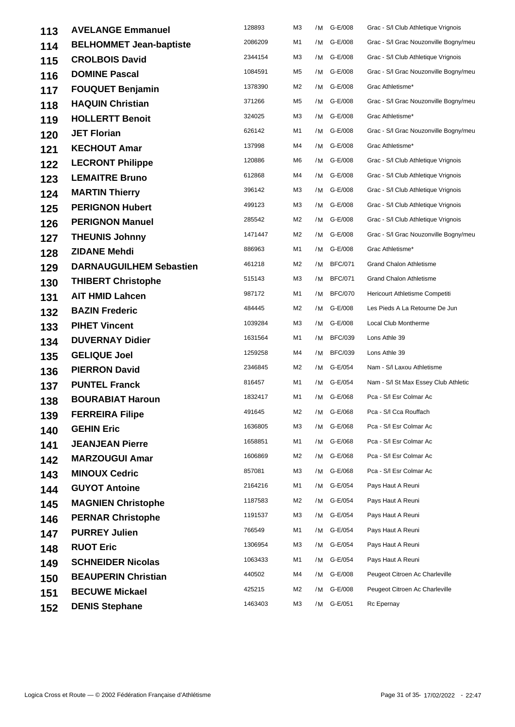| 113 | <b>AVELANGE Emmanuel</b>       | 128893  | M3 | /M | G-E/008        | Grac - S/I Club Athletique Vrignois   |
|-----|--------------------------------|---------|----|----|----------------|---------------------------------------|
| 114 | <b>BELHOMMET Jean-baptiste</b> | 2086209 | M1 | /M | G-E/008        | Grac - S/I Grac Nouzonville Bogny/meu |
| 115 | <b>CROLBOIS David</b>          | 2344154 | M3 | /M | G-E/008        | Grac - S/I Club Athletique Vrignois   |
| 116 | <b>DOMINE Pascal</b>           | 1084591 | M5 |    | /M G-E/008     | Grac - S/I Grac Nouzonville Bogny/meu |
| 117 | <b>FOUQUET Benjamin</b>        | 1378390 | M2 |    | /M G-E/008     | Grac Athletisme*                      |
| 118 | <b>HAQUIN Christian</b>        | 371266  | M5 | /M | G-E/008        | Grac - S/I Grac Nouzonville Bogny/meu |
| 119 | <b>HOLLERTT Benoit</b>         | 324025  | M3 | /M | G-E/008        | Grac Athletisme*                      |
| 120 | <b>JET Florian</b>             | 626142  | M1 | /M | G-E/008        | Grac - S/I Grac Nouzonville Bogny/meu |
| 121 | <b>KECHOUT Amar</b>            | 137998  | M4 | /M | G-E/008        | Grac Athletisme*                      |
| 122 | <b>LECRONT Philippe</b>        | 120886  | M6 |    | /M G-E/008     | Grac - S/I Club Athletique Vrignois   |
| 123 | <b>LEMAITRE Bruno</b>          | 612868  | M4 |    | /M G-E/008     | Grac - S/I Club Athletique Vrignois   |
| 124 | <b>MARTIN Thierry</b>          | 396142  | M3 | /M | G-E/008        | Grac - S/I Club Athletique Vrignois   |
| 125 | <b>PERIGNON Hubert</b>         | 499123  | M3 | /M | G-E/008        | Grac - S/I Club Athletique Vrignois   |
| 126 | <b>PERIGNON Manuel</b>         | 285542  | M2 | /M | G-E/008        | Grac - S/I Club Athletique Vrignois   |
| 127 | <b>THEUNIS Johnny</b>          | 1471447 | M2 |    | /M G-E/008     | Grac - S/I Grac Nouzonville Bogny/meu |
| 128 | <b>ZIDANE Mehdi</b>            | 886963  | M1 | /M | G-E/008        | Grac Athletisme*                      |
| 129 | <b>DARNAUGUILHEM Sebastien</b> | 461218  | M2 | /M | <b>BFC/071</b> | <b>Grand Chalon Athletisme</b>        |
| 130 | <b>THIBERT Christophe</b>      | 515143  | M3 | /M | <b>BFC/071</b> | Grand Chalon Athletisme               |
| 131 | <b>AIT HMID Lahcen</b>         | 987172  | M1 | /M | <b>BFC/070</b> | Hericourt Athletisme Competiti        |
| 132 | <b>BAZIN Frederic</b>          | 484445  | M2 | /M | G-E/008        | Les Pieds A La Retourne De Jun        |
| 133 | <b>PIHET Vincent</b>           | 1039284 | M3 | /M | G-E/008        | Local Club Montherme                  |
| 134 | <b>DUVERNAY Didier</b>         | 1631564 | M1 | /M | <b>BFC/039</b> | Lons Athle 39                         |
| 135 | <b>GELIQUE Joel</b>            | 1259258 | M4 | /M | <b>BFC/039</b> | Lons Athle 39                         |
| 136 | <b>PIERRON David</b>           | 2346845 | M2 | /M | G-E/054        | Nam - S/I Laxou Athletisme            |
| 137 | <b>PUNTEL Franck</b>           | 816457  | M1 |    | /M G-E/054     | Nam - S/I St Max Essey Club Athletic  |
| 138 | <b>BOURABIAT Haroun</b>        | 1832417 | M1 | /M | G-E/068        | Pca - S/I Esr Colmar Ac               |
| 139 | <b>FERREIRA Filipe</b>         | 491645  | M2 |    | /M G-E/068     | Pca - S/I Cca Rouffach                |
| 140 | <b>GEHIN Eric</b>              | 1636805 | M3 | /M | G-E/068        | Pca - S/I Esr Colmar Ac               |
| 141 | <b>JEANJEAN Pierre</b>         | 1658851 | M1 | /M | G-E/068        | Pca - S/I Esr Colmar Ac               |
| 142 | <b>MARZOUGUI Amar</b>          | 1606869 | M2 | /M | G-E/068        | Pca - S/I Esr Colmar Ac               |
| 143 | <b>MINOUX Cedric</b>           | 857081  | MЗ |    | /M G-E/068     | Pca - S/I Esr Colmar Ac               |
| 144 | <b>GUYOT Antoine</b>           | 2164216 | M1 | /M | G-E/054        | Pays Haut A Reuni                     |
| 145 | <b>MAGNIEN Christophe</b>      | 1187583 | M2 | /M | G-E/054        | Pays Haut A Reuni                     |
| 146 | <b>PERNAR Christophe</b>       | 1191537 | M3 | /M | G-E/054        | Pays Haut A Reuni                     |
| 147 | <b>PURREY Julien</b>           | 766549  | M1 | /M | G-E/054        | Pays Haut A Reuni                     |
| 148 | <b>RUOT Eric</b>               | 1306954 | MЗ | /M | G-E/054        | Pays Haut A Reuni                     |
| 149 | <b>SCHNEIDER Nicolas</b>       | 1063433 | M1 | /M | G-E/054        | Pays Haut A Reuni                     |
| 150 | <b>BEAUPERIN Christian</b>     | 440502  | M4 | /M | G-E/008        | Peugeot Citroen Ac Charleville        |
| 151 | <b>BECUWE Mickael</b>          | 425215  | M2 | /M | G-E/008        | Peugeot Citroen Ac Charleville        |
| 152 | <b>DENIS Stephane</b>          | 1463403 | ΜЗ | /M | G-E/051        | Rc Epernay                            |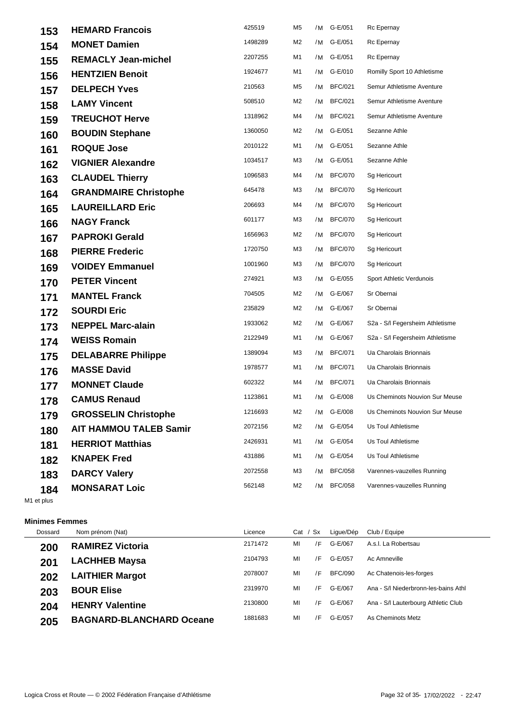| 153 | <b>HEMARD Francois</b>        | 425519  | M5 | /M | G-E/051        | Rc Epernay                      |
|-----|-------------------------------|---------|----|----|----------------|---------------------------------|
| 154 | <b>MONET Damien</b>           | 1498289 | M2 | /M | G-E/051        | Rc Epernay                      |
| 155 | <b>REMACLY Jean-michel</b>    | 2207255 | M1 | /M | G-E/051        | Rc Epernay                      |
| 156 | <b>HENTZIEN Benoit</b>        | 1924677 | M1 |    | /M G-E/010     | Romilly Sport 10 Athletisme     |
| 157 | <b>DELPECH Yves</b>           | 210563  | M5 | /M | <b>BFC/021</b> | Semur Athletisme Aventure       |
| 158 | <b>LAMY Vincent</b>           | 508510  | M2 | /M | <b>BFC/021</b> | Semur Athletisme Aventure       |
| 159 | <b>TREUCHOT Herve</b>         | 1318962 | M4 | /M | <b>BFC/021</b> | Semur Athletisme Aventure       |
| 160 | <b>BOUDIN Stephane</b>        | 1360050 | M2 | /M | G-E/051        | Sezanne Athle                   |
| 161 | <b>ROQUE Jose</b>             | 2010122 | M1 | /M | G-E/051        | Sezanne Athle                   |
| 162 | <b>VIGNIER Alexandre</b>      | 1034517 | MЗ | /M | G-E/051        | Sezanne Athle                   |
| 163 | <b>CLAUDEL Thierry</b>        | 1096583 | M4 |    | /M BFC/070     | Sg Hericourt                    |
| 164 | <b>GRANDMAIRE Christophe</b>  | 645478  | ΜЗ | /M | <b>BFC/070</b> | Sg Hericourt                    |
| 165 | <b>LAUREILLARD Eric</b>       | 206693  | M4 | /M | <b>BFC/070</b> | Sg Hericourt                    |
| 166 | <b>NAGY Franck</b>            | 601177  | MЗ | /M | <b>BFC/070</b> | Sg Hericourt                    |
| 167 | <b>PAPROKI Gerald</b>         | 1656963 | M2 | /M | <b>BFC/070</b> | Sg Hericourt                    |
| 168 | <b>PIERRE Frederic</b>        | 1720750 | ΜЗ | /M | <b>BFC/070</b> | Sg Hericourt                    |
| 169 | <b>VOIDEY Emmanuel</b>        | 1001960 | MЗ | /M | <b>BFC/070</b> | Sg Hericourt                    |
| 170 | <b>PETER Vincent</b>          | 274921  | ΜЗ |    | /M G-E/055     | Sport Athletic Verdunois        |
| 171 | <b>MANTEL Franck</b>          | 704505  | M2 | /M | G-E/067        | Sr Obernai                      |
| 172 | <b>SOURDI Eric</b>            | 235829  | M2 | /M | G-E/067        | Sr Obernai                      |
| 173 | <b>NEPPEL Marc-alain</b>      | 1933062 | M2 | /M | G-E/067        | S2a - S/I Fegersheim Athletisme |
| 174 | <b>WEISS Romain</b>           | 2122949 | M1 |    | /M G-E/067     | S2a - S/I Fegersheim Athletisme |
| 175 | <b>DELABARRE Philippe</b>     | 1389094 | MЗ | /M | <b>BFC/071</b> | Ua Charolais Brionnais          |
| 176 | <b>MASSE David</b>            | 1978577 | M1 | /M | <b>BFC/071</b> | Ua Charolais Brionnais          |
| 177 | <b>MONNET Claude</b>          | 602322  | M4 | /M | <b>BFC/071</b> | Ua Charolais Brionnais          |
| 178 | <b>CAMUS Renaud</b>           | 1123861 | M1 |    | /M G-E/008     | Us Cheminots Nouvion Sur Meuse  |
| 179 | <b>GROSSELIN Christophe</b>   | 1216693 | M2 | /M | G-E/008        | Us Cheminots Nouvion Sur Meuse  |
| 180 | <b>AIT HAMMOU TALEB Samir</b> | 2072156 | M2 | /M | G-E/054        | Us Toul Athletisme              |
| 181 | <b>HERRIOT Matthias</b>       | 2426931 | M1 | /M | G-E/054        | Us Toul Athletisme              |
| 182 | <b>KNAPEK Fred</b>            | 431886  | M1 | /M | G-E/054        | Us Toul Athletisme              |
| 183 | <b>DARCY Valery</b>           | 2072558 | ΜЗ | /M | <b>BFC/058</b> | Varennes-vauzelles Running      |
| 184 | <b>MONSARAT Loic</b>          | 562148  | M2 | /M | <b>BFC/058</b> | Varennes-vauzelles Running      |
|     |                               |         |    |    |                |                                 |

M1 et plus

## **Minimes Femmes**

| Dossard | Nom prénom (Nat)                | Licence | Cat | Sx. | Lique/Dép      | Club / Equipe                        |
|---------|---------------------------------|---------|-----|-----|----------------|--------------------------------------|
| 200     | <b>RAMIREZ Victoria</b>         | 2171472 | MI  | /F  | G-E/067        | A.s.l. La Robertsau                  |
| 201     | <b>LACHHEB Maysa</b>            | 2104793 | MI  | /F  | G-E/057        | Ac Amneville                         |
| 202     | <b>LAITHIER Margot</b>          | 2078007 | MI  | /F  | <b>BFC/090</b> | Ac Chatenois-les-forges              |
| 203     | <b>BOUR Elise</b>               | 2319970 | MI  | /F  | G-E/067        | Ana - S/I Niederbronn-les-bains Athl |
| 204     | <b>HENRY Valentine</b>          | 2130800 | MI  | /F  | G-E/067        | Ana - S/I Lauterbourg Athletic Club  |
| 205     | <b>BAGNARD-BLANCHARD Oceane</b> | 1881683 | MI  | /F  | G-E/057        | As Cheminots Metz                    |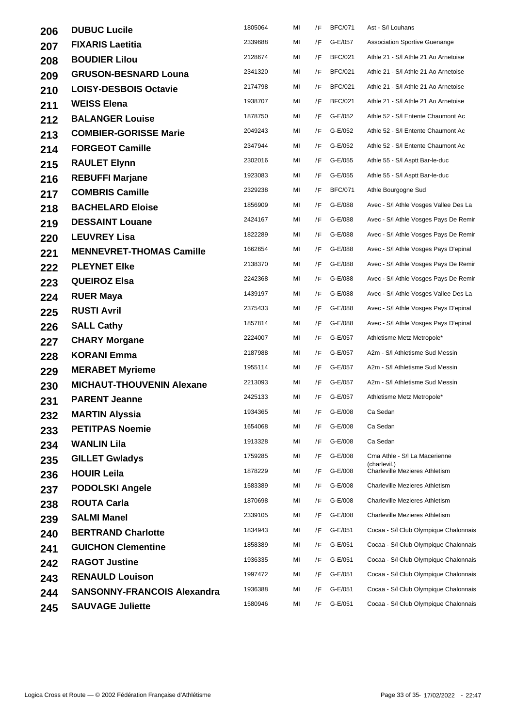| 206 | <b>DUBUC Lucile</b>                | 1805064 | MI | /F | <b>BFC/071</b> | Ast - S/I Louhans                             |
|-----|------------------------------------|---------|----|----|----------------|-----------------------------------------------|
| 207 | <b>FIXARIS Laetitia</b>            | 2339688 | ΜI | /F | G-E/057        | <b>Association Sportive Guenange</b>          |
| 208 | <b>BOUDIER Lilou</b>               | 2128674 | MI | /F | <b>BFC/021</b> | Athle 21 - S/I Athle 21 Ao Arnetoise          |
| 209 | <b>GRUSON-BESNARD Louna</b>        | 2341320 | ΜI | /F | <b>BFC/021</b> | Athle 21 - S/I Athle 21 Ao Arnetoise          |
| 210 | <b>LOISY-DESBOIS Octavie</b>       | 2174798 | ΜI | /F | <b>BFC/021</b> | Athle 21 - S/I Athle 21 Ao Arnetoise          |
| 211 | <b>WEISS Elena</b>                 | 1938707 | MI | /F | <b>BFC/021</b> | Athle 21 - S/I Athle 21 Ao Arnetoise          |
| 212 | <b>BALANGER Louise</b>             | 1878750 | ΜI | /F | G-E/052        | Athle 52 - S/I Entente Chaumont Ac            |
| 213 | <b>COMBIER-GORISSE Marie</b>       | 2049243 | ΜI | /F | G-E/052        | Athle 52 - S/I Entente Chaumont Ac            |
| 214 | <b>FORGEOT Camille</b>             | 2347944 | ΜI | /F | G-E/052        | Athle 52 - S/I Entente Chaumont Ac            |
| 215 | <b>RAULET Elynn</b>                | 2302016 | ΜI | /F | G-E/055        | Athle 55 - S/I Asptt Bar-le-duc               |
| 216 | <b>REBUFFI Marjane</b>             | 1923083 | MI | /F | G-E/055        | Athle 55 - S/I Asptt Bar-le-duc               |
| 217 | <b>COMBRIS Camille</b>             | 2329238 | MI | /F | <b>BFC/071</b> | Athle Bourgogne Sud                           |
| 218 | <b>BACHELARD Eloise</b>            | 1856909 | MI | /F | G-E/088        | Avec - S/I Athle Vosges Vallee Des La         |
| 219 | <b>DESSAINT Louane</b>             | 2424167 | ΜI | /F | G-E/088        | Avec - S/I Athle Vosges Pays De Remir         |
| 220 | <b>LEUVREY Lisa</b>                | 1822289 | ΜI | /F | G-E/088        | Avec - S/I Athle Vosges Pays De Remir         |
| 221 | <b>MENNEVRET-THOMAS Camille</b>    | 1662654 | ΜI | /F | G-E/088        | Avec - S/I Athle Vosges Pays D'epinal         |
| 222 | <b>PLEYNET Elke</b>                | 2138370 | ΜI | /F | G-E/088        | Avec - S/I Athle Vosges Pays De Remir         |
| 223 | <b>QUEIROZ Elsa</b>                | 2242368 | MI | /F | G-E/088        | Avec - S/I Athle Vosges Pays De Remir         |
| 224 | <b>RUER Maya</b>                   | 1439197 | MI | /F | G-E/088        | Avec - S/I Athle Vosges Vallee Des La         |
| 225 | <b>RUSTI Avril</b>                 | 2375433 | MI | /F | G-E/088        | Avec - S/I Athle Vosges Pays D'epinal         |
| 226 | <b>SALL Cathy</b>                  | 1857814 | ΜI | /F | G-E/088        | Avec - S/I Athle Vosges Pays D'epinal         |
| 227 | <b>CHARY Morgane</b>               | 2224007 | ΜI | /F | G-E/057        | Athletisme Metz Metropole*                    |
| 228 | <b>KORANI Emma</b>                 | 2187988 | ΜI | /F | G-E/057        | A2m - S/I Athletisme Sud Messin               |
| 229 | <b>MERABET Myrieme</b>             | 1955114 | ΜI | /F | G-E/057        | A2m - S/I Athletisme Sud Messin               |
| 230 | <b>MICHAUT-THOUVENIN Alexane</b>   | 2213093 | MI | /F | G-E/057        | A2m - S/I Athletisme Sud Messin               |
| 231 | <b>PARENT Jeanne</b>               | 2425133 | MI | /F | G-E/057        | Athletisme Metz Metropole*                    |
| 232 | <b>MARTIN Alyssia</b>              | 1934365 | ΜI |    | /F G-E/008     | Ca Sedan                                      |
| 233 | <b>PETITPAS Noemie</b>             | 1654068 | MI | /F | G-E/008        | Ca Sedan                                      |
| 234 | <b>WANLIN Lila</b>                 | 1913328 | ΜI | /F | G-E/008        | Ca Sedan                                      |
| 235 | <b>GILLET Gwladys</b>              | 1759285 | MI | /F | G-E/008        | Cma Athle - S/I La Macerienne<br>(charlevil.) |
| 236 | <b>HOUIR Leila</b>                 | 1878229 | MI | /F | G-E/008        | Charleville Mezieres Athletism                |
| 237 | <b>PODOLSKI Angele</b>             | 1583389 | MI | /F | G-E/008        | <b>Charleville Mezieres Athletism</b>         |
| 238 | <b>ROUTA Carla</b>                 | 1870698 | MI | /F | G-E/008        | <b>Charleville Mezieres Athletism</b>         |
| 239 | <b>SALMI Manel</b>                 | 2339105 | MI | /F | G-E/008        | <b>Charleville Mezieres Athletism</b>         |
| 240 | <b>BERTRAND Charlotte</b>          | 1834943 | ΜI | /F | G-E/051        | Cocaa - S/I Club Olympique Chalonnais         |
| 241 | <b>GUICHON Clementine</b>          | 1858389 | ΜI | /F | G-E/051        | Cocaa - S/I Club Olympique Chalonnais         |
| 242 | <b>RAGOT Justine</b>               | 1936335 | ΜI | /F | G-E/051        | Cocaa - S/I Club Olympique Chalonnais         |
| 243 | <b>RENAULD Louison</b>             | 1997472 | MI | /F | G-E/051        | Cocaa - S/I Club Olympique Chalonnais         |
| 244 | <b>SANSONNY-FRANCOIS Alexandra</b> | 1936388 | MI | /F | G-E/051        | Cocaa - S/I Club Olympique Chalonnais         |
| 245 | <b>SAUVAGE Juliette</b>            | 1580946 | MI | /F | G-E/051        | Cocaa - S/I Club Olympique Chalonnais         |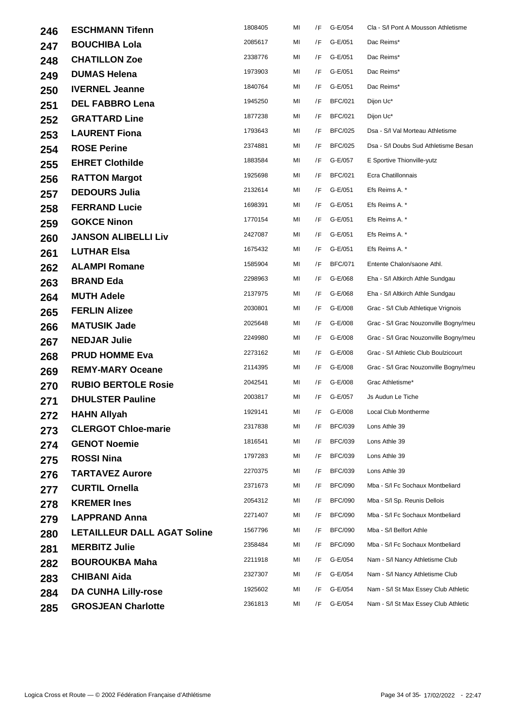| 246 | <b>ESCHMANN Tifenn</b>             | 1808405 | MI | /F | G-E/054        | Cla - S/I Pont A Mousson Athletisme   |
|-----|------------------------------------|---------|----|----|----------------|---------------------------------------|
| 247 | <b>BOUCHIBA Lola</b>               | 2085617 | MI | /F | G-E/051        | Dac Reims*                            |
| 248 | <b>CHATILLON Zoe</b>               | 2338776 | ΜI | /F | G-E/051        | Dac Reims*                            |
| 249 | <b>DUMAS Helena</b>                | 1973903 | ΜI | /F | G-E/051        | Dac Reims*                            |
| 250 | <b>IVERNEL Jeanne</b>              | 1840764 | ΜI | /F | G-E/051        | Dac Reims*                            |
| 251 | <b>DEL FABBRO Lena</b>             | 1945250 | ΜI | /F | <b>BFC/021</b> | Dijon Uc*                             |
| 252 | <b>GRATTARD Line</b>               | 1877238 | ΜI | /F | <b>BFC/021</b> | Dijon Uc*                             |
| 253 | <b>LAURENT Fiona</b>               | 1793643 | MI | /F | <b>BFC/025</b> | Dsa - S/I Val Morteau Athletisme      |
| 254 | <b>ROSE Perine</b>                 | 2374881 | ΜI | /F | <b>BFC/025</b> | Dsa - S/I Doubs Sud Athletisme Besan  |
| 255 | <b>EHRET Clothilde</b>             | 1883584 | MI | /F | G-E/057        | E Sportive Thionville-yutz            |
| 256 | <b>RATTON Margot</b>               | 1925698 | ΜI | /F | <b>BFC/021</b> | Ecra Chatillonnais                    |
| 257 | <b>DEDOURS Julia</b>               | 2132614 | ΜI | /F | G-E/051        | Efs Reims A. *                        |
| 258 | <b>FERRAND Lucie</b>               | 1698391 | ΜI | /F | G-E/051        | Efs Reims A. *                        |
| 259 | <b>GOKCE Ninon</b>                 | 1770154 | ΜI | /F | G-E/051        | Efs Reims A. *                        |
| 260 | <b>JANSON ALIBELLI Liv</b>         | 2427087 | ΜI | /F | G-E/051        | Efs Reims A. *                        |
| 261 | <b>LUTHAR Elsa</b>                 | 1675432 | ΜI | /F | G-E/051        | Efs Reims A. *                        |
| 262 | <b>ALAMPI Romane</b>               | 1585904 | ΜI | /F | <b>BFC/071</b> | Entente Chalon/saone Athl.            |
| 263 | <b>BRAND Eda</b>                   | 2298963 | ΜI | /F | G-E/068        | Eha - S/I Altkirch Athle Sundgau      |
| 264 | <b>MUTH Adele</b>                  | 2137975 | ΜI | /F | G-E/068        | Eha - S/I Altkirch Athle Sundgau      |
| 265 | <b>FERLIN Alizee</b>               | 2030801 | ΜI | /F | G-E/008        | Grac - S/I Club Athletique Vrignois   |
| 266 | <b>MATUSIK Jade</b>                | 2025648 | ΜI | /F | G-E/008        | Grac - S/I Grac Nouzonville Bogny/meu |
| 267 | <b>NEDJAR Julie</b>                | 2249980 | ΜI | /F | G-E/008        | Grac - S/I Grac Nouzonville Bogny/meu |
| 268 | <b>PRUD HOMME Eva</b>              | 2273162 | ΜI | /F | G-E/008        | Grac - S/I Athletic Club Boulzicourt  |
| 269 | <b>REMY-MARY Oceane</b>            | 2114395 | ΜI | /F | G-E/008        | Grac - S/I Grac Nouzonville Bogny/meu |
| 270 | <b>RUBIO BERTOLE Rosie</b>         | 2042541 | ΜI | /F | G-E/008        | Grac Athletisme*                      |
| 271 | <b>DHULSTER Pauline</b>            | 2003817 | ΜI | /F | G-E/057        | Js Audun Le Tiche                     |
| 272 | <b>HAHN Allyah</b>                 | 1929141 | MI |    | /F G-E/008     | Local Club Montherme                  |
| 273 | <b>CLERGOT Chloe-marie</b>         | 2317838 | ΜI | /F | <b>BFC/039</b> | Lons Athle 39                         |
| 274 | <b>GENOT Noemie</b>                | 1816541 | ΜI | /F | <b>BFC/039</b> | Lons Athle 39                         |
| 275 | <b>ROSSI Nina</b>                  | 1797283 | ΜI | /F | <b>BFC/039</b> | Lons Athle 39                         |
| 276 | <b>TARTAVEZ Aurore</b>             | 2270375 | ΜI | /F | <b>BFC/039</b> | Lons Athle 39                         |
| 277 | <b>CURTIL Ornella</b>              | 2371673 | ΜI | /F | <b>BFC/090</b> | Mba - S/I Fc Sochaux Montbeliard      |
| 278 | <b>KREMER Ines</b>                 | 2054312 | ΜI | /F | <b>BFC/090</b> | Mba - S/I Sp. Reunis Dellois          |
| 279 | <b>LAPPRAND Anna</b>               | 2271407 | ΜI | /F | <b>BFC/090</b> | Mba - S/I Fc Sochaux Montbeliard      |
| 280 | <b>LETAILLEUR DALL AGAT Soline</b> | 1567796 | MI | /F | <b>BFC/090</b> | Mba - S/I Belfort Athle               |
| 281 | <b>MERBITZ Julie</b>               | 2358484 | ΜI | /F | <b>BFC/090</b> | Mba - S/I Fc Sochaux Montbeliard      |
| 282 | <b>BOUROUKBA Maha</b>              | 2211918 | ΜI | /F | G-E/054        | Nam - S/I Nancy Athletisme Club       |
| 283 | <b>CHIBANI Aida</b>                | 2327307 | MI | /F | G-E/054        | Nam - S/I Nancy Athletisme Club       |
| 284 | <b>DA CUNHA Lilly-rose</b>         | 1925602 | ΜI | /F | G-E/054        | Nam - S/I St Max Essey Club Athletic  |
| 285 | <b>GROSJEAN Charlotte</b>          | 2361813 | MI | /F | G-E/054        | Nam - S/I St Max Essey Club Athletic  |